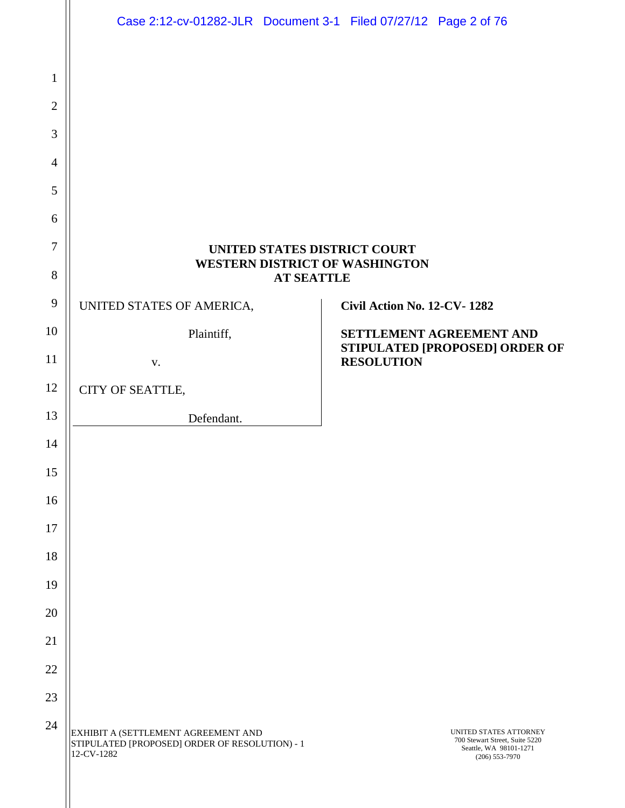|                | Case 2:12-cv-01282-JLR Document 3-1 Filed 07/27/12 Page 2 of 76                                     |                   |                             |                                                                                                          |
|----------------|-----------------------------------------------------------------------------------------------------|-------------------|-----------------------------|----------------------------------------------------------------------------------------------------------|
|                |                                                                                                     |                   |                             |                                                                                                          |
| $\mathbf{1}$   |                                                                                                     |                   |                             |                                                                                                          |
| $\overline{2}$ |                                                                                                     |                   |                             |                                                                                                          |
| 3              |                                                                                                     |                   |                             |                                                                                                          |
| $\overline{4}$ |                                                                                                     |                   |                             |                                                                                                          |
| 5              |                                                                                                     |                   |                             |                                                                                                          |
| 6              |                                                                                                     |                   |                             |                                                                                                          |
| $\overline{7}$ | UNITED STATES DISTRICT COURT<br><b>WESTERN DISTRICT OF WASHINGTON</b>                               |                   |                             |                                                                                                          |
| 8<br>9         |                                                                                                     | <b>AT SEATTLE</b> |                             |                                                                                                          |
| 10             | UNITED STATES OF AMERICA,                                                                           |                   | Civil Action No. 12-CV-1282 |                                                                                                          |
| 11             | Plaintiff,                                                                                          |                   |                             | SETTLEMENT AGREEMENT AND<br>STIPULATED [PROPOSED] ORDER OF                                               |
|                | V.                                                                                                  |                   | <b>RESOLUTION</b>           |                                                                                                          |
| 12             | CITY OF SEATTLE,                                                                                    |                   |                             |                                                                                                          |
| 13             | Defendant.                                                                                          |                   |                             |                                                                                                          |
| 14             |                                                                                                     |                   |                             |                                                                                                          |
| 15             |                                                                                                     |                   |                             |                                                                                                          |
| 16<br>17       |                                                                                                     |                   |                             |                                                                                                          |
| 18             |                                                                                                     |                   |                             |                                                                                                          |
| 19             |                                                                                                     |                   |                             |                                                                                                          |
| 20             |                                                                                                     |                   |                             |                                                                                                          |
| 21             |                                                                                                     |                   |                             |                                                                                                          |
| 22             |                                                                                                     |                   |                             |                                                                                                          |
| 23             |                                                                                                     |                   |                             |                                                                                                          |
| 24             |                                                                                                     |                   |                             |                                                                                                          |
|                | EXHIBIT A (SETTLEMENT AGREEMENT AND<br>STIPULATED [PROPOSED] ORDER OF RESOLUTION) - 1<br>12-CV-1282 |                   |                             | UNITED STATES ATTORNEY<br>700 Stewart Street, Suite 5220<br>Seattle, WA 98101-1271<br>$(206) 553 - 7970$ |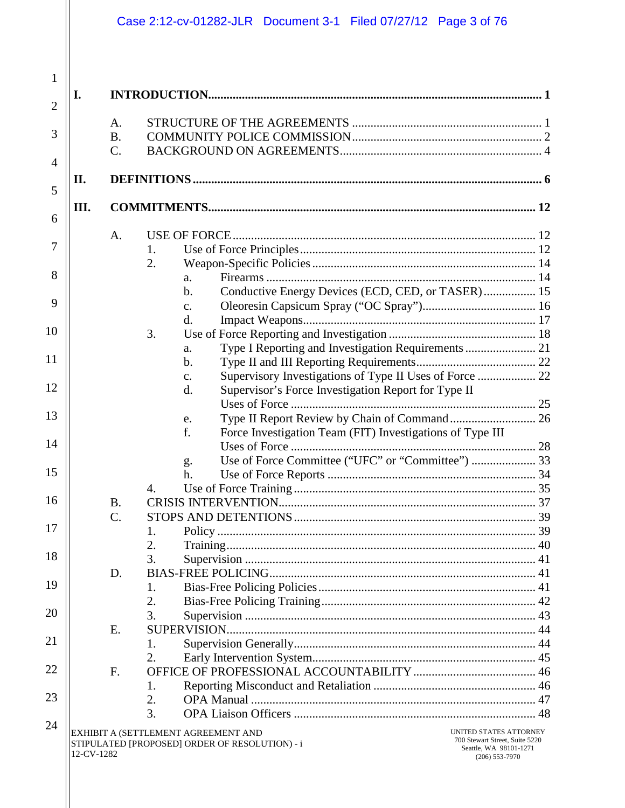|                |            |             | Case 2:12-cv-01282-JLR Document 3-1 Filed 07/27/12 Page 3 of 76                                                                                                                                 |  |
|----------------|------------|-------------|-------------------------------------------------------------------------------------------------------------------------------------------------------------------------------------------------|--|
| $\mathbf{1}$   |            |             |                                                                                                                                                                                                 |  |
| $\overline{2}$ | Ι.         |             |                                                                                                                                                                                                 |  |
|                |            | A.          |                                                                                                                                                                                                 |  |
| 3              |            | <b>B.</b>   |                                                                                                                                                                                                 |  |
| $\overline{4}$ |            | $C$ .       |                                                                                                                                                                                                 |  |
|                | П.         |             |                                                                                                                                                                                                 |  |
| 5              |            |             |                                                                                                                                                                                                 |  |
| 6              | III.       |             |                                                                                                                                                                                                 |  |
|                |            | A.          |                                                                                                                                                                                                 |  |
| 7              |            |             | 1.                                                                                                                                                                                              |  |
|                |            |             | 2.                                                                                                                                                                                              |  |
| 8              |            |             | a.                                                                                                                                                                                              |  |
| 9              |            |             | Conductive Energy Devices (ECD, CED, or TASER) 15<br>b.                                                                                                                                         |  |
|                |            |             | $C_{\bullet}$<br>d.                                                                                                                                                                             |  |
| 10             |            |             | 3.                                                                                                                                                                                              |  |
|                |            |             | a.                                                                                                                                                                                              |  |
| 11             |            |             | b.                                                                                                                                                                                              |  |
|                |            |             | Supervisory Investigations of Type II Uses of Force  22<br>$\mathbf{C}$ .                                                                                                                       |  |
| 12             |            |             | Supervisor's Force Investigation Report for Type II<br>d.                                                                                                                                       |  |
|                |            |             |                                                                                                                                                                                                 |  |
| 13             |            |             | e.                                                                                                                                                                                              |  |
| 14             |            |             | f.<br>Force Investigation Team (FIT) Investigations of Type III                                                                                                                                 |  |
|                |            |             | Use of Force Committee ("UFC" or "Committee")  33                                                                                                                                               |  |
| 15             |            |             | g.<br>h.                                                                                                                                                                                        |  |
|                |            |             | 4.                                                                                                                                                                                              |  |
| 16             |            | <b>B.</b>   |                                                                                                                                                                                                 |  |
|                |            | $C$ .       |                                                                                                                                                                                                 |  |
| 17             |            |             | 1.                                                                                                                                                                                              |  |
|                |            |             | 2.                                                                                                                                                                                              |  |
| 18             |            |             | 3.                                                                                                                                                                                              |  |
| 19             |            | D.          |                                                                                                                                                                                                 |  |
|                |            |             | 1.                                                                                                                                                                                              |  |
| 20             |            |             | 2.<br>3.                                                                                                                                                                                        |  |
|                |            | E.          |                                                                                                                                                                                                 |  |
| 21             |            |             | 1.                                                                                                                                                                                              |  |
|                |            |             | 2.                                                                                                                                                                                              |  |
| 22             |            | $F_{\cdot}$ |                                                                                                                                                                                                 |  |
|                |            |             | 1.                                                                                                                                                                                              |  |
| 23             |            |             | 2.                                                                                                                                                                                              |  |
|                |            |             | 3.                                                                                                                                                                                              |  |
| 24             | 12-CV-1282 |             | UNITED STATES ATTORNEY<br>EXHIBIT A (SETTLEMENT AGREEMENT AND<br>700 Stewart Street, Suite 5220<br>STIPULATED [PROPOSED] ORDER OF RESOLUTION) - i<br>Seattle, WA 98101-1271<br>$(206)$ 553-7970 |  |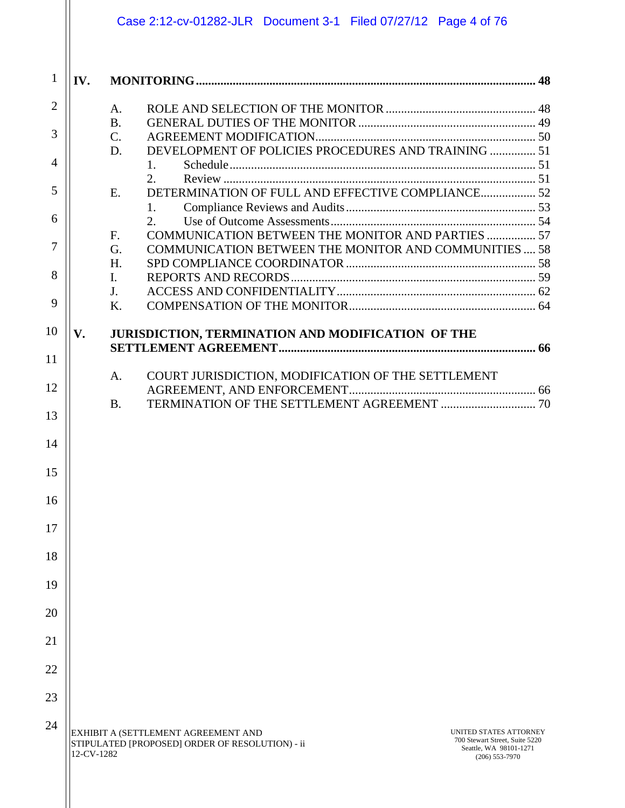|                                                                      |            | Case 2:12-cv-01282-JLR  Document 3-1  Filed 07/27/12  Page 4 of 76                                                                                                                               |  |
|----------------------------------------------------------------------|------------|--------------------------------------------------------------------------------------------------------------------------------------------------------------------------------------------------|--|
| $\mathbf{1}$                                                         | IV.        |                                                                                                                                                                                                  |  |
| $\overline{2}$                                                       |            | A.                                                                                                                                                                                               |  |
|                                                                      |            | <b>B.</b>                                                                                                                                                                                        |  |
| 3                                                                    |            | $\mathcal{C}$ .                                                                                                                                                                                  |  |
|                                                                      |            | DEVELOPMENT OF POLICIES PROCEDURES AND TRAINING  51<br>D.                                                                                                                                        |  |
| 4                                                                    |            | 1.<br>2.                                                                                                                                                                                         |  |
| 5                                                                    |            | DETERMINATION OF FULL AND EFFECTIVE COMPLIANCE 52<br>E.                                                                                                                                          |  |
|                                                                      |            | 1.                                                                                                                                                                                               |  |
| 6                                                                    |            | 2.                                                                                                                                                                                               |  |
|                                                                      |            | COMMUNICATION BETWEEN THE MONITOR AND PARTIES  57<br>F.                                                                                                                                          |  |
| 7                                                                    |            | <b>COMMUNICATION BETWEEN THE MONITOR AND COMMUNITIES 58</b><br>G.                                                                                                                                |  |
| 8                                                                    |            | H.                                                                                                                                                                                               |  |
|                                                                      |            | I.<br>J.                                                                                                                                                                                         |  |
| 9                                                                    |            | K.                                                                                                                                                                                               |  |
|                                                                      |            |                                                                                                                                                                                                  |  |
| 10                                                                   | V.         | JURISDICTION, TERMINATION AND MODIFICATION OF THE                                                                                                                                                |  |
| 11                                                                   |            |                                                                                                                                                                                                  |  |
| 12<br>13<br>14<br>15<br>16<br>17<br>18<br>19<br>20<br>21<br>22<br>23 |            | COURT JURISDICTION, MODIFICATION OF THE SETTLEMENT<br>A.<br><b>B.</b>                                                                                                                            |  |
| 24                                                                   | 12-CV-1282 | EXHIBIT A (SETTLEMENT AGREEMENT AND<br>UNITED STATES ATTORNEY<br>700 Stewart Street, Suite 5220<br>STIPULATED [PROPOSED] ORDER OF RESOLUTION) - ii<br>Seattle, WA 98101-1271<br>$(206)$ 553-7970 |  |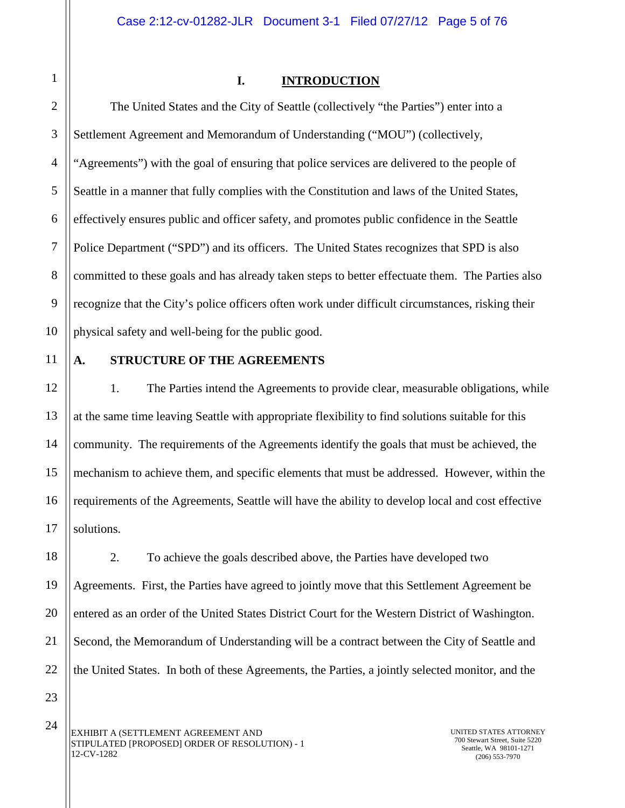<span id="page-3-0"></span>1

#### **I. INTRODUCTION**

2 3 4 5 6 7 8 9 10 The United States and the City of Seattle (collectively "the Parties") enter into a Settlement Agreement and Memorandum of Understanding ("MOU") (collectively, "Agreements") with the goal of ensuring that police services are delivered to the people of Seattle in a manner that fully complies with the Constitution and laws of the United States, effectively ensures public and officer safety, and promotes public confidence in the Seattle Police Department ("SPD") and its officers. The United States recognizes that SPD is also committed to these goals and has already taken steps to better effectuate them. The Parties also recognize that the City's police officers often work under difficult circumstances, risking their physical safety and well-being for the public good.

11 12

13

14

15

16

17

#### <span id="page-3-1"></span>**A. STRUCTURE OF THE AGREEMENTS**

1. The Parties intend the Agreements to provide clear, measurable obligations, while at the same time leaving Seattle with appropriate flexibility to find solutions suitable for this community. The requirements of the Agreements identify the goals that must be achieved, the mechanism to achieve them, and specific elements that must be addressed. However, within the requirements of the Agreements, Seattle will have the ability to develop local and cost effective solutions.

18 19 20 22 2. To achieve the goals described above, the Parties have developed two Agreements. First, the Parties have agreed to jointly move that this Settlement Agreement be entered as an order of the United States District Court for the Western District of Washington. Second, the Memorandum of Understanding will be a contract between the City of Seattle and the United States. In both of these Agreements, the Parties, a jointly selected monitor, and the

23 24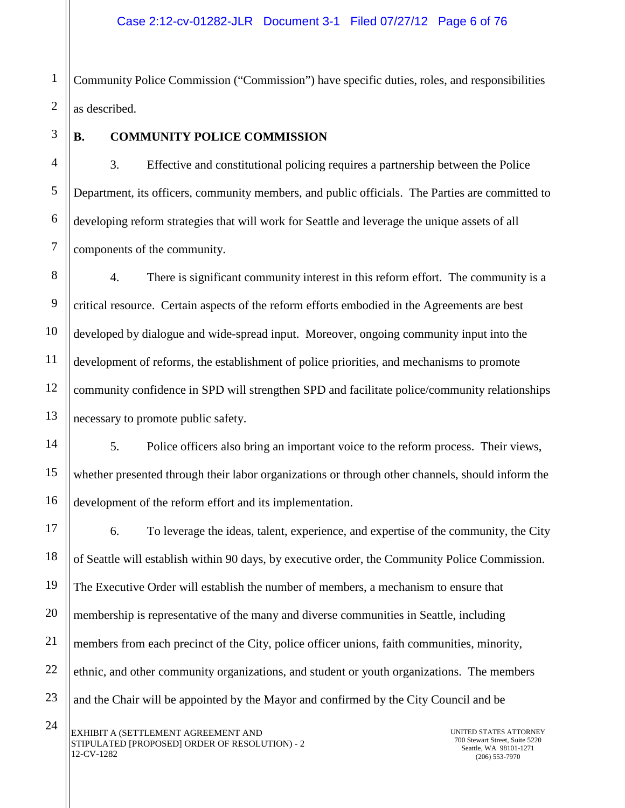1 2 Community Police Commission ("Commission") have specific duties, roles, and responsibilities as described.

3

# <span id="page-4-0"></span>**B. COMMUNITY POLICE COMMISSION**

3. Effective and constitutional policing requires a partnership between the Police Department, its officers, community members, and public officials. The Parties are committed to developing reform strategies that will work for Seattle and leverage the unique assets of all components of the community.

4. There is significant community interest in this reform effort. The community is a critical resource. Certain aspects of the reform efforts embodied in the Agreements are best developed by dialogue and wide-spread input. Moreover, ongoing community input into the development of reforms, the establishment of police priorities, and mechanisms to promote community confidence in SPD will strengthen SPD and facilitate police/community relationships necessary to promote public safety.

5. Police officers also bring an important voice to the reform process. Their views, whether presented through their labor organizations or through other channels, should inform the development of the reform effort and its implementation.

6. To leverage the ideas, talent, experience, and expertise of the community, the City of Seattle will establish within 90 days, by executive order, the Community Police Commission. The Executive Order will establish the number of members, a mechanism to ensure that membership is representative of the many and diverse communities in Seattle, including members from each precinct of the City, police officer unions, faith communities, minority, ethnic, and other community organizations, and student or youth organizations. The members and the Chair will be appointed by the Mayor and confirmed by the City Council and be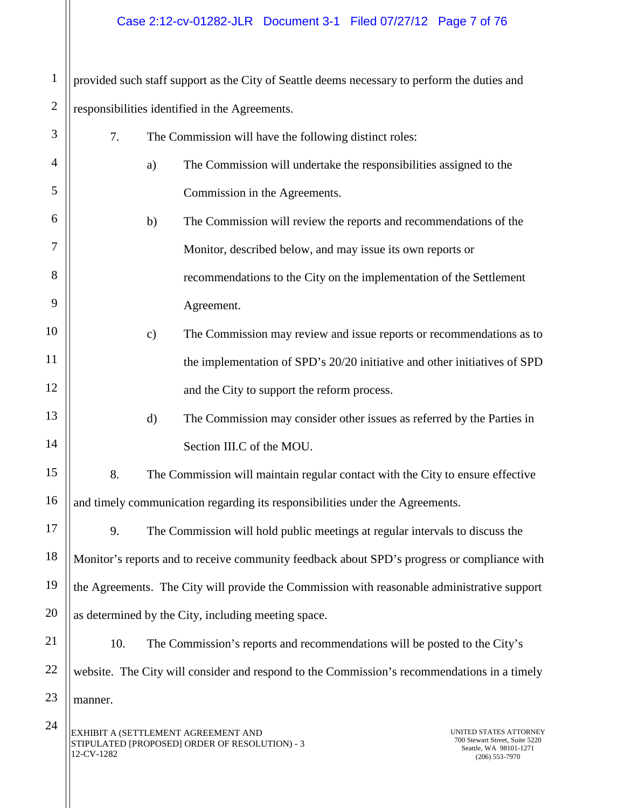# Case 2:12-cv-01282-JLR Document 3-1 Filed 07/27/12 Page 7 of 76

1 provided such staff support as the City of Seattle deems necessary to perform the duties and

| $\sqrt{2}$ | responsibilities identified in the Agreements. |                                                                                             |                                                                                                        |  |
|------------|------------------------------------------------|---------------------------------------------------------------------------------------------|--------------------------------------------------------------------------------------------------------|--|
| 3          | 7.                                             | The Commission will have the following distinct roles:                                      |                                                                                                        |  |
| 4          |                                                | The Commission will undertake the responsibilities assigned to the<br>a)                    |                                                                                                        |  |
| 5          |                                                | Commission in the Agreements.                                                               |                                                                                                        |  |
| 6          |                                                | b)<br>The Commission will review the reports and recommendations of the                     |                                                                                                        |  |
| 7          |                                                | Monitor, described below, and may issue its own reports or                                  |                                                                                                        |  |
| 8          |                                                | recommendations to the City on the implementation of the Settlement                         |                                                                                                        |  |
| 9          |                                                | Agreement.                                                                                  |                                                                                                        |  |
| 10         |                                                | The Commission may review and issue reports or recommendations as to<br>$\mathbf{c})$       |                                                                                                        |  |
| 11         |                                                | the implementation of SPD's 20/20 initiative and other initiatives of SPD                   |                                                                                                        |  |
| 12         |                                                | and the City to support the reform process.                                                 |                                                                                                        |  |
| 13         |                                                | d)<br>The Commission may consider other issues as referred by the Parties in                |                                                                                                        |  |
| 14         |                                                | Section III.C of the MOU.                                                                   |                                                                                                        |  |
| 15         | 8.                                             | The Commission will maintain regular contact with the City to ensure effective              |                                                                                                        |  |
| 16         |                                                | and timely communication regarding its responsibilities under the Agreements.               |                                                                                                        |  |
| 17         | 9.                                             | The Commission will hold public meetings at regular intervals to discuss the                |                                                                                                        |  |
| 18         |                                                | Monitor's reports and to receive community feedback about SPD's progress or compliance with |                                                                                                        |  |
| 19         |                                                | the Agreements. The City will provide the Commission with reasonable administrative support |                                                                                                        |  |
| 20         |                                                | as determined by the City, including meeting space.                                         |                                                                                                        |  |
| 21         | 10.                                            | The Commission's reports and recommendations will be posted to the City's                   |                                                                                                        |  |
| 22         |                                                | website. The City will consider and respond to the Commission's recommendations in a timely |                                                                                                        |  |
| 23         | manner.                                        |                                                                                             |                                                                                                        |  |
| 24         | 12-CV-1282                                     | EXHIBIT A (SETTLEMENT AGREEMENT AND<br>STIPULATED [PROPOSED] ORDER OF RESOLUTION) - 3       | UNITED STATES ATTORNEY<br>700 Stewart Street, Suite 5220<br>Seattle, WA 98101-1271<br>$(206)$ 553-7970 |  |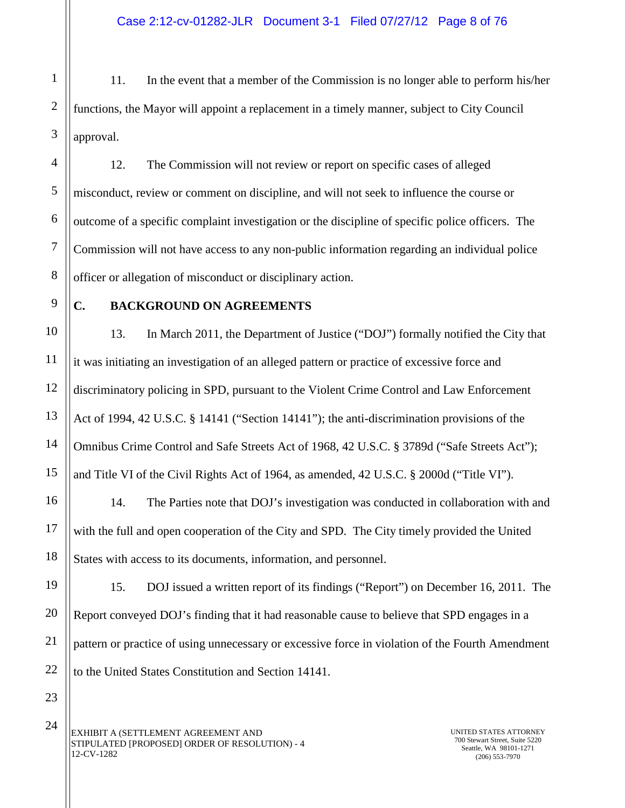1 2 3 11. In the event that a member of the Commission is no longer able to perform his/her functions, the Mayor will appoint a replacement in a timely manner, subject to City Council approval.

4 5 6 7 8 12. The Commission will not review or report on specific cases of alleged misconduct, review or comment on discipline, and will not seek to influence the course or outcome of a specific complaint investigation or the discipline of specific police officers. The Commission will not have access to any non-public information regarding an individual police officer or allegation of misconduct or disciplinary action.

9

10

11

12

13

14

15

16

17

18

# <span id="page-6-0"></span>**C. BACKGROUND ON AGREEMENTS**

13. In March 2011, the Department of Justice ("DOJ") formally notified the City that it was initiating an investigation of an alleged pattern or practice of excessive force and discriminatory policing in SPD, pursuant to the Violent Crime Control and Law Enforcement Act of 1994, 42 U.S.C. § 14141 ("Section 14141"); the anti-discrimination provisions of the Omnibus Crime Control and Safe Streets Act of 1968, 42 U.S.C. § 3789d ("Safe Streets Act"); and Title VI of the Civil Rights Act of 1964, as amended, 42 U.S.C. § 2000d ("Title VI").

14. The Parties note that DOJ's investigation was conducted in collaboration with and with the full and open cooperation of the City and SPD. The City timely provided the United States with access to its documents, information, and personnel.

19 20 22 15. DOJ issued a written report of its findings ("Report") on December 16, 2011. The Report conveyed DOJ's finding that it had reasonable cause to believe that SPD engages in a pattern or practice of using unnecessary or excessive force in violation of the Fourth Amendment to the United States Constitution and Section 14141.

23 24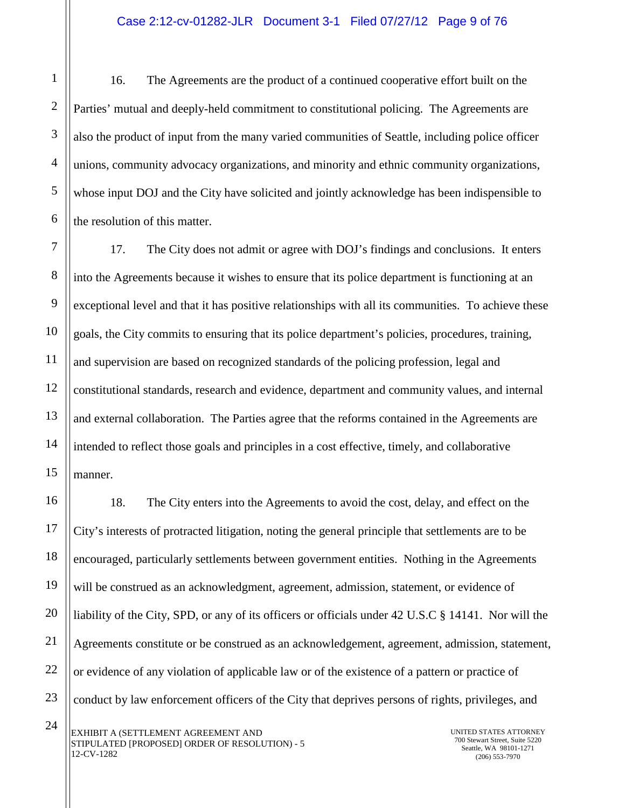16. The Agreements are the product of a continued cooperative effort built on the Parties' mutual and deeply-held commitment to constitutional policing. The Agreements are also the product of input from the many varied communities of Seattle, including police officer unions, community advocacy organizations, and minority and ethnic community organizations, whose input DOJ and the City have solicited and jointly acknowledge has been indispensible to the resolution of this matter.

17. The City does not admit or agree with DOJ's findings and conclusions. It enters into the Agreements because it wishes to ensure that its police department is functioning at an exceptional level and that it has positive relationships with all its communities. To achieve these goals, the City commits to ensuring that its police department's policies, procedures, training, and supervision are based on recognized standards of the policing profession, legal and constitutional standards, research and evidence, department and community values, and internal and external collaboration. The Parties agree that the reforms contained in the Agreements are intended to reflect those goals and principles in a cost effective, timely, and collaborative manner.

18. The City enters into the Agreements to avoid the cost, delay, and effect on the City's interests of protracted litigation, noting the general principle that settlements are to be encouraged, particularly settlements between government entities. Nothing in the Agreements will be construed as an acknowledgment, agreement, admission, statement, or evidence of liability of the City, SPD, or any of its officers or officials under 42 U.S.C § 14141. Nor will the Agreements constitute or be construed as an acknowledgement, agreement, admission, statement, or evidence of any violation of applicable law or of the existence of a pattern or practice of conduct by law enforcement officers of the City that deprives persons of rights, privileges, and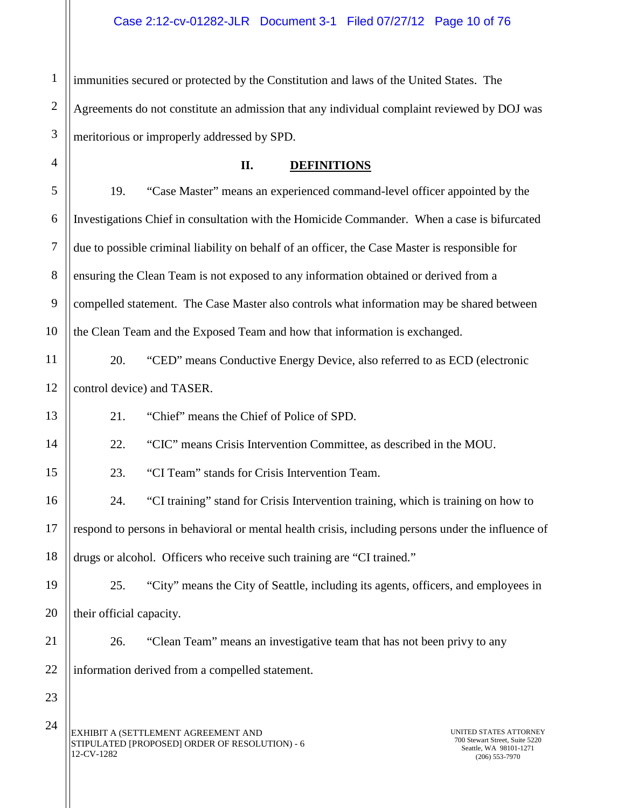1 2 3 immunities secured or protected by the Constitution and laws of the United States. The Agreements do not constitute an admission that any individual complaint reviewed by DOJ was meritorious or improperly addressed by SPD.

**II. DEFINITIONS**

5 6 7 8 9 10 19. "Case Master" means an experienced command-level officer appointed by the Investigations Chief in consultation with the Homicide Commander. When a case is bifurcated due to possible criminal liability on behalf of an officer, the Case Master is responsible for ensuring the Clean Team is not exposed to any information obtained or derived from a compelled statement. The Case Master also controls what information may be shared between the Clean Team and the Exposed Team and how that information is exchanged.

11 12 20. "CED" means Conductive Energy Device, also referred to as ECD (electronic control device) and TASER.

21. "Chief" means the Chief of Police of SPD.

22. "CIC" means Crisis Intervention Committee, as described in the MOU.

23. "CI Team" stands for Crisis Intervention Team.

16 17 18 24. "CI training" stand for Crisis Intervention training, which is training on how to respond to persons in behavioral or mental health crisis, including persons under the influence of drugs or alcohol. Officers who receive such training are "CI trained."

19 20 25. "City" means the City of Seattle, including its agents, officers, and employees in their official capacity.

21 22 26. "Clean Team" means an investigative team that has not been privy to any information derived from a compelled statement.

23

<span id="page-8-0"></span>4

13

14

15

EXHIBIT A (SETTLEMENT AGREEMENT AND STIPULATED [PROPOSED] ORDER OF RESOLUTION) - 6 12-CV-1282 24

UNITED STATES ATTORNEY 700 Stewart Street, Suite 5220 Seattle, WA 98101-1271 (206) 553-7970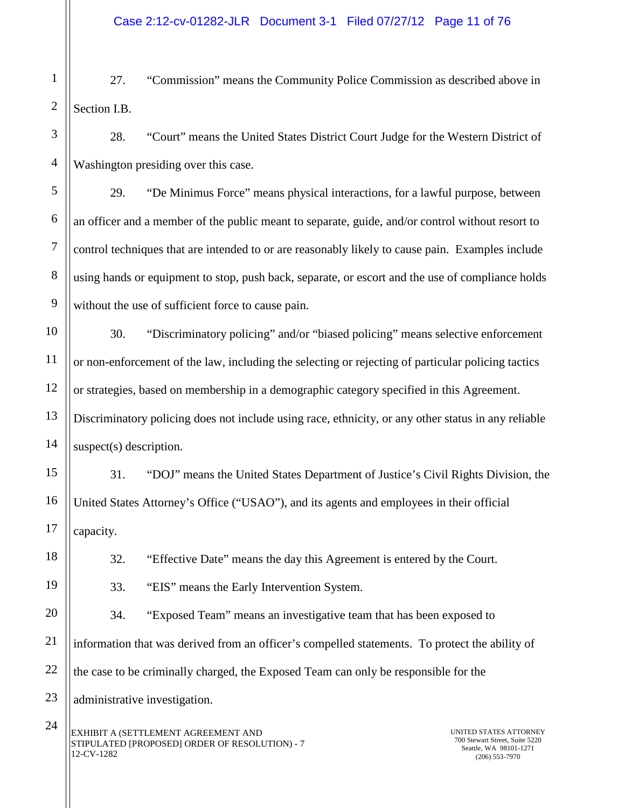1 2 27. "Commission" means the Community Police Commission as described above in Section I.B.

3 4 28. "Court" means the United States District Court Judge for the Western District of Washington presiding over this case.

29. "De Minimus Force" means physical interactions, for a lawful purpose, between an officer and a member of the public meant to separate, guide, and/or control without resort to control techniques that are intended to or are reasonably likely to cause pain. Examples include using hands or equipment to stop, push back, separate, or escort and the use of compliance holds without the use of sufficient force to cause pain.

30. "Discriminatory policing" and/or "biased policing" means selective enforcement or non-enforcement of the law, including the selecting or rejecting of particular policing tactics or strategies, based on membership in a demographic category specified in this Agreement. Discriminatory policing does not include using race, ethnicity, or any other status in any reliable suspect(s) description.

31. "DOJ" means the United States Department of Justice's Civil Rights Division, the United States Attorney's Office ("USAO"), and its agents and employees in their official capacity.

32. "Effective Date" means the day this Agreement is entered by the Court.

5

6

7

8

9

10

11

12

13

14

15

16

17

18

19

21

22

33. "EIS" means the Early Intervention System.

20 34. "Exposed Team" means an investigative team that has been exposed to information that was derived from an officer's compelled statements. To protect the ability of the case to be criminally charged, the Exposed Team can only be responsible for the

23 administrative investigation.

EXHIBIT A (SETTLEMENT AGREEMENT AND STIPULATED [PROPOSED] ORDER OF RESOLUTION) - 7 12-CV-1282 24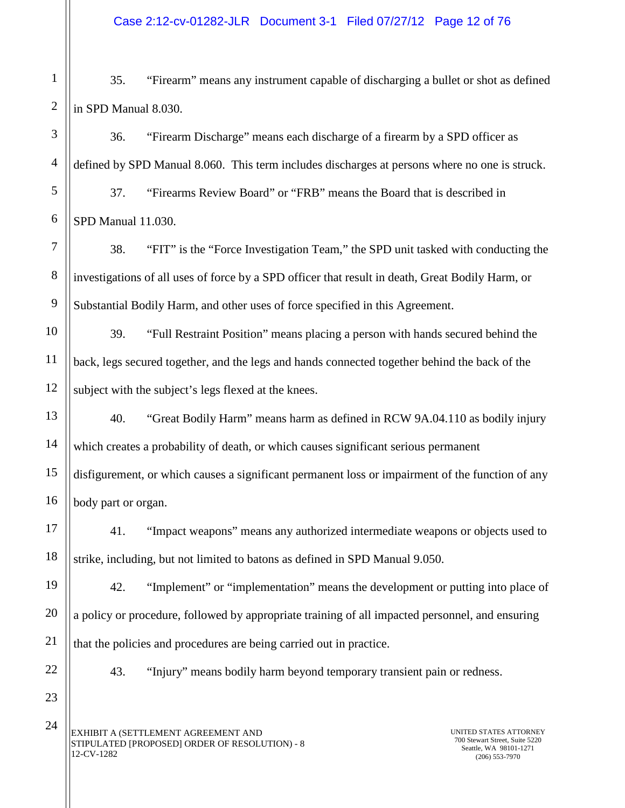1 2 35. "Firearm" means any instrument capable of discharging a bullet or shot as defined in SPD Manual 8.030.

36. "Firearm Discharge" means each discharge of a firearm by a SPD officer as defined by SPD Manual 8.060. This term includes discharges at persons where no one is struck.

37. "Firearms Review Board" or "FRB" means the Board that is described in SPD Manual 11.030.

38. "FIT" is the "Force Investigation Team," the SPD unit tasked with conducting the investigations of all uses of force by a SPD officer that result in death, Great Bodily Harm, or Substantial Bodily Harm, and other uses of force specified in this Agreement.

39. "Full Restraint Position" means placing a person with hands secured behind the back, legs secured together, and the legs and hands connected together behind the back of the subject with the subject's legs flexed at the knees.

40. "Great Bodily Harm" means harm as defined in RCW 9A.04.110 as bodily injury which creates a probability of death, or which causes significant serious permanent disfigurement, or which causes a significant permanent loss or impairment of the function of any body part or organ.

41. "Impact weapons" means any authorized intermediate weapons or objects used to strike, including, but not limited to batons as defined in SPD Manual 9.050.

42. "Implement" or "implementation" means the development or putting into place of a policy or procedure, followed by appropriate training of all impacted personnel, and ensuring that the policies and procedures are being carried out in practice.

43. "Injury" means bodily harm beyond temporary transient pain or redness.

EXHIBIT A (SETTLEMENT AGREEMENT AND STIPULATED [PROPOSED] ORDER OF RESOLUTION) - 8 12-CV-1282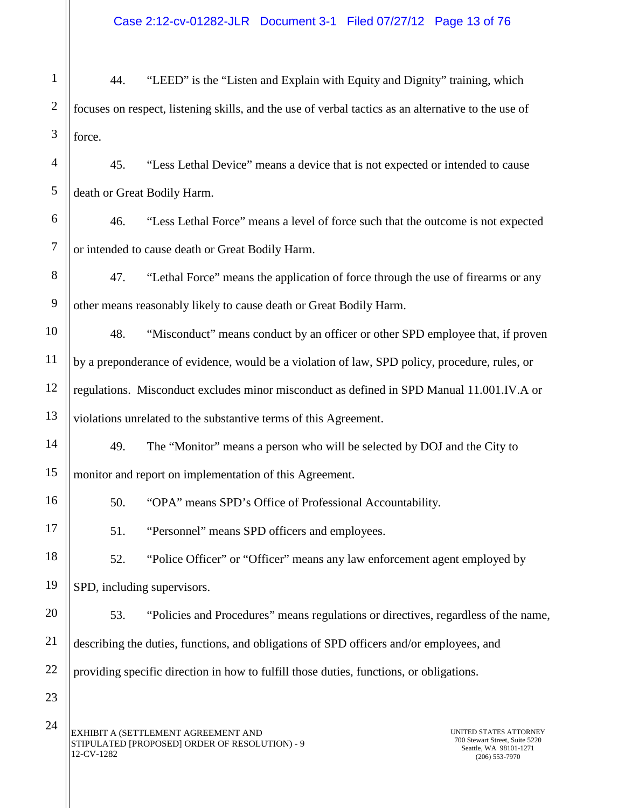Case 2:12-cv-01282-JLR Document 3-1 Filed 07/27/12 Page 13 of 76

1 2 3 44. "LEED" is the "Listen and Explain with Equity and Dignity" training, which focuses on respect, listening skills, and the use of verbal tactics as an alternative to the use of force.

4 5 45. "Less Lethal Device" means a device that is not expected or intended to cause death or Great Bodily Harm.

6 7 46. "Less Lethal Force" means a level of force such that the outcome is not expected or intended to cause death or Great Bodily Harm.

8 9 47. "Lethal Force" means the application of force through the use of firearms or any other means reasonably likely to cause death or Great Bodily Harm.

10 11 12 13 48. "Misconduct" means conduct by an officer or other SPD employee that, if proven by a preponderance of evidence, would be a violation of law, SPD policy, procedure, rules, or regulations. Misconduct excludes minor misconduct as defined in SPD Manual 11.001.IV.A or violations unrelated to the substantive terms of this Agreement.

49. The "Monitor" means a person who will be selected by DOJ and the City to monitor and report on implementation of this Agreement.

50. "OPA" means SPD's Office of Professional Accountability.

51. "Personnel" means SPD officers and employees.

18 19 52. "Police Officer" or "Officer" means any law enforcement agent employed by SPD, including supervisors.

20 21 22 53. "Policies and Procedures" means regulations or directives, regardless of the name, describing the duties, functions, and obligations of SPD officers and/or employees, and providing specific direction in how to fulfill those duties, functions, or obligations.

24

23

14

15

16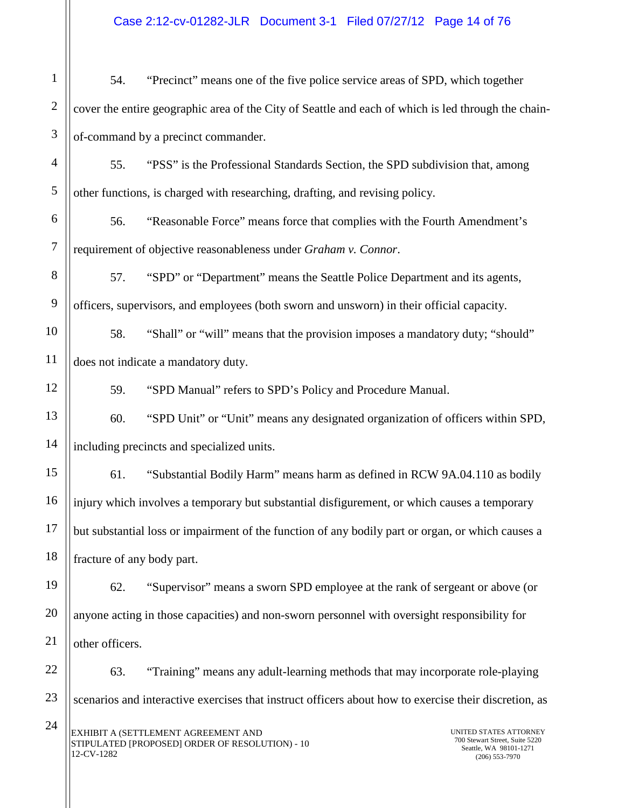Case 2:12-cv-01282-JLR Document 3-1 Filed 07/27/12 Page 14 of 76

1 2 3 4 5 6 7 8 9 10 11 12 13 14 15 16 17 18 19 20 21 54. "Precinct" means one of the five police service areas of SPD, which together cover the entire geographic area of the City of Seattle and each of which is led through the chainof-command by a precinct commander. 55. "PSS" is the Professional Standards Section, the SPD subdivision that, among other functions, is charged with researching, drafting, and revising policy. 56. "Reasonable Force" means force that complies with the Fourth Amendment's requirement of objective reasonableness under *Graham v. Connor*. 57. "SPD" or "Department" means the Seattle Police Department and its agents, officers, supervisors, and employees (both sworn and unsworn) in their official capacity. 58. "Shall" or "will" means that the provision imposes a mandatory duty; "should" does not indicate a mandatory duty. 59. "SPD Manual" refers to SPD's Policy and Procedure Manual. 60. "SPD Unit" or "Unit" means any designated organization of officers within SPD, including precincts and specialized units. 61. "Substantial Bodily Harm" means harm as defined in RCW 9A.04.110 as bodily injury which involves a temporary but substantial disfigurement, or which causes a temporary but substantial loss or impairment of the function of any bodily part or organ, or which causes a fracture of any body part. 62. "Supervisor" means a sworn SPD employee at the rank of sergeant or above (or anyone acting in those capacities) and non-sworn personnel with oversight responsibility for other officers.

22 23 24 63. "Training" means any adult-learning methods that may incorporate role-playing scenarios and interactive exercises that instruct officers about how to exercise their discretion, as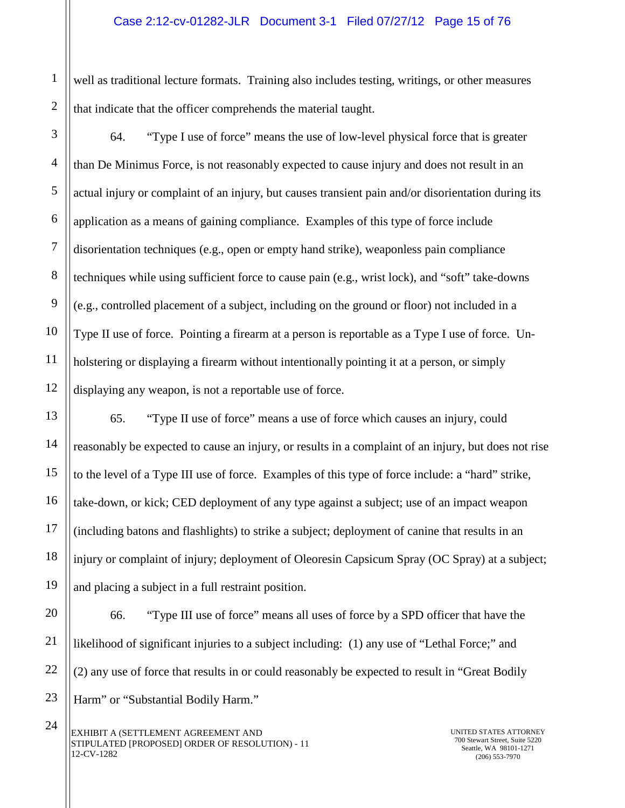well as traditional lecture formats. Training also includes testing, writings, or other measures that indicate that the officer comprehends the material taught.

64. "Type I use of force" means the use of low-level physical force that is greater than De Minimus Force, is not reasonably expected to cause injury and does not result in an actual injury or complaint of an injury, but causes transient pain and/or disorientation during its application as a means of gaining compliance. Examples of this type of force include disorientation techniques (e.g., open or empty hand strike), weaponless pain compliance techniques while using sufficient force to cause pain (e.g., wrist lock), and "soft" take-downs (e.g., controlled placement of a subject, including on the ground or floor) not included in a Type II use of force. Pointing a firearm at a person is reportable as a Type I use of force. Unholstering or displaying a firearm without intentionally pointing it at a person, or simply displaying any weapon, is not a reportable use of force.

65. "Type II use of force" means a use of force which causes an injury, could reasonably be expected to cause an injury, or results in a complaint of an injury, but does not rise to the level of a Type III use of force. Examples of this type of force include: a "hard" strike, take-down, or kick; CED deployment of any type against a subject; use of an impact weapon (including batons and flashlights) to strike a subject; deployment of canine that results in an injury or complaint of injury; deployment of Oleoresin Capsicum Spray (OC Spray) at a subject; and placing a subject in a full restraint position.

66. "Type III use of force" means all uses of force by a SPD officer that have the likelihood of significant injuries to a subject including: (1) any use of "Lethal Force;" and (2) any use of force that results in or could reasonably be expected to result in "Great Bodily Harm" or "Substantial Bodily Harm."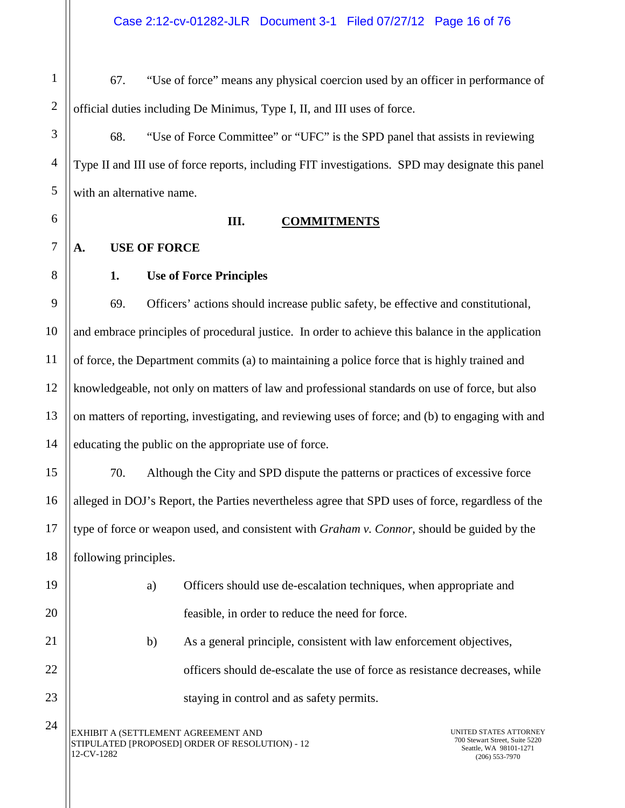1 2 67. "Use of force" means any physical coercion used by an officer in performance of official duties including De Minimus, Type I, II, and III uses of force.

68. "Use of Force Committee" or "UFC" is the SPD panel that assists in reviewing Type II and III use of force reports, including FIT investigations. SPD may designate this panel with an alternative name.

12

13

14

15

16

17

18

19

20

21

22

23

24

3

4

5

#### **III. COMMITMENTS**

# **1. Use of Force Principles**

<span id="page-14-2"></span><span id="page-14-1"></span><span id="page-14-0"></span>**A. USE OF FORCE**

69. Officers' actions should increase public safety, be effective and constitutional, and embrace principles of procedural justice. In order to achieve this balance in the application of force, the Department commits (a) to maintaining a police force that is highly trained and knowledgeable, not only on matters of law and professional standards on use of force, but also on matters of reporting, investigating, and reviewing uses of force; and (b) to engaging with and educating the public on the appropriate use of force.

70. Although the City and SPD dispute the patterns or practices of excessive force alleged in DOJ's Report, the Parties nevertheless agree that SPD uses of force, regardless of the type of force or weapon used, and consistent with *Graham v. Connor*, should be guided by the following principles.

| Officers should use de-escalation techniques, when appropriate and |
|--------------------------------------------------------------------|
| feasible, in order to reduce the need for force.                   |

b) As a general principle, consistent with law enforcement objectives, officers should de-escalate the use of force as resistance decreases, while staying in control and as safety permits.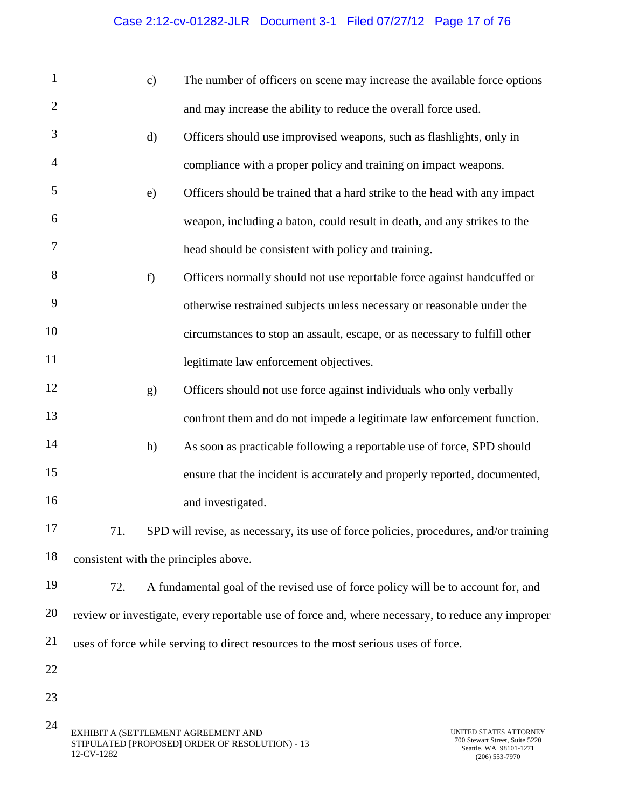| $\mathbf{1}$   |            | $\mathbf{c})$ | The number of officers on scene may increase the available force options                          |                                                                                                        |
|----------------|------------|---------------|---------------------------------------------------------------------------------------------------|--------------------------------------------------------------------------------------------------------|
| $\overline{c}$ |            |               | and may increase the ability to reduce the overall force used.                                    |                                                                                                        |
| 3              |            | $\mathbf{d}$  | Officers should use improvised weapons, such as flashlights, only in                              |                                                                                                        |
| 4              |            |               | compliance with a proper policy and training on impact weapons.                                   |                                                                                                        |
| 5              |            | e)            | Officers should be trained that a hard strike to the head with any impact                         |                                                                                                        |
| 6              |            |               | weapon, including a baton, could result in death, and any strikes to the                          |                                                                                                        |
| 7              |            |               | head should be consistent with policy and training.                                               |                                                                                                        |
| 8              |            | f             | Officers normally should not use reportable force against handcuffed or                           |                                                                                                        |
| 9              |            |               | otherwise restrained subjects unless necessary or reasonable under the                            |                                                                                                        |
| 10             |            |               | circumstances to stop an assault, escape, or as necessary to fulfill other                        |                                                                                                        |
| 11             |            |               | legitimate law enforcement objectives.                                                            |                                                                                                        |
| 12             |            | g)            | Officers should not use force against individuals who only verbally                               |                                                                                                        |
| 13             |            |               | confront them and do not impede a legitimate law enforcement function.                            |                                                                                                        |
| 14             |            | h)            | As soon as practicable following a reportable use of force, SPD should                            |                                                                                                        |
| 15             |            |               | ensure that the incident is accurately and properly reported, documented,                         |                                                                                                        |
| 16             |            |               | and investigated.                                                                                 |                                                                                                        |
| 17             | 71.        |               | SPD will revise, as necessary, its use of force policies, procedures, and/or training             |                                                                                                        |
| 18             |            |               | consistent with the principles above.                                                             |                                                                                                        |
| 19             | 72.        |               | A fundamental goal of the revised use of force policy will be to account for, and                 |                                                                                                        |
| 20             |            |               | review or investigate, every reportable use of force and, where necessary, to reduce any improper |                                                                                                        |
| 21             |            |               | uses of force while serving to direct resources to the most serious uses of force.                |                                                                                                        |
| 22             |            |               |                                                                                                   |                                                                                                        |
| 23             |            |               |                                                                                                   |                                                                                                        |
| 24             | 12-CV-1282 |               | EXHIBIT A (SETTLEMENT AGREEMENT AND<br>STIPULATED [PROPOSED] ORDER OF RESOLUTION) - 13            | UNITED STATES ATTORNEY<br>700 Stewart Street, Suite 5220<br>Seattle, WA 98101-1271<br>$(206)$ 553-7970 |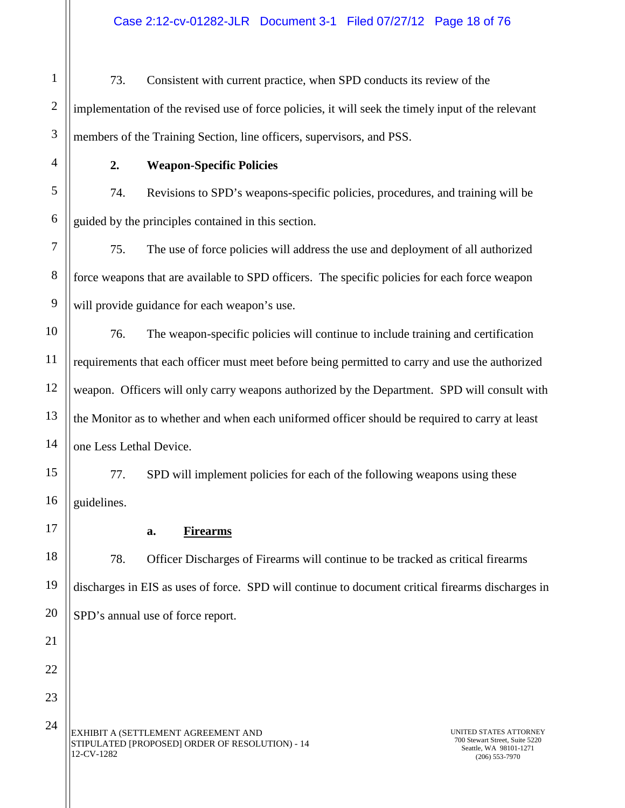Case 2:12-cv-01282-JLR Document 3-1 Filed 07/27/12 Page 18 of 76

1 2 3 73. Consistent with current practice, when SPD conducts its review of the implementation of the revised use of force policies, it will seek the timely input of the relevant members of the Training Section, line officers, supervisors, and PSS.

<span id="page-16-0"></span>

4

5

6

7

8

9

10

11

12

13

14

15

16

<span id="page-16-1"></span>17

18

19

20

21

22

23

24

## **2. Weapon-Specific Policies**

74. Revisions to SPD's weapons-specific policies, procedures, and training will be guided by the principles contained in this section.

75. The use of force policies will address the use and deployment of all authorized force weapons that are available to SPD officers. The specific policies for each force weapon will provide guidance for each weapon's use.

76. The weapon-specific policies will continue to include training and certification requirements that each officer must meet before being permitted to carry and use the authorized weapon. Officers will only carry weapons authorized by the Department. SPD will consult with the Monitor as to whether and when each uniformed officer should be required to carry at least one Less Lethal Device.

77. SPD will implement policies for each of the following weapons using these guidelines.

**a. Firearms**

78. Officer Discharges of Firearms will continue to be tracked as critical firearms discharges in EIS as uses of force. SPD will continue to document critical firearms discharges in SPD's annual use of force report.

EXHIBIT A (SETTLEMENT AGREEMENT AND STIPULATED [PROPOSED] ORDER OF RESOLUTION) - 14 12-CV-1282

UNITED STATES ATTORNEY 700 Stewart Street, Suite 5220 Seattle, WA 98101-1271 (206) 553-7970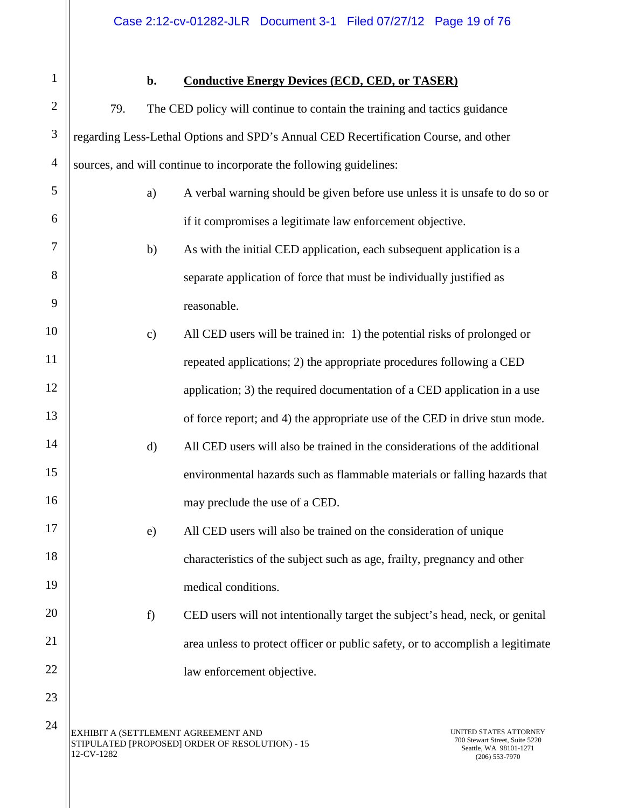<span id="page-17-0"></span>1 2

3

4

5

6

7

8

9

10

11

12

13

14

15

16

17

18

19

20

21

22

23

24

# **b. Conductive Energy Devices (ECD, CED, or TASER)**

79. The CED policy will continue to contain the training and tactics guidance regarding Less-Lethal Options and SPD's Annual CED Recertification Course, and other sources, and will continue to incorporate the following guidelines:

- a) A verbal warning should be given before use unless it is unsafe to do so or if it compromises a legitimate law enforcement objective.
- b) As with the initial CED application, each subsequent application is a separate application of force that must be individually justified as reasonable.
- c) All CED users will be trained in: 1) the potential risks of prolonged or repeated applications; 2) the appropriate procedures following a CED application; 3) the required documentation of a CED application in a use of force report; and 4) the appropriate use of the CED in drive stun mode.
	- d) All CED users will also be trained in the considerations of the additional environmental hazards such as flammable materials or falling hazards that may preclude the use of a CED.
		- e) All CED users will also be trained on the consideration of unique characteristics of the subject such as age, frailty, pregnancy and other medical conditions.
		- f) CED users will not intentionally target the subject's head, neck, or genital area unless to protect officer or public safety, or to accomplish a legitimate law enforcement objective.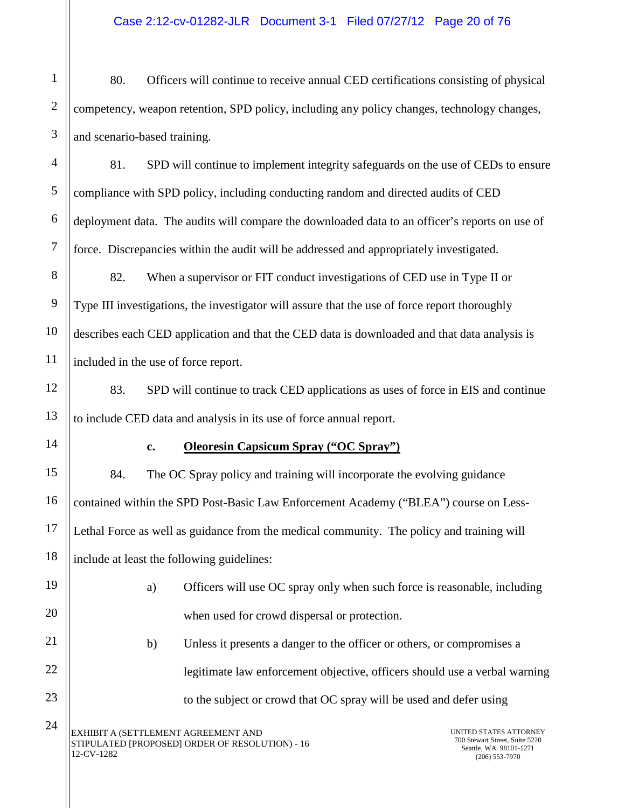80. Officers will continue to receive annual CED certifications consisting of physical competency, weapon retention, SPD policy, including any policy changes, technology changes, and scenario-based training.

81. SPD will continue to implement integrity safeguards on the use of CEDs to ensure compliance with SPD policy, including conducting random and directed audits of CED deployment data. The audits will compare the downloaded data to an officer's reports on use of force. Discrepancies within the audit will be addressed and appropriately investigated.

82. When a supervisor or FIT conduct investigations of CED use in Type II or Type III investigations, the investigator will assure that the use of force report thoroughly describes each CED application and that the CED data is downloaded and that data analysis is included in the use of force report.

83. SPD will continue to track CED applications as uses of force in EIS and continue to include CED data and analysis in its use of force annual report.

<span id="page-18-0"></span>

1

2

3

4

5

6

7

8

9

10

11

12

13

14

15

16

17

18

19

20

21

22

23

24

#### **c. Oleoresin Capsicum Spray ("OC Spray")**

84. The OC Spray policy and training will incorporate the evolving guidance contained within the SPD Post-Basic Law Enforcement Academy ("BLEA") course on Less-Lethal Force as well as guidance from the medical community. The policy and training will include at least the following guidelines:

| Officers will use OC spray only when such force is reasonable, including |
|--------------------------------------------------------------------------|
| when used for crowd dispersal or protection.                             |

b) Unless it presents a danger to the officer or others, or compromises a legitimate law enforcement objective, officers should use a verbal warning to the subject or crowd that OC spray will be used and defer using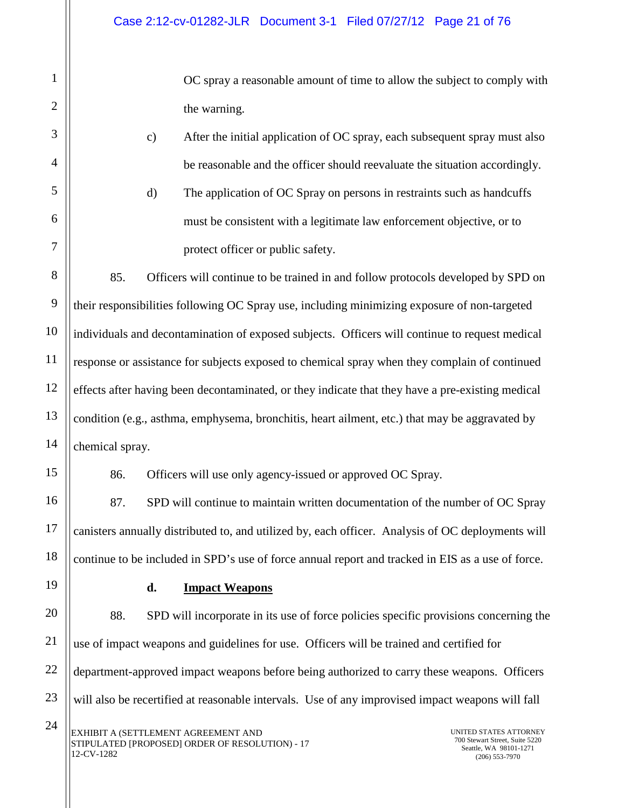OC spray a reasonable amount of time to allow the subject to comply with the warning.

- c) After the initial application of OC spray, each subsequent spray must also be reasonable and the officer should reevaluate the situation accordingly.
- d) The application of OC Spray on persons in restraints such as handcuffs must be consistent with a legitimate law enforcement objective, or to protect officer or public safety.

85. Officers will continue to be trained in and follow protocols developed by SPD on their responsibilities following OC Spray use, including minimizing exposure of non-targeted individuals and decontamination of exposed subjects. Officers will continue to request medical response or assistance for subjects exposed to chemical spray when they complain of continued effects after having been decontaminated, or they indicate that they have a pre-existing medical condition (e.g., asthma, emphysema, bronchitis, heart ailment, etc.) that may be aggravated by chemical spray.

86. Officers will use only agency-issued or approved OC Spray.

87. SPD will continue to maintain written documentation of the number of OC Spray canisters annually distributed to, and utilized by, each officer. Analysis of OC deployments will continue to be included in SPD's use of force annual report and tracked in EIS as a use of force.

<span id="page-19-0"></span>19

1

2

3

4

5

6

7

8

9

10

11

12

13

14

15

16

17

18

# **d. Impact Weapons**

20 21 22 23 88. SPD will incorporate in its use of force policies specific provisions concerning the use of impact weapons and guidelines for use. Officers will be trained and certified for department-approved impact weapons before being authorized to carry these weapons. Officers will also be recertified at reasonable intervals. Use of any improvised impact weapons will fall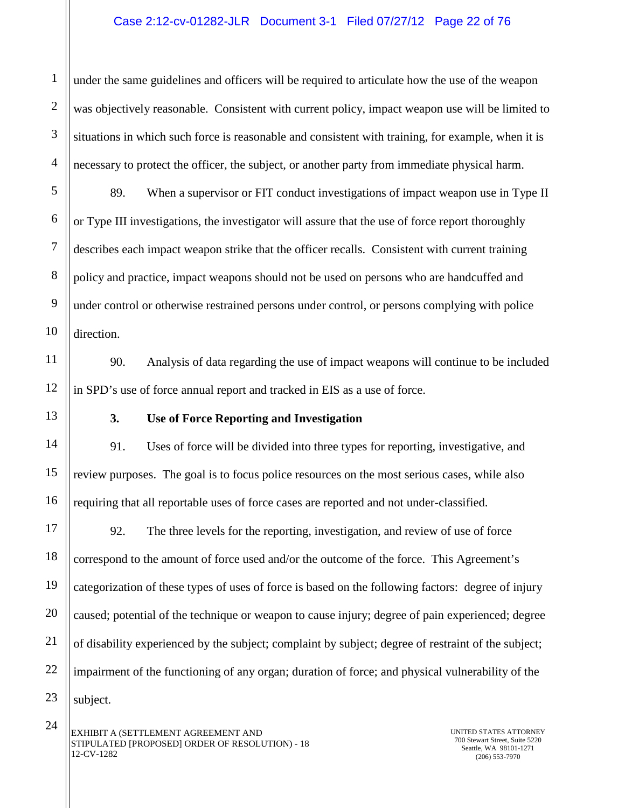#### Case 2:12-cv-01282-JLR Document 3-1 Filed 07/27/12 Page 22 of 76

under the same guidelines and officers will be required to articulate how the use of the weapon was objectively reasonable. Consistent with current policy, impact weapon use will be limited to situations in which such force is reasonable and consistent with training, for example, when it is necessary to protect the officer, the subject, or another party from immediate physical harm.

89. When a supervisor or FIT conduct investigations of impact weapon use in Type II or Type III investigations, the investigator will assure that the use of force report thoroughly describes each impact weapon strike that the officer recalls. Consistent with current training policy and practice, impact weapons should not be used on persons who are handcuffed and under control or otherwise restrained persons under control, or persons complying with police direction.

90. Analysis of data regarding the use of impact weapons will continue to be included in SPD's use of force annual report and tracked in EIS as a use of force.

## **3. Use of Force Reporting and Investigation**

<span id="page-20-0"></span>91. Uses of force will be divided into three types for reporting, investigative, and review purposes. The goal is to focus police resources on the most serious cases, while also requiring that all reportable uses of force cases are reported and not under-classified.

92. The three levels for the reporting, investigation, and review of use of force correspond to the amount of force used and/or the outcome of the force. This Agreement's categorization of these types of uses of force is based on the following factors: degree of injury caused; potential of the technique or weapon to cause injury; degree of pain experienced; degree of disability experienced by the subject; complaint by subject; degree of restraint of the subject; impairment of the functioning of any organ; duration of force; and physical vulnerability of the subject.

24

1

2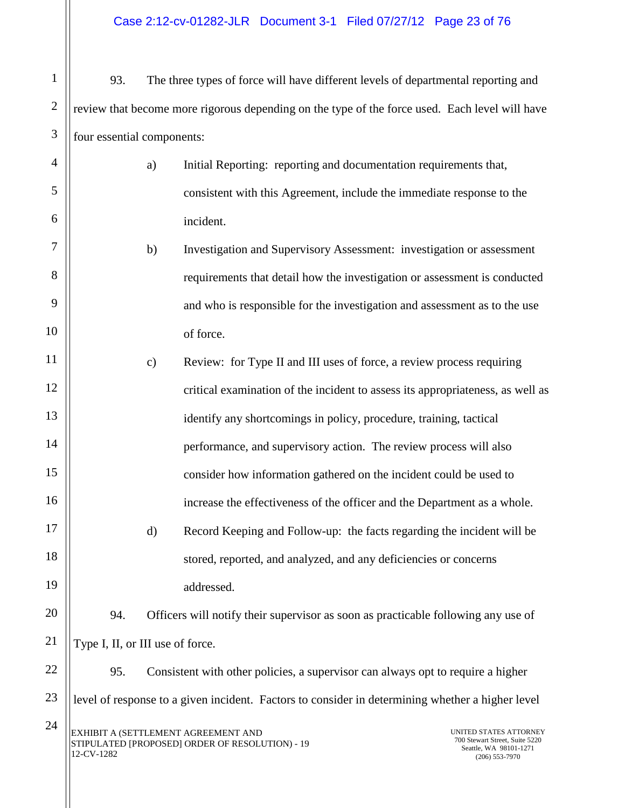- 1 2 3 93. The three types of force will have different levels of departmental reporting and review that become more rigorous depending on the type of the force used. Each level will have four essential components:
	- a) Initial Reporting: reporting and documentation requirements that, consistent with this Agreement, include the immediate response to the incident.
	- b) Investigation and Supervisory Assessment: investigation or assessment requirements that detail how the investigation or assessment is conducted and who is responsible for the investigation and assessment as to the use of force.
	- c) Review: for Type II and III uses of force, a review process requiring critical examination of the incident to assess its appropriateness, as well as identify any shortcomings in policy, procedure, training, tactical performance, and supervisory action. The review process will also consider how information gathered on the incident could be used to increase the effectiveness of the officer and the Department as a whole. d) Record Keeping and Follow-up: the facts regarding the incident will be stored, reported, and analyzed, and any deficiencies or concerns addressed.

20 21 94. Officers will notify their supervisor as soon as practicable following any use of Type I, II, or III use of force.

22 23 24 95. Consistent with other policies, a supervisor can always opt to require a higher level of response to a given incident. Factors to consider in determining whether a higher level

4

5

6

7

8

9

10

11

12

13

14

15

16

17

18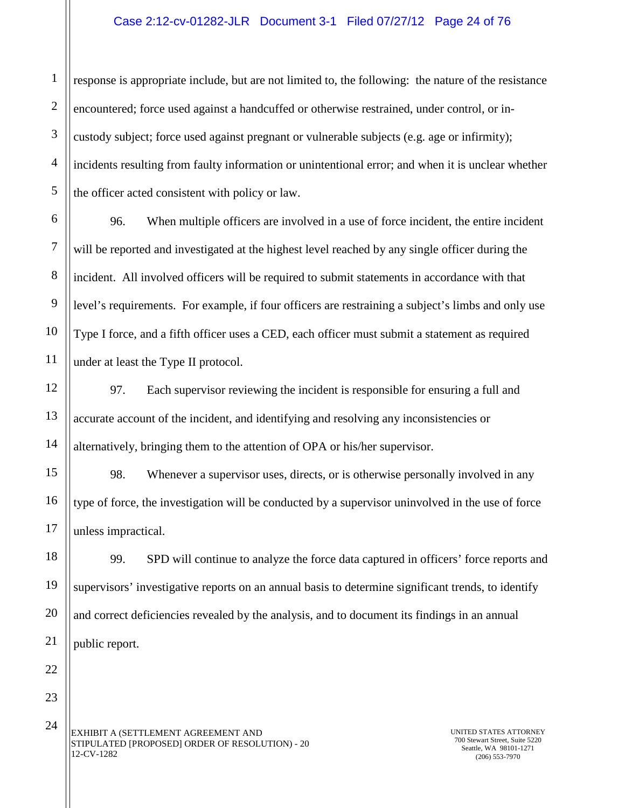#### Case 2:12-cv-01282-JLR Document 3-1 Filed 07/27/12 Page 24 of 76

response is appropriate include, but are not limited to, the following: the nature of the resistance encountered; force used against a handcuffed or otherwise restrained, under control, or incustody subject; force used against pregnant or vulnerable subjects (e.g. age or infirmity); incidents resulting from faulty information or unintentional error; and when it is unclear whether the officer acted consistent with policy or law.

96. When multiple officers are involved in a use of force incident, the entire incident will be reported and investigated at the highest level reached by any single officer during the incident. All involved officers will be required to submit statements in accordance with that level's requirements. For example, if four officers are restraining a subject's limbs and only use Type I force, and a fifth officer uses a CED, each officer must submit a statement as required under at least the Type II protocol.

97. Each supervisor reviewing the incident is responsible for ensuring a full and accurate account of the incident, and identifying and resolving any inconsistencies or alternatively, bringing them to the attention of OPA or his/her supervisor.

98. Whenever a supervisor uses, directs, or is otherwise personally involved in any type of force, the investigation will be conducted by a supervisor uninvolved in the use of force unless impractical.

99. SPD will continue to analyze the force data captured in officers' force reports and supervisors' investigative reports on an annual basis to determine significant trends, to identify and correct deficiencies revealed by the analysis, and to document its findings in an annual public report.

EXHIBIT A (SETTLEMENT AGREEMENT AND STIPULATED [PROPOSED] ORDER OF RESOLUTION) - 20 12-CV-1282

UNITED STATES ATTORNEY 700 Stewart Street, Suite 5220 Seattle, WA 98101-1271 (206) 553-7970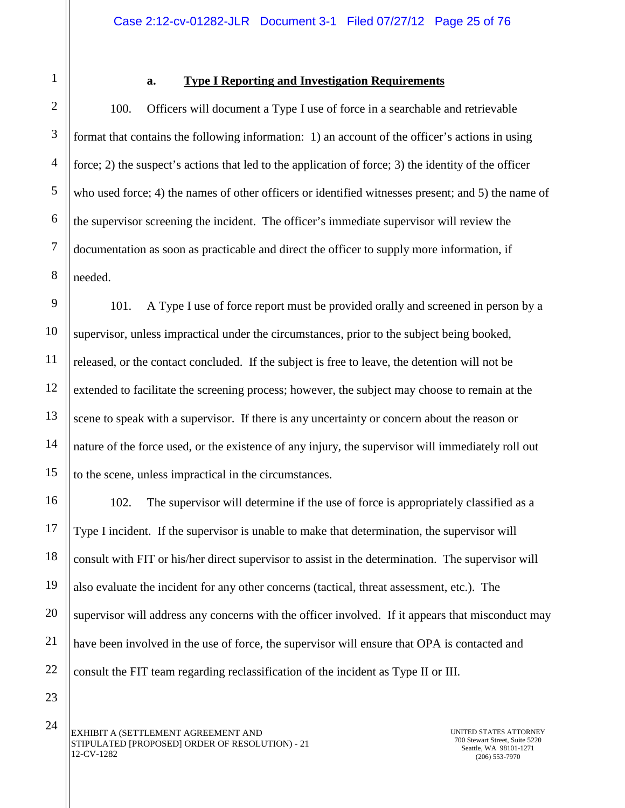<span id="page-23-0"></span>1

2

3

4

5

6

7

8

9

10

11

13

14

15

16

17

18

19

20

21

22

#### **a. Type I Reporting and Investigation Requirements**

100. Officers will document a Type I use of force in a searchable and retrievable format that contains the following information: 1) an account of the officer's actions in using force; 2) the suspect's actions that led to the application of force; 3) the identity of the officer who used force; 4) the names of other officers or identified witnesses present; and 5) the name of the supervisor screening the incident. The officer's immediate supervisor will review the documentation as soon as practicable and direct the officer to supply more information, if needed.

12 101. A Type I use of force report must be provided orally and screened in person by a supervisor, unless impractical under the circumstances, prior to the subject being booked, released, or the contact concluded. If the subject is free to leave, the detention will not be extended to facilitate the screening process; however, the subject may choose to remain at the scene to speak with a supervisor. If there is any uncertainty or concern about the reason or nature of the force used, or the existence of any injury, the supervisor will immediately roll out to the scene, unless impractical in the circumstances.

102. The supervisor will determine if the use of force is appropriately classified as a Type I incident. If the supervisor is unable to make that determination, the supervisor will consult with FIT or his/her direct supervisor to assist in the determination. The supervisor will also evaluate the incident for any other concerns (tactical, threat assessment, etc.). The supervisor will address any concerns with the officer involved. If it appears that misconduct may have been involved in the use of force, the supervisor will ensure that OPA is contacted and consult the FIT team regarding reclassification of the incident as Type II or III.

23

24

EXHIBIT A (SETTLEMENT AGREEMENT AND STIPULATED [PROPOSED] ORDER OF RESOLUTION) - 21 12-CV-1282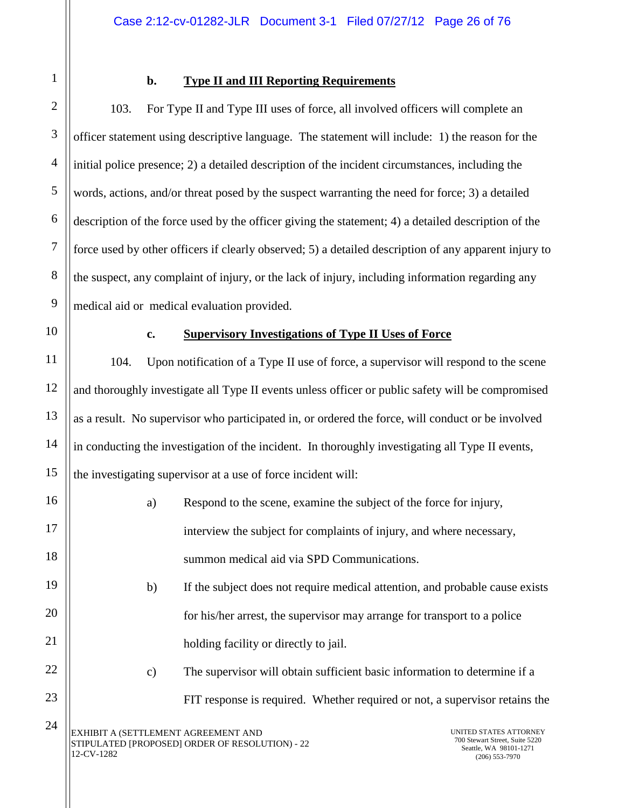<span id="page-24-0"></span>

1

2

# **b. Type II and III Reporting Requirements**

103. For Type II and Type III uses of force, all involved officers will complete an officer statement using descriptive language. The statement will include: 1) the reason for the initial police presence; 2) a detailed description of the incident circumstances, including the words, actions, and/or threat posed by the suspect warranting the need for force; 3) a detailed description of the force used by the officer giving the statement; 4) a detailed description of the force used by other officers if clearly observed; 5) a detailed description of any apparent injury to the suspect, any complaint of injury, or the lack of injury, including information regarding any medical aid or medical evaluation provided.

<span id="page-24-1"></span>

# **c. Supervisory Investigations of Type II Uses of Force**

104. Upon notification of a Type II use of force, a supervisor will respond to the scene and thoroughly investigate all Type II events unless officer or public safety will be compromised as a result. No supervisor who participated in, or ordered the force, will conduct or be involved in conducting the investigation of the incident. In thoroughly investigating all Type II events, the investigating supervisor at a use of force incident will:

- a) Respond to the scene, examine the subject of the force for injury, interview the subject for complaints of injury, and where necessary, summon medical aid via SPD Communications.
- b) If the subject does not require medical attention, and probable cause exists for his/her arrest, the supervisor may arrange for transport to a police holding facility or directly to jail.
	- c) The supervisor will obtain sufficient basic information to determine if a FIT response is required. Whether required or not, a supervisor retains the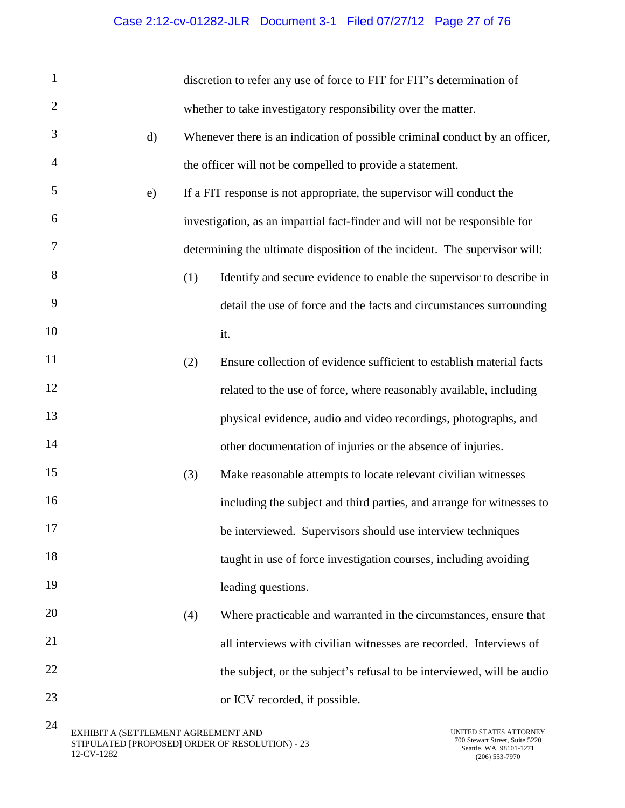| $\mathbf{1}$ |                                                                                                      |     | discretion to refer any use of force to FIT for FIT's determination of                                 |
|--------------|------------------------------------------------------------------------------------------------------|-----|--------------------------------------------------------------------------------------------------------|
| $\mathbf{2}$ |                                                                                                      |     | whether to take investigatory responsibility over the matter.                                          |
| 3            | $\mathbf{d}$                                                                                         |     | Whenever there is an indication of possible criminal conduct by an officer,                            |
| 4            |                                                                                                      |     | the officer will not be compelled to provide a statement.                                              |
| 5            | e)                                                                                                   |     | If a FIT response is not appropriate, the supervisor will conduct the                                  |
| 6            |                                                                                                      |     | investigation, as an impartial fact-finder and will not be responsible for                             |
| 7            |                                                                                                      |     | determining the ultimate disposition of the incident. The supervisor will:                             |
| 8            |                                                                                                      | (1) | Identify and secure evidence to enable the supervisor to describe in                                   |
| 9            |                                                                                                      |     | detail the use of force and the facts and circumstances surrounding                                    |
| 10           |                                                                                                      |     | it.                                                                                                    |
| 11           |                                                                                                      | (2) | Ensure collection of evidence sufficient to establish material facts                                   |
| 12           |                                                                                                      |     | related to the use of force, where reasonably available, including                                     |
| 13           |                                                                                                      |     | physical evidence, audio and video recordings, photographs, and                                        |
| 14           |                                                                                                      |     | other documentation of injuries or the absence of injuries.                                            |
| 15           |                                                                                                      | (3) | Make reasonable attempts to locate relevant civilian witnesses                                         |
| 16           |                                                                                                      |     | including the subject and third parties, and arrange for witnesses to                                  |
| 17           |                                                                                                      |     | be interviewed. Supervisors should use interview techniques                                            |
| 18           |                                                                                                      |     | taught in use of force investigation courses, including avoiding                                       |
| 19           |                                                                                                      |     | leading questions.                                                                                     |
| 20           |                                                                                                      | (4) | Where practicable and warranted in the circumstances, ensure that                                      |
| 21           |                                                                                                      |     | all interviews with civilian witnesses are recorded. Interviews of                                     |
| 22           |                                                                                                      |     | the subject, or the subject's refusal to be interviewed, will be audio                                 |
| 23           |                                                                                                      |     | or ICV recorded, if possible.                                                                          |
| 24           | EXHIBIT A (SETTLEMENT AGREEMENT AND<br>STIPULATED [PROPOSED] ORDER OF RESOLUTION) - 23<br>12-CV-1282 |     | UNITED STATES ATTORNEY<br>700 Stewart Street, Suite 5220<br>Seattle, WA 98101-1271<br>$(206)$ 553-7970 |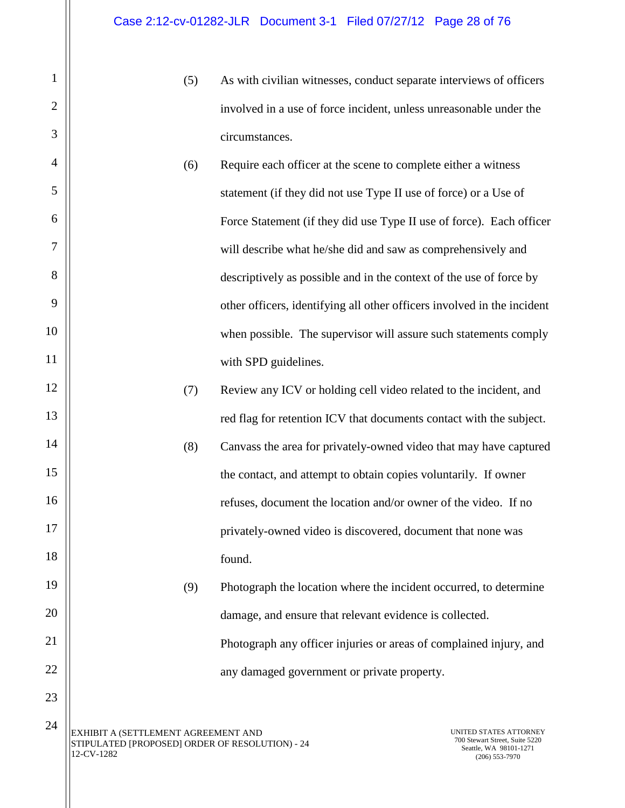- (5) As with civilian witnesses, conduct separate interviews of officers involved in a use of force incident, unless unreasonable under the circumstances.
- (6) Require each officer at the scene to complete either a witness statement (if they did not use Type II use of force) or a Use of Force Statement (if they did use Type II use of force). Each officer will describe what he/she did and saw as comprehensively and descriptively as possible and in the context of the use of force by other officers, identifying all other officers involved in the incident when possible. The supervisor will assure such statements comply with SPD guidelines.
- (7) Review any ICV or holding cell video related to the incident, and red flag for retention ICV that documents contact with the subject.
- (8) Canvass the area for privately-owned video that may have captured the contact, and attempt to obtain copies voluntarily. If owner refuses, document the location and/or owner of the video. If no privately-owned video is discovered, document that none was found.
- (9) Photograph the location where the incident occurred, to determine damage, and ensure that relevant evidence is collected. Photograph any officer injuries or areas of complained injury, and any damaged government or private property.

EXHIBIT A (SETTLEMENT AGREEMENT AND STIPULATED [PROPOSED] ORDER OF RESOLUTION) - 24 12-CV-1282 24

1

2

3

4

5

6

7

8

9

10

11

12

13

14

15

16

17

18

19

20

21

22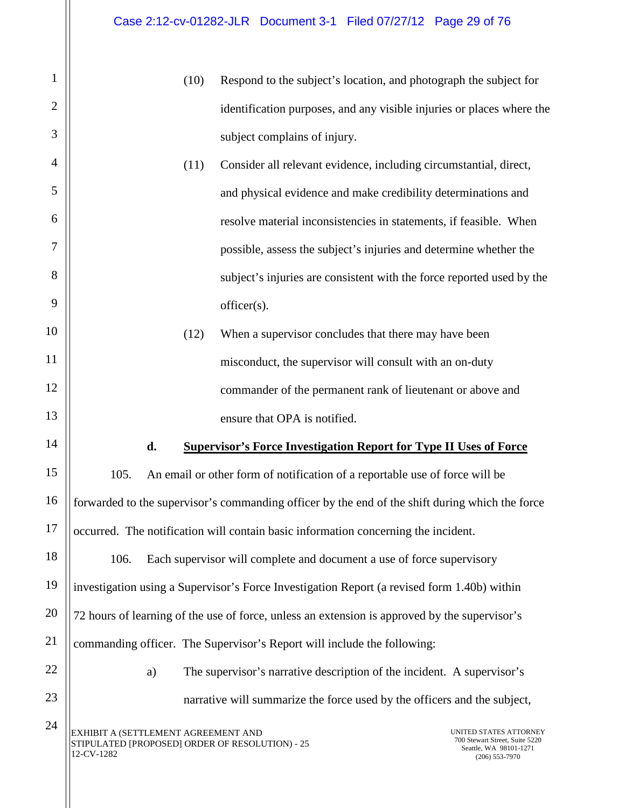<span id="page-27-0"></span>EXHIBIT A (SETTLEMENT AGREEMENT AND STIPULATED [PROPOSED] ORDER OF RESOLUTION) - 25 12-CV-1282 UNITED STATES ATTORNEY 700 Stewart Street, Suite 5220 Seattle, WA 98101-1271 (206) 553-7970 1 2 3 4 5 6 7 8 9 10 11 12 13 14 15 16 17 18 19 20 21 22 23 24 (10) Respond to the subject's location, and photograph the subject for identification purposes, and any visible injuries or places where the subject complains of injury. (11) Consider all relevant evidence, including circumstantial, direct, and physical evidence and make credibility determinations and resolve material inconsistencies in statements, if feasible. When possible, assess the subject's injuries and determine whether the subject's injuries are consistent with the force reported used by the officer(s). (12) When a supervisor concludes that there may have been misconduct, the supervisor will consult with an on-duty commander of the permanent rank of lieutenant or above and ensure that OPA is notified. **d. Supervisor's Force Investigation Report for Type II Uses of Force** 105. An email or other form of notification of a reportable use of force will be forwarded to the supervisor's commanding officer by the end of the shift during which the force occurred. The notification will contain basic information concerning the incident. 106. Each supervisor will complete and document a use of force supervisory investigation using a Supervisor's Force Investigation Report (a revised form 1.40b) within 72 hours of learning of the use of force, unless an extension is approved by the supervisor's commanding officer. The Supervisor's Report will include the following: a) The supervisor's narrative description of the incident. A supervisor's narrative will summarize the force used by the officers and the subject,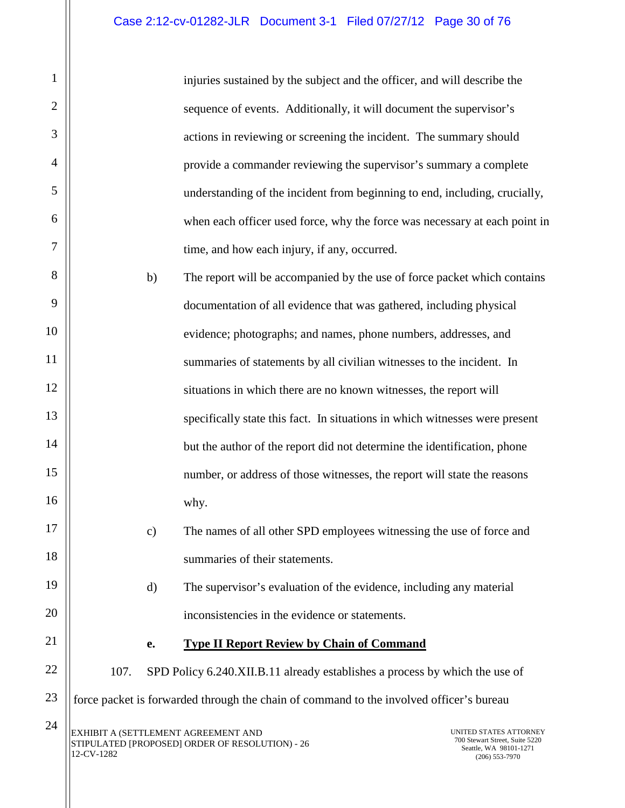injuries sustained by the subject and the officer, and will describe the sequence of events. Additionally, it will document the supervisor's actions in reviewing or screening the incident. The summary should provide a commander reviewing the supervisor's summary a complete understanding of the incident from beginning to end, including, crucially, when each officer used force, why the force was necessary at each point in time, and how each injury, if any, occurred.

b) The report will be accompanied by the use of force packet which contains documentation of all evidence that was gathered, including physical evidence; photographs; and names, phone numbers, addresses, and summaries of statements by all civilian witnesses to the incident. In situations in which there are no known witnesses, the report will specifically state this fact. In situations in which witnesses were present but the author of the report did not determine the identification, phone number, or address of those witnesses, the report will state the reasons why.

- c) The names of all other SPD employees witnessing the use of force and summaries of their statements.
	- d) The supervisor's evaluation of the evidence, including any material inconsistencies in the evidence or statements.

#### **e. Type II Report Review by Chain of Command**

107. SPD Policy 6.240.XII.B.11 already establishes a process by which the use of force packet is forwarded through the chain of command to the involved officer's bureau

1

2

3

4

5

6

7

8

9

10

11

12

13

14

15

16

17

18

19

20

<span id="page-28-0"></span>21

22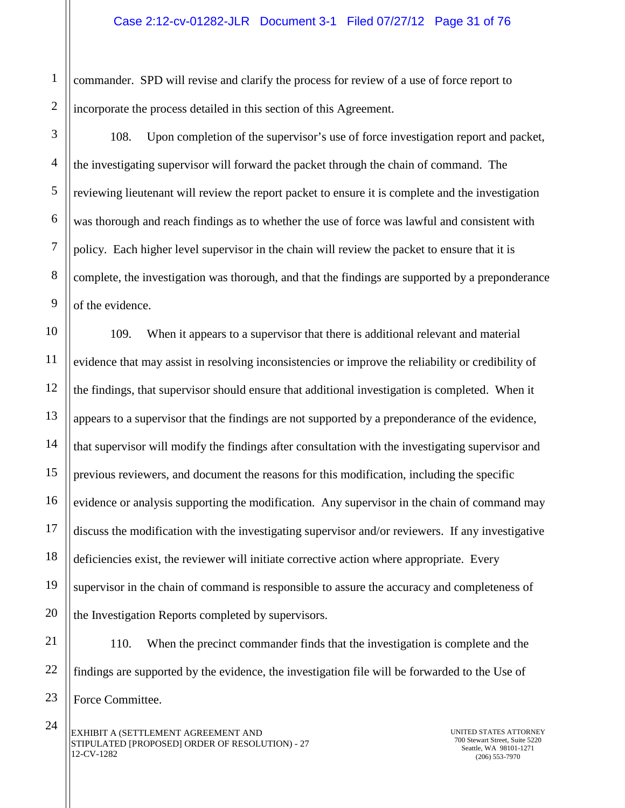2 commander. SPD will revise and clarify the process for review of a use of force report to incorporate the process detailed in this section of this Agreement.

1

3

4

5

6

7

8

9

108. Upon completion of the supervisor's use of force investigation report and packet, the investigating supervisor will forward the packet through the chain of command. The reviewing lieutenant will review the report packet to ensure it is complete and the investigation was thorough and reach findings as to whether the use of force was lawful and consistent with policy. Each higher level supervisor in the chain will review the packet to ensure that it is complete, the investigation was thorough, and that the findings are supported by a preponderance of the evidence.

10 11 12 13 14 15 16 17 18 19 20 109. When it appears to a supervisor that there is additional relevant and material evidence that may assist in resolving inconsistencies or improve the reliability or credibility of the findings, that supervisor should ensure that additional investigation is completed. When it appears to a supervisor that the findings are not supported by a preponderance of the evidence, that supervisor will modify the findings after consultation with the investigating supervisor and previous reviewers, and document the reasons for this modification, including the specific evidence or analysis supporting the modification. Any supervisor in the chain of command may discuss the modification with the investigating supervisor and/or reviewers. If any investigative deficiencies exist, the reviewer will initiate corrective action where appropriate. Every supervisor in the chain of command is responsible to assure the accuracy and completeness of the Investigation Reports completed by supervisors.

21 22 23 110. When the precinct commander finds that the investigation is complete and the findings are supported by the evidence, the investigation file will be forwarded to the Use of Force Committee.

EXHIBIT A (SETTLEMENT AGREEMENT AND STIPULATED [PROPOSED] ORDER OF RESOLUTION) - 27 12-CV-1282 24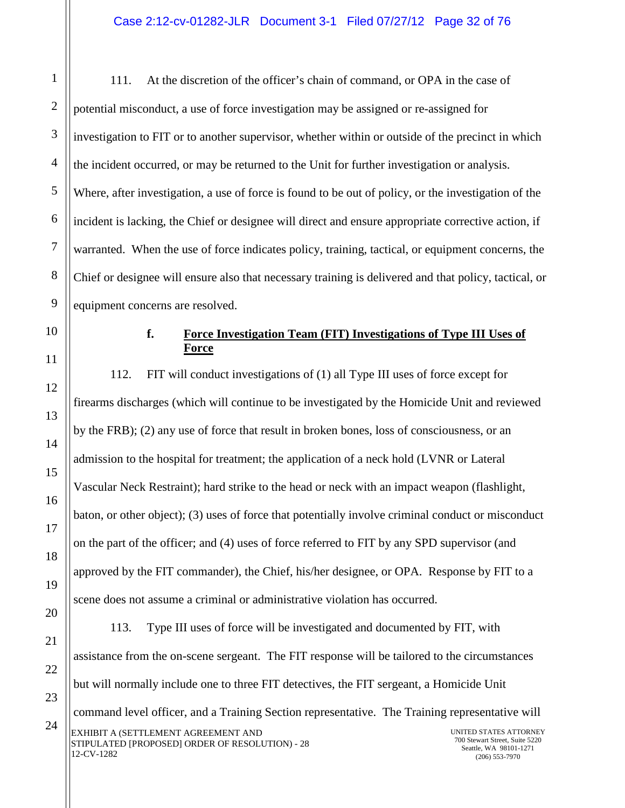111. At the discretion of the officer's chain of command, or OPA in the case of potential misconduct, a use of force investigation may be assigned or re-assigned for investigation to FIT or to another supervisor, whether within or outside of the precinct in which the incident occurred, or may be returned to the Unit for further investigation or analysis. Where, after investigation, a use of force is found to be out of policy, or the investigation of the incident is lacking, the Chief or designee will direct and ensure appropriate corrective action, if warranted. When the use of force indicates policy, training, tactical, or equipment concerns, the Chief or designee will ensure also that necessary training is delivered and that policy, tactical, or equipment concerns are resolved.

<span id="page-30-0"></span>10

1

2

3

4

5

6

7

8

9

11

12

13

14

15

16

17

18

19

20

21

22

23

24

# **f. Force Investigation Team (FIT) Investigations of Type III Uses of Force**

112. FIT will conduct investigations of (1) all Type III uses of force except for firearms discharges (which will continue to be investigated by the Homicide Unit and reviewed by the FRB); (2) any use of force that result in broken bones, loss of consciousness, or an admission to the hospital for treatment; the application of a neck hold (LVNR or Lateral Vascular Neck Restraint); hard strike to the head or neck with an impact weapon (flashlight, baton, or other object); (3) uses of force that potentially involve criminal conduct or misconduct on the part of the officer; and (4) uses of force referred to FIT by any SPD supervisor (and approved by the FIT commander), the Chief, his/her designee, or OPA. Response by FIT to a scene does not assume a criminal or administrative violation has occurred. 113. Type III uses of force will be investigated and documented by FIT, with assistance from the on-scene sergeant. The FIT response will be tailored to the circumstances but will normally include one to three FIT detectives, the FIT sergeant, a Homicide Unit command level officer, and a Training Section representative. The Training representative will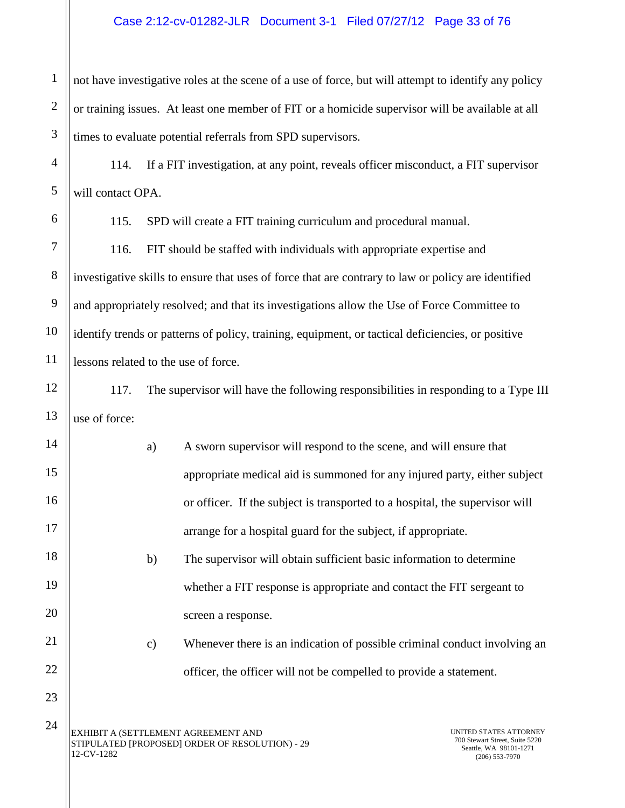#### Case 2:12-cv-01282-JLR Document 3-1 Filed 07/27/12 Page 33 of 76

1 2 3 not have investigative roles at the scene of a use of force, but will attempt to identify any policy or training issues. At least one member of FIT or a homicide supervisor will be available at all times to evaluate potential referrals from SPD supervisors.

114. If a FIT investigation, at any point, reveals officer misconduct, a FIT supervisor will contact OPA.

4

5

6

7

8

9

10

11

12

13

14

15

16

17

18

19

20

21

22

23

115. SPD will create a FIT training curriculum and procedural manual.

116. FIT should be staffed with individuals with appropriate expertise and investigative skills to ensure that uses of force that are contrary to law or policy are identified and appropriately resolved; and that its investigations allow the Use of Force Committee to identify trends or patterns of policy, training, equipment, or tactical deficiencies, or positive lessons related to the use of force.

117. The supervisor will have the following responsibilities in responding to a Type III use of force:

a) A sworn supervisor will respond to the scene, and will ensure that appropriate medical aid is summoned for any injured party, either subject or officer. If the subject is transported to a hospital, the supervisor will arrange for a hospital guard for the subject, if appropriate. b) The supervisor will obtain sufficient basic information to determine

> whether a FIT response is appropriate and contact the FIT sergeant to screen a response.

c) Whenever there is an indication of possible criminal conduct involving an officer, the officer will not be compelled to provide a statement.

EXHIBIT A (SETTLEMENT AGREEMENT AND STIPULATED [PROPOSED] ORDER OF RESOLUTION) - 29 12-CV-1282 24

UNITED STATES ATTORNEY 700 Stewart Street, Suite 5220 Seattle, WA 98101-1271 (206) 553-7970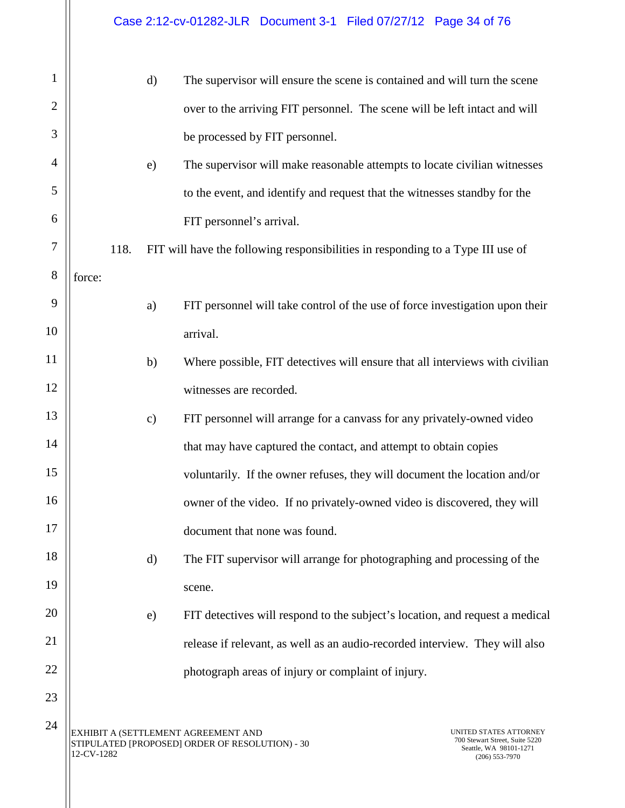| $\mathbf{1}$   |            |      | $\mathbf{d}$  | The supervisor will ensure the scene is contained and will turn the scene              |                                                                                                        |
|----------------|------------|------|---------------|----------------------------------------------------------------------------------------|--------------------------------------------------------------------------------------------------------|
| $\overline{2}$ |            |      |               | over to the arriving FIT personnel. The scene will be left intact and will             |                                                                                                        |
| 3              |            |      |               | be processed by FIT personnel.                                                         |                                                                                                        |
| 4              |            |      | e)            | The supervisor will make reasonable attempts to locate civilian witnesses              |                                                                                                        |
| 5              |            |      |               | to the event, and identify and request that the witnesses standby for the              |                                                                                                        |
| 6              |            |      |               | FIT personnel's arrival.                                                               |                                                                                                        |
| 7              |            | 118. |               | FIT will have the following responsibilities in responding to a Type III use of        |                                                                                                        |
| 8              | force:     |      |               |                                                                                        |                                                                                                        |
| 9              |            |      | a)            | FIT personnel will take control of the use of force investigation upon their           |                                                                                                        |
| 10             |            |      |               | arrival.                                                                               |                                                                                                        |
| 11             |            |      | b)            | Where possible, FIT detectives will ensure that all interviews with civilian           |                                                                                                        |
| 12             |            |      |               | witnesses are recorded.                                                                |                                                                                                        |
| 13             |            |      | $\mathbf{c})$ | FIT personnel will arrange for a canvass for any privately-owned video                 |                                                                                                        |
| 14             |            |      |               | that may have captured the contact, and attempt to obtain copies                       |                                                                                                        |
| 15             |            |      |               | voluntarily. If the owner refuses, they will document the location and/or              |                                                                                                        |
| 16             |            |      |               | owner of the video. If no privately-owned video is discovered, they will               |                                                                                                        |
| 17             |            |      |               | document that none was found.                                                          |                                                                                                        |
| 18             |            |      | $\mathbf{d}$  | The FIT supervisor will arrange for photographing and processing of the                |                                                                                                        |
| 19             |            |      |               | scene.                                                                                 |                                                                                                        |
| 20             |            |      | e)            | FIT detectives will respond to the subject's location, and request a medical           |                                                                                                        |
| 21             |            |      |               | release if relevant, as well as an audio-recorded interview. They will also            |                                                                                                        |
| 22             |            |      |               | photograph areas of injury or complaint of injury.                                     |                                                                                                        |
| 23             |            |      |               |                                                                                        |                                                                                                        |
| 24             | 12-CV-1282 |      |               | EXHIBIT A (SETTLEMENT AGREEMENT AND<br>STIPULATED [PROPOSED] ORDER OF RESOLUTION) - 30 | UNITED STATES ATTORNEY<br>700 Stewart Street, Suite 5220<br>Seattle, WA 98101-1271<br>$(206)$ 553-7970 |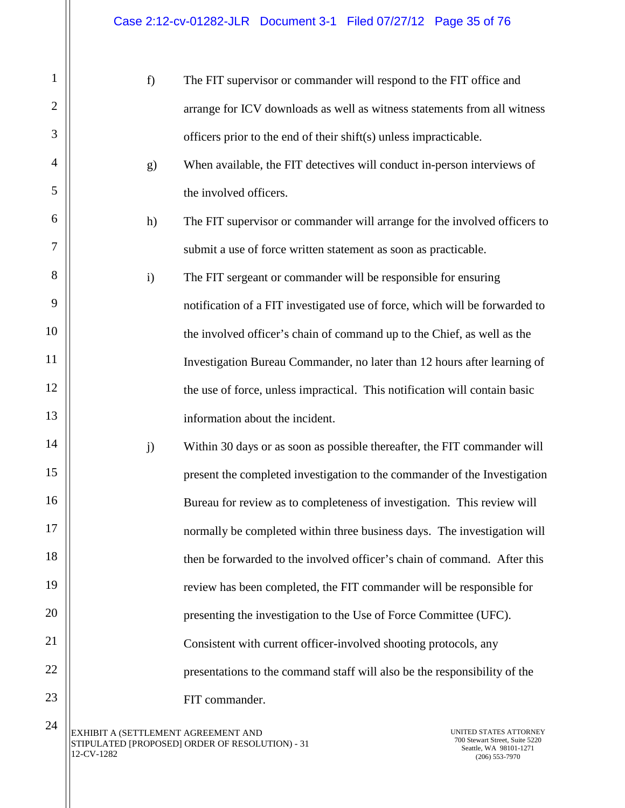| $\mathbf{1}$   | f)                                  | The FIT supervisor or commander will respond to the FIT office and                                                                  |
|----------------|-------------------------------------|-------------------------------------------------------------------------------------------------------------------------------------|
| $\mathbf{2}$   |                                     | arrange for ICV downloads as well as witness statements from all witness                                                            |
| 3              |                                     | officers prior to the end of their shift(s) unless impracticable.                                                                   |
| $\overline{4}$ | g)                                  | When available, the FIT detectives will conduct in-person interviews of                                                             |
| 5              |                                     | the involved officers.                                                                                                              |
| 6              | h)                                  | The FIT supervisor or commander will arrange for the involved officers to                                                           |
| 7              |                                     | submit a use of force written statement as soon as practicable.                                                                     |
| 8              | $\mathbf{i}$                        | The FIT sergeant or commander will be responsible for ensuring                                                                      |
| 9              |                                     | notification of a FIT investigated use of force, which will be forwarded to                                                         |
| 10             |                                     | the involved officer's chain of command up to the Chief, as well as the                                                             |
| 11             |                                     | Investigation Bureau Commander, no later than 12 hours after learning of                                                            |
| 12             |                                     | the use of force, unless impractical. This notification will contain basic                                                          |
| 13             |                                     | information about the incident.                                                                                                     |
| 14             | j)                                  | Within 30 days or as soon as possible thereafter, the FIT commander will                                                            |
| 15             |                                     | present the completed investigation to the commander of the Investigation                                                           |
| 16             |                                     | Bureau for review as to completeness of investigation. This review will                                                             |
| 17             |                                     | normally be completed within three business days. The investigation will                                                            |
| 18             |                                     | then be forwarded to the involved officer's chain of command. After this                                                            |
| 19             |                                     | review has been completed, the FIT commander will be responsible for                                                                |
| 20             |                                     | presenting the investigation to the Use of Force Committee (UFC).                                                                   |
| 21             |                                     | Consistent with current officer-involved shooting protocols, any                                                                    |
| 22             |                                     | presentations to the command staff will also be the responsibility of the                                                           |
| 23             |                                     | FIT commander.                                                                                                                      |
| 24             | EXHIBIT A (SETTLEMENT AGREEMENT AND | UNITED STATES ATTORNEY<br>700 Stewart Street, Suite 5220<br>STIPULATED [PROPOSED] ORDER OF RESOLUTION) - 31<br>1271 - WA 08101 1271 |

 $12-CV-1282$ 

Seattle, WA 98101-1271 (206) 553-7970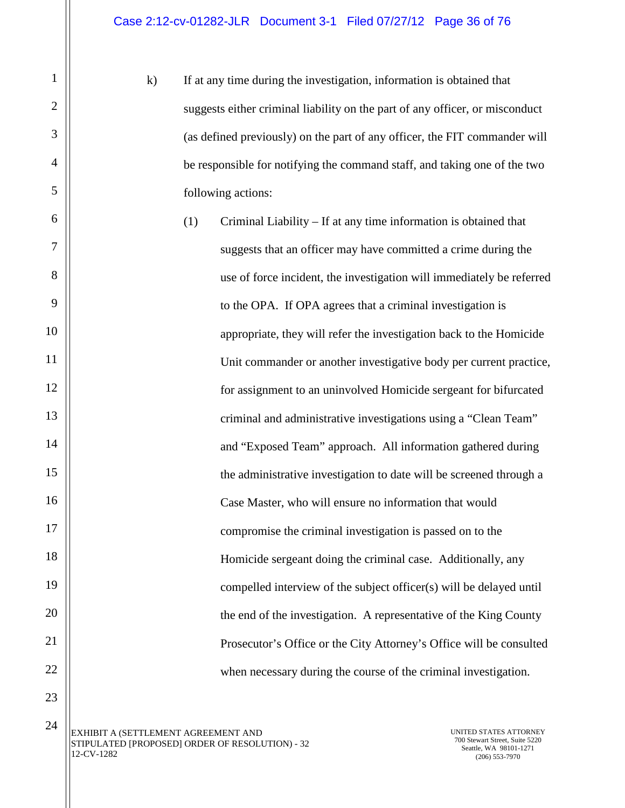k) If at any time during the investigation, information is obtained that suggests either criminal liability on the part of any officer, or misconduct (as defined previously) on the part of any officer, the FIT commander will be responsible for notifying the command staff, and taking one of the two following actions:

(1) Criminal Liability – If at any time information is obtained that suggests that an officer may have committed a crime during the use of force incident, the investigation will immediately be referred to the OPA. If OPA agrees that a criminal investigation is appropriate, they will refer the investigation back to the Homicide Unit commander or another investigative body per current practice, for assignment to an uninvolved Homicide sergeant for bifurcated criminal and administrative investigations using a "Clean Team" and "Exposed Team" approach. All information gathered during the administrative investigation to date will be screened through a Case Master, who will ensure no information that would compromise the criminal investigation is passed on to the Homicide sergeant doing the criminal case. Additionally, any compelled interview of the subject officer(s) will be delayed until the end of the investigation. A representative of the King County Prosecutor's Office or the City Attorney's Office will be consulted when necessary during the course of the criminal investigation.

1

2

3

4

5

6

7

8

9

10

11

12

13

14

15

16

17

18

19

20

21

22

23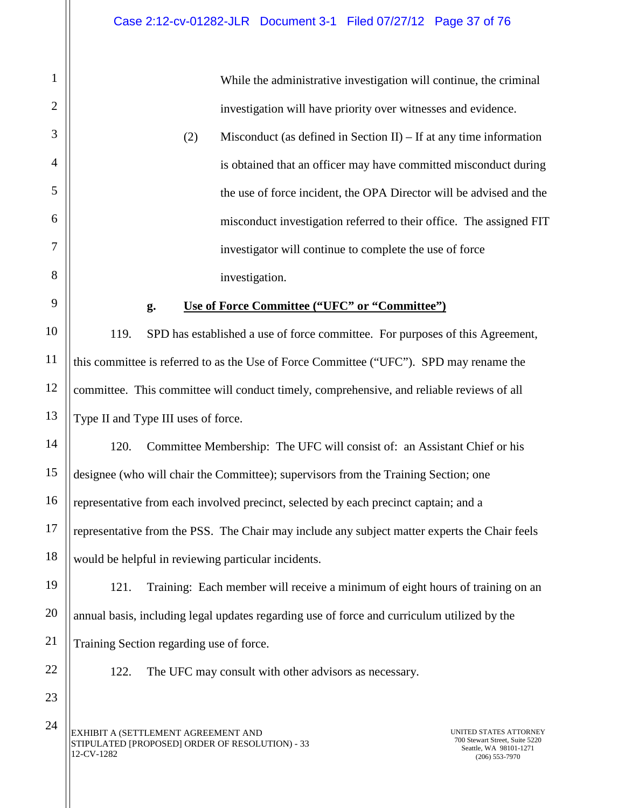While the administrative investigation will continue, the criminal investigation will have priority over witnesses and evidence.

(2) Misconduct (as defined in Section II) – If at any time information is obtained that an officer may have committed misconduct during the use of force incident, the OPA Director will be advised and the misconduct investigation referred to their office. The assigned FIT investigator will continue to complete the use of force investigation.

#### **g. Use of Force Committee ("UFC" or "Committee")**

119. SPD has established a use of force committee. For purposes of this Agreement, this committee is referred to as the Use of Force Committee ("UFC"). SPD may rename the committee. This committee will conduct timely, comprehensive, and reliable reviews of all Type II and Type III uses of force.

120. Committee Membership: The UFC will consist of: an Assistant Chief or his designee (who will chair the Committee); supervisors from the Training Section; one representative from each involved precinct, selected by each precinct captain; and a representative from the PSS. The Chair may include any subject matter experts the Chair feels would be helpful in reviewing particular incidents.

121. Training: Each member will receive a minimum of eight hours of training on an annual basis, including legal updates regarding use of force and curriculum utilized by the Training Section regarding use of force.

22 23

1

2

3

4

5

6

7

8

<span id="page-35-0"></span>9

10

11

12

13

14

15

16

17

18

19

20

21

122. The UFC may consult with other advisors as necessary.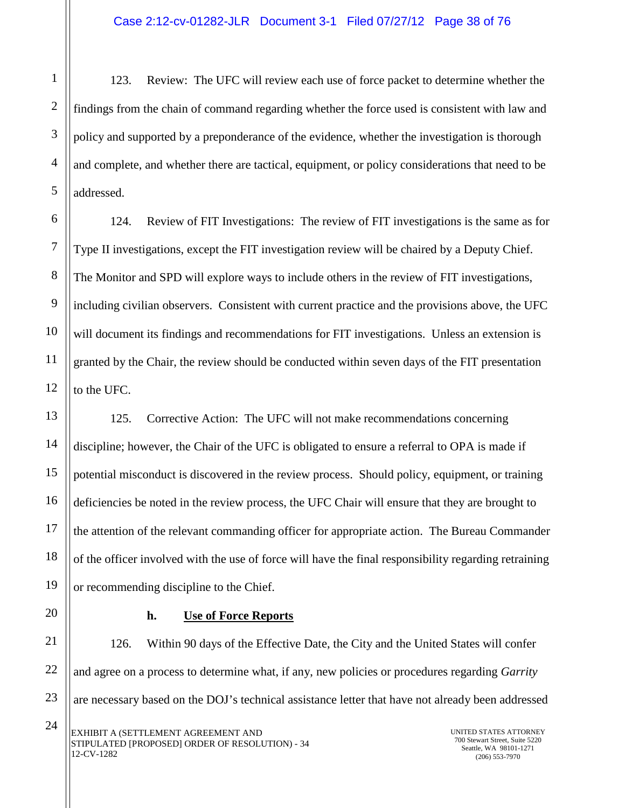123. Review: The UFC will review each use of force packet to determine whether the findings from the chain of command regarding whether the force used is consistent with law and policy and supported by a preponderance of the evidence, whether the investigation is thorough and complete, and whether there are tactical, equipment, or policy considerations that need to be addressed.

6 7 8 9 10 11 12 124. Review of FIT Investigations: The review of FIT investigations is the same as for Type II investigations, except the FIT investigation review will be chaired by a Deputy Chief. The Monitor and SPD will explore ways to include others in the review of FIT investigations, including civilian observers. Consistent with current practice and the provisions above, the UFC will document its findings and recommendations for FIT investigations. Unless an extension is granted by the Chair, the review should be conducted within seven days of the FIT presentation to the UFC.

125. Corrective Action: The UFC will not make recommendations concerning discipline; however, the Chair of the UFC is obligated to ensure a referral to OPA is made if potential misconduct is discovered in the review process. Should policy, equipment, or training deficiencies be noted in the review process, the UFC Chair will ensure that they are brought to the attention of the relevant commanding officer for appropriate action. The Bureau Commander of the officer involved with the use of force will have the final responsibility regarding retraining or recommending discipline to the Chief.

1

2

3

4

5

13

14

15

16

17

18

19

20

21

22

23

### **h. Use of Force Reports**

126. Within 90 days of the Effective Date, the City and the United States will confer and agree on a process to determine what, if any, new policies or procedures regarding *Garrity* are necessary based on the DOJ's technical assistance letter that have not already been addressed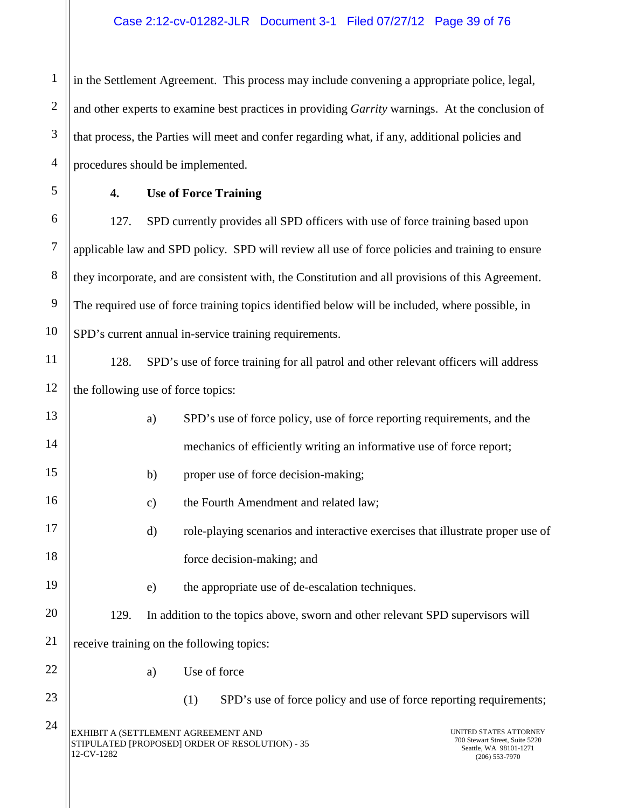#### Case 2:12-cv-01282-JLR Document 3-1 Filed 07/27/12 Page 39 of 76

in the Settlement Agreement. This process may include convening a appropriate police, legal, and other experts to examine best practices in providing *Garrity* warnings. At the conclusion of that process, the Parties will meet and confer regarding what, if any, additional policies and procedures should be implemented.

5

6

7

8

9

10

1

2

3

4

## **4. Use of Force Training**

127. SPD currently provides all SPD officers with use of force training based upon applicable law and SPD policy. SPD will review all use of force policies and training to ensure they incorporate, and are consistent with, the Constitution and all provisions of this Agreement. The required use of force training topics identified below will be included, where possible, in SPD's current annual in-service training requirements.

11 12

128. SPD's use of force training for all patrol and other relevant officers will address the following use of force topics:

| 13 |            | a)            | SPD's use of force policy, use of force reporting requirements, and the                |                                                                                                        |
|----|------------|---------------|----------------------------------------------------------------------------------------|--------------------------------------------------------------------------------------------------------|
| 14 |            |               | mechanics of efficiently writing an informative use of force report;                   |                                                                                                        |
| 15 |            | b)            | proper use of force decision-making;                                                   |                                                                                                        |
| 16 |            | $\mathbf{c})$ | the Fourth Amendment and related law;                                                  |                                                                                                        |
| 17 |            | $\mathbf{d}$  | role-playing scenarios and interactive exercises that illustrate proper use of         |                                                                                                        |
| 18 |            |               | force decision-making; and                                                             |                                                                                                        |
| 19 |            | e)            | the appropriate use of de-escalation techniques.                                       |                                                                                                        |
| 20 | 129.       |               | In addition to the topics above, sworn and other relevant SPD supervisors will         |                                                                                                        |
| 21 |            |               | receive training on the following topics:                                              |                                                                                                        |
| 22 |            | a)            | Use of force                                                                           |                                                                                                        |
| 23 |            |               | (1)<br>SPD's use of force policy and use of force reporting requirements;              |                                                                                                        |
| 24 | 12-CV-1282 |               | EXHIBIT A (SETTLEMENT AGREEMENT AND<br>STIPULATED [PROPOSED] ORDER OF RESOLUTION) - 35 | UNITED STATES ATTORNEY<br>700 Stewart Street, Suite 5220<br>Seattle, WA 98101-1271<br>$(206)$ 553-7970 |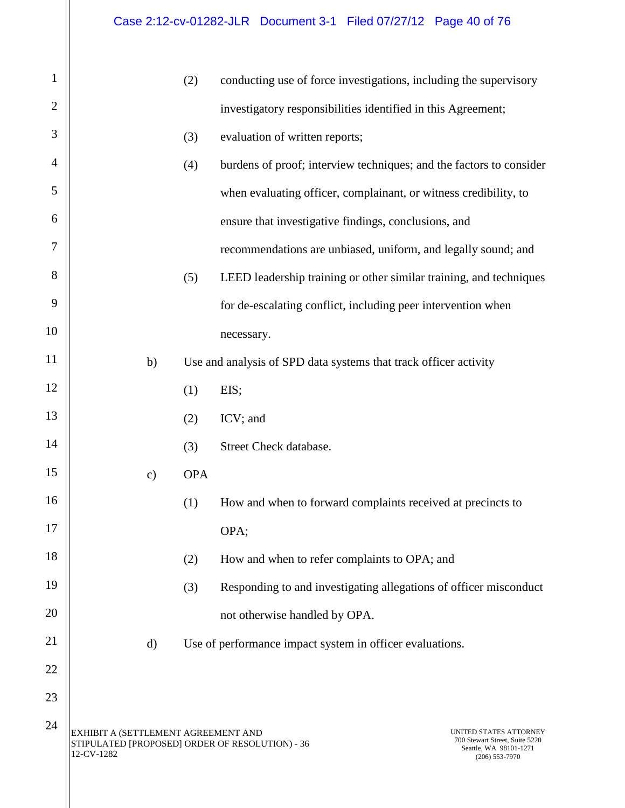| $\mathbf{1}$   |                                                                                                      | (2)        | conducting use of force investigations, including the supervisory                                      |
|----------------|------------------------------------------------------------------------------------------------------|------------|--------------------------------------------------------------------------------------------------------|
| $\overline{2}$ |                                                                                                      |            | investigatory responsibilities identified in this Agreement;                                           |
| 3              |                                                                                                      | (3)        | evaluation of written reports;                                                                         |
| $\overline{4}$ |                                                                                                      | (4)        | burdens of proof; interview techniques; and the factors to consider                                    |
| 5              |                                                                                                      |            | when evaluating officer, complainant, or witness credibility, to                                       |
| 6              |                                                                                                      |            | ensure that investigative findings, conclusions, and                                                   |
| 7              |                                                                                                      |            | recommendations are unbiased, uniform, and legally sound; and                                          |
| 8              |                                                                                                      | (5)        | LEED leadership training or other similar training, and techniques                                     |
| 9              |                                                                                                      |            | for de-escalating conflict, including peer intervention when                                           |
| 10             |                                                                                                      |            | necessary.                                                                                             |
| 11             | b)                                                                                                   |            | Use and analysis of SPD data systems that track officer activity                                       |
| 12             |                                                                                                      | (1)        | EIS;                                                                                                   |
| 13             |                                                                                                      | (2)        | ICV; and                                                                                               |
| 14             |                                                                                                      | (3)        | Street Check database.                                                                                 |
| 15             | $\mathbf{c})$                                                                                        | <b>OPA</b> |                                                                                                        |
| 16             |                                                                                                      | (1)        | How and when to forward complaints received at precincts to                                            |
| 17             |                                                                                                      |            | OPA;                                                                                                   |
| 18             |                                                                                                      | (2)        | How and when to refer complaints to OPA; and                                                           |
| 19             |                                                                                                      | (3)        | Responding to and investigating allegations of officer misconduct                                      |
| 20             |                                                                                                      |            | not otherwise handled by OPA.                                                                          |
| 21             | $\rm d)$                                                                                             |            | Use of performance impact system in officer evaluations.                                               |
| 22             |                                                                                                      |            |                                                                                                        |
| 23             |                                                                                                      |            |                                                                                                        |
| 24             | EXHIBIT A (SETTLEMENT AGREEMENT AND<br>STIPULATED [PROPOSED] ORDER OF RESOLUTION) - 36<br>12-CV-1282 |            | UNITED STATES ATTORNEY<br>700 Stewart Street, Suite 5220<br>Seattle, WA 98101-1271<br>$(206)$ 553-7970 |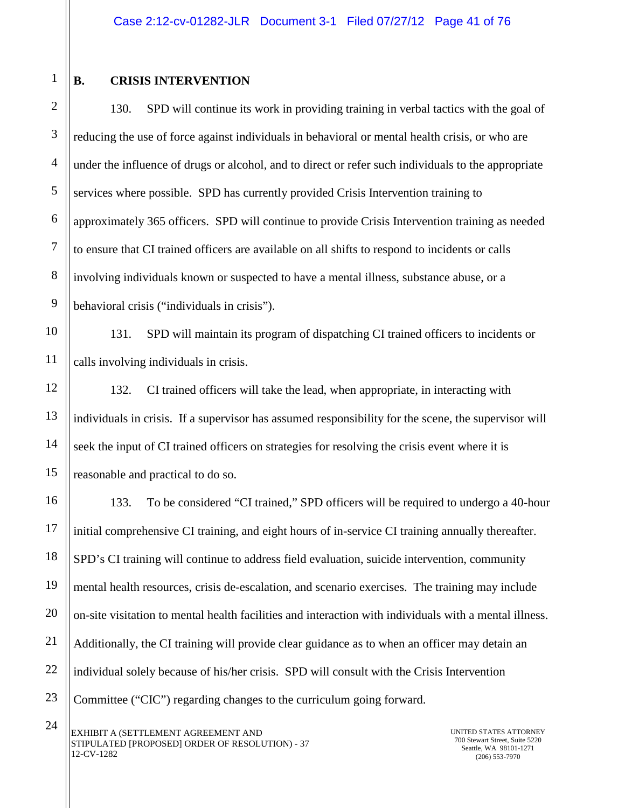1

2

3

4

5

6

7

8

9

12

13

14

15

16

17

18

19

20

21

22

23

## **B. CRISIS INTERVENTION**

130. SPD will continue its work in providing training in verbal tactics with the goal of reducing the use of force against individuals in behavioral or mental health crisis, or who are under the influence of drugs or alcohol, and to direct or refer such individuals to the appropriate services where possible. SPD has currently provided Crisis Intervention training to approximately 365 officers. SPD will continue to provide Crisis Intervention training as needed to ensure that CI trained officers are available on all shifts to respond to incidents or calls involving individuals known or suspected to have a mental illness, substance abuse, or a behavioral crisis ("individuals in crisis").

10 11 131. SPD will maintain its program of dispatching CI trained officers to incidents or calls involving individuals in crisis.

132. CI trained officers will take the lead, when appropriate, in interacting with individuals in crisis. If a supervisor has assumed responsibility for the scene, the supervisor will seek the input of CI trained officers on strategies for resolving the crisis event where it is reasonable and practical to do so.

133. To be considered "CI trained," SPD officers will be required to undergo a 40-hour initial comprehensive CI training, and eight hours of in-service CI training annually thereafter. SPD's CI training will continue to address field evaluation, suicide intervention, community mental health resources, crisis de-escalation, and scenario exercises. The training may include on-site visitation to mental health facilities and interaction with individuals with a mental illness. Additionally, the CI training will provide clear guidance as to when an officer may detain an individual solely because of his/her crisis. SPD will consult with the Crisis Intervention Committee ("CIC") regarding changes to the curriculum going forward.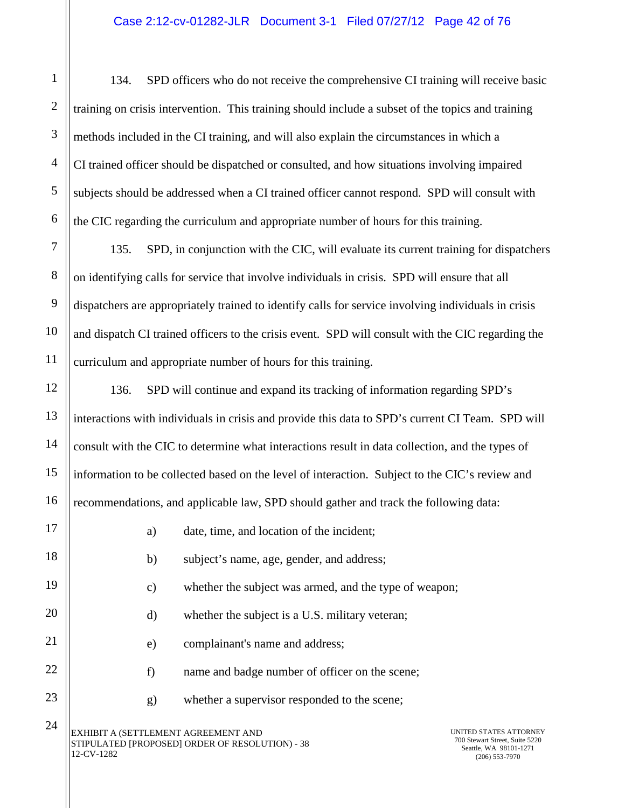134. SPD officers who do not receive the comprehensive CI training will receive basic training on crisis intervention. This training should include a subset of the topics and training methods included in the CI training, and will also explain the circumstances in which a CI trained officer should be dispatched or consulted, and how situations involving impaired subjects should be addressed when a CI trained officer cannot respond. SPD will consult with the CIC regarding the curriculum and appropriate number of hours for this training.

135. SPD, in conjunction with the CIC, will evaluate its current training for dispatchers on identifying calls for service that involve individuals in crisis. SPD will ensure that all dispatchers are appropriately trained to identify calls for service involving individuals in crisis and dispatch CI trained officers to the crisis event. SPD will consult with the CIC regarding the curriculum and appropriate number of hours for this training.

136. SPD will continue and expand its tracking of information regarding SPD's interactions with individuals in crisis and provide this data to SPD's current CI Team. SPD will consult with the CIC to determine what interactions result in data collection, and the types of information to be collected based on the level of interaction. Subject to the CIC's review and recommendations, and applicable law, SPD should gather and track the following data:

| 16 |                                                     | recommendations, and applicable law, SPD should gather and track the following data: |                                                                                                        |
|----|-----------------------------------------------------|--------------------------------------------------------------------------------------|--------------------------------------------------------------------------------------------------------|
| 17 | a)                                                  | date, time, and location of the incident;                                            |                                                                                                        |
| 18 | b)                                                  | subject's name, age, gender, and address;                                            |                                                                                                        |
| 19 | $\mathbf{c})$                                       | whether the subject was armed, and the type of weapon;                               |                                                                                                        |
| 20 | $\mathbf{d}$                                        | whether the subject is a U.S. military veteran;                                      |                                                                                                        |
| 21 | e)                                                  | complainant's name and address;                                                      |                                                                                                        |
| 22 | f)                                                  | name and badge number of officer on the scene;                                       |                                                                                                        |
| 23 | g)                                                  | whether a supervisor responded to the scene;                                         |                                                                                                        |
| 24 | EXHIBIT A (SETTLEMENT AGREEMENT AND<br>$2$ -CV-1282 | STIPULATED [PROPOSED] ORDER OF RESOLUTION) - 38                                      | UNITED STATES ATTORNEY<br>700 Stewart Street, Suite 5220<br>Seattle, WA 98101-1271<br>$(206)$ 553-7970 |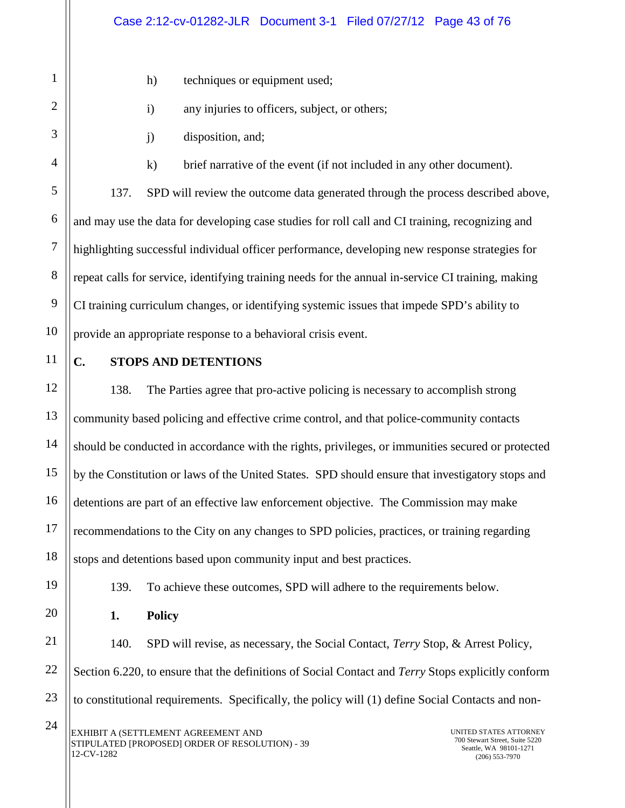- h) techniques or equipment used;
- i) any injuries to officers, subject, or others;
- j) disposition, and;

k) brief narrative of the event (if not included in any other document).

137. SPD will review the outcome data generated through the process described above, and may use the data for developing case studies for roll call and CI training, recognizing and highlighting successful individual officer performance, developing new response strategies for repeat calls for service, identifying training needs for the annual in-service CI training, making CI training curriculum changes, or identifying systemic issues that impede SPD's ability to provide an appropriate response to a behavioral crisis event.

16

17

18

19

20

21

22

23

1

2

3

4

5

6

7

8

9

### **C. STOPS AND DETENTIONS**

138. The Parties agree that pro-active policing is necessary to accomplish strong community based policing and effective crime control, and that police-community contacts should be conducted in accordance with the rights, privileges, or immunities secured or protected by the Constitution or laws of the United States. SPD should ensure that investigatory stops and detentions are part of an effective law enforcement objective. The Commission may make recommendations to the City on any changes to SPD policies, practices, or training regarding stops and detentions based upon community input and best practices.

139. To achieve these outcomes, SPD will adhere to the requirements below.

**1. Policy**

140. SPD will revise, as necessary, the Social Contact, *Terry* Stop, & Arrest Policy, Section 6.220, to ensure that the definitions of Social Contact and *Terry* Stops explicitly conform to constitutional requirements. Specifically, the policy will (1) define Social Contacts and non-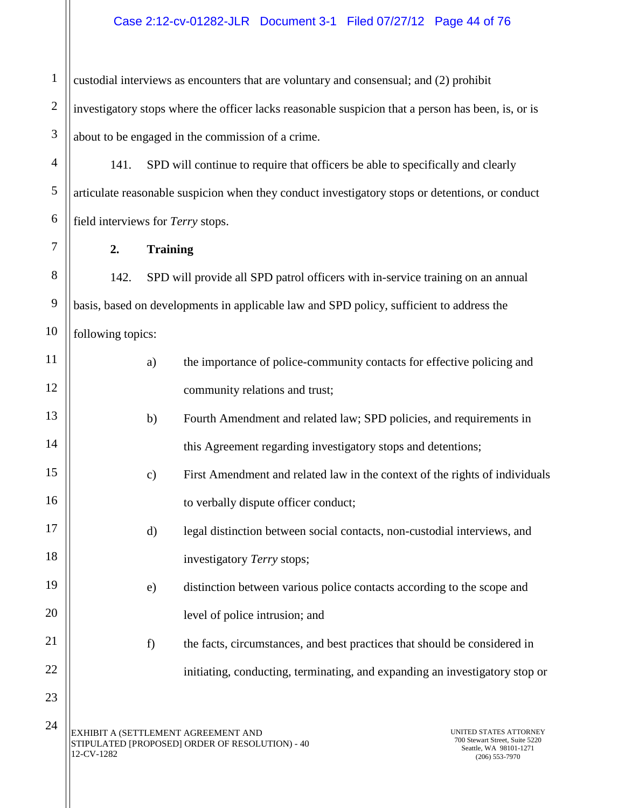1 2 3 custodial interviews as encounters that are voluntary and consensual; and (2) prohibit investigatory stops where the officer lacks reasonable suspicion that a person has been, is, or is about to be engaged in the commission of a crime.

141. SPD will continue to require that officers be able to specifically and clearly articulate reasonable suspicion when they conduct investigatory stops or detentions, or conduct field interviews for *Terry* stops.

**2. Training**

4

5

6

7

8

9

10

11

12

13

14

15

16

17

18

19

20

21

22

23

142. SPD will provide all SPD patrol officers with in-service training on an annual basis, based on developments in applicable law and SPD policy, sufficient to address the following topics:

| the importance of police-community contacts for effective policing and |  |  |  |
|------------------------------------------------------------------------|--|--|--|
| community relations and trust;                                         |  |  |  |

- b) Fourth Amendment and related law; SPD policies, and requirements in this Agreement regarding investigatory stops and detentions;
	- c) First Amendment and related law in the context of the rights of individuals to verbally dispute officer conduct;
		- d) legal distinction between social contacts, non-custodial interviews, and investigatory *Terry* stops;
		- e) distinction between various police contacts according to the scope and level of police intrusion; and
			- f) the facts, circumstances, and best practices that should be considered in initiating, conducting, terminating, and expanding an investigatory stop or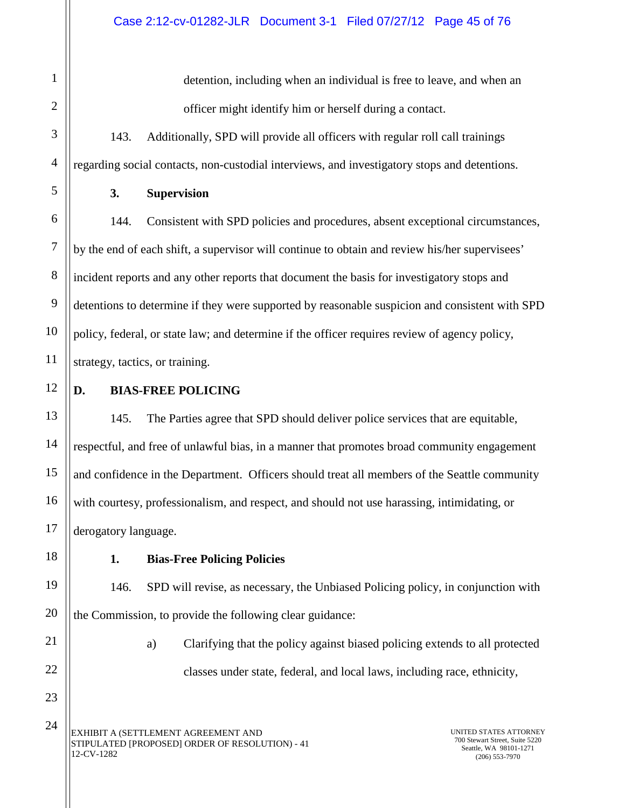detention, including when an individual is free to leave, and when an officer might identify him or herself during a contact.

143. Additionally, SPD will provide all officers with regular roll call trainings regarding social contacts, non-custodial interviews, and investigatory stops and detentions.

## **3. Supervision**

144. Consistent with SPD policies and procedures, absent exceptional circumstances, by the end of each shift, a supervisor will continue to obtain and review his/her supervisees' incident reports and any other reports that document the basis for investigatory stops and detentions to determine if they were supported by reasonable suspicion and consistent with SPD policy, federal, or state law; and determine if the officer requires review of agency policy, strategy, tactics, or training.

### **D. BIAS-FREE POLICING**

145. The Parties agree that SPD should deliver police services that are equitable, respectful, and free of unlawful bias, in a manner that promotes broad community engagement and confidence in the Department. Officers should treat all members of the Seattle community with courtesy, professionalism, and respect, and should not use harassing, intimidating, or derogatory language.

### **1. Bias-Free Policing Policies**

146. SPD will revise, as necessary, the Unbiased Policing policy, in conjunction with the Commission, to provide the following clear guidance:

24

a) Clarifying that the policy against biased policing extends to all protected classes under state, federal, and local laws, including race, ethnicity,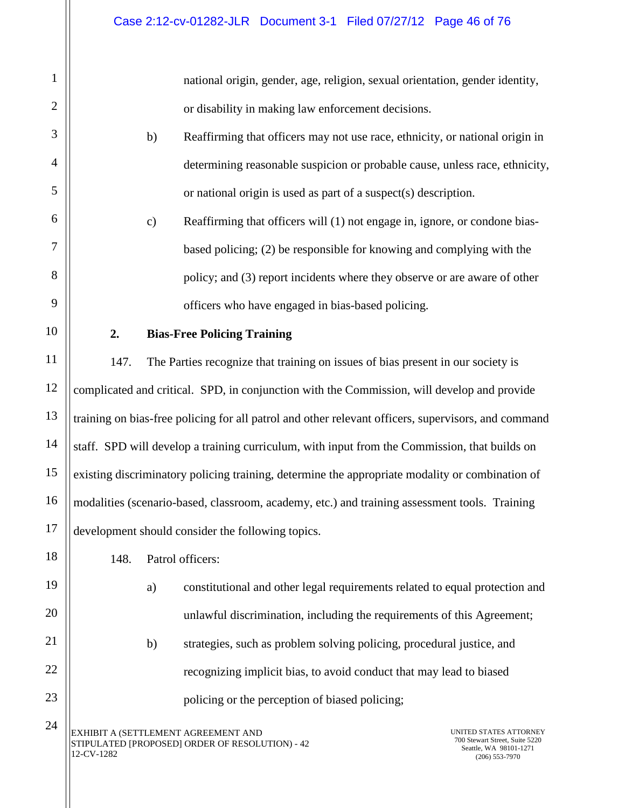national origin, gender, age, religion, sexual orientation, gender identity, or disability in making law enforcement decisions.

- b) Reaffirming that officers may not use race, ethnicity, or national origin in determining reasonable suspicion or probable cause, unless race, ethnicity, or national origin is used as part of a suspect(s) description.
- c) Reaffirming that officers will (1) not engage in, ignore, or condone biasbased policing; (2) be responsible for knowing and complying with the policy; and (3) report incidents where they observe or are aware of other officers who have engaged in bias-based policing.

## **2. Bias-Free Policing Training**

1

2

3

4

5

6

7

8

9

10

11

12

13

14

15

16

17

18

19

20

21

22

23

24

147. The Parties recognize that training on issues of bias present in our society is complicated and critical. SPD, in conjunction with the Commission, will develop and provide training on bias-free policing for all patrol and other relevant officers, supervisors, and command staff. SPD will develop a training curriculum, with input from the Commission, that builds on existing discriminatory policing training, determine the appropriate modality or combination of modalities (scenario-based, classroom, academy, etc.) and training assessment tools. Training development should consider the following topics.

148. Patrol officers:

- a) constitutional and other legal requirements related to equal protection and unlawful discrimination, including the requirements of this Agreement;
- b) strategies, such as problem solving policing, procedural justice, and recognizing implicit bias, to avoid conduct that may lead to biased policing or the perception of biased policing;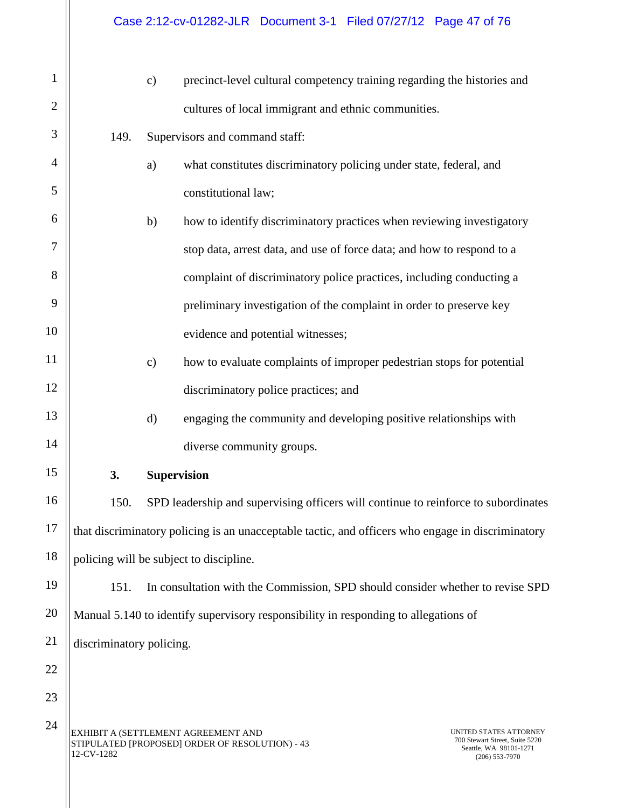| $\mathbf{1}$   |                          | $\mathbf{c})$ | precinct-level cultural competency training regarding the histories and                           |                                                                                                        |
|----------------|--------------------------|---------------|---------------------------------------------------------------------------------------------------|--------------------------------------------------------------------------------------------------------|
| $\overline{2}$ |                          |               | cultures of local immigrant and ethnic communities.                                               |                                                                                                        |
| 3              | 149.                     |               | Supervisors and command staff:                                                                    |                                                                                                        |
| 4              |                          | a)            | what constitutes discriminatory policing under state, federal, and                                |                                                                                                        |
| 5              |                          |               | constitutional law;                                                                               |                                                                                                        |
| 6              |                          | b)            | how to identify discriminatory practices when reviewing investigatory                             |                                                                                                        |
| 7              |                          |               | stop data, arrest data, and use of force data; and how to respond to a                            |                                                                                                        |
| 8              |                          |               | complaint of discriminatory police practices, including conducting a                              |                                                                                                        |
| 9              |                          |               | preliminary investigation of the complaint in order to preserve key                               |                                                                                                        |
| 10             |                          |               | evidence and potential witnesses;                                                                 |                                                                                                        |
| 11             |                          | $\mathbf{c})$ | how to evaluate complaints of improper pedestrian stops for potential                             |                                                                                                        |
| 12             |                          |               | discriminatory police practices; and                                                              |                                                                                                        |
| 13             |                          | $\mathbf{d}$  | engaging the community and developing positive relationships with                                 |                                                                                                        |
| 14             |                          |               | diverse community groups.                                                                         |                                                                                                        |
| 15             | 3.                       |               | <b>Supervision</b>                                                                                |                                                                                                        |
| 16             | 150.                     |               | SPD leadership and supervising officers will continue to reinforce to subordinates                |                                                                                                        |
| 17             |                          |               | that discriminatory policing is an unacceptable tactic, and officers who engage in discriminatory |                                                                                                        |
| 18             |                          |               | policing will be subject to discipline.                                                           |                                                                                                        |
| 19             | 151.                     |               | In consultation with the Commission, SPD should consider whether to revise SPD                    |                                                                                                        |
| 20             |                          |               | Manual 5.140 to identify supervisory responsibility in responding to allegations of               |                                                                                                        |
| 21             | discriminatory policing. |               |                                                                                                   |                                                                                                        |
| 22             |                          |               |                                                                                                   |                                                                                                        |
| 23             |                          |               |                                                                                                   |                                                                                                        |
| 24             | 12-CV-1282               |               | EXHIBIT A (SETTLEMENT AGREEMENT AND<br>STIPULATED [PROPOSED] ORDER OF RESOLUTION) - 43            | UNITED STATES ATTORNEY<br>700 Stewart Street, Suite 5220<br>Seattle, WA 98101-1271<br>$(206)$ 553-7970 |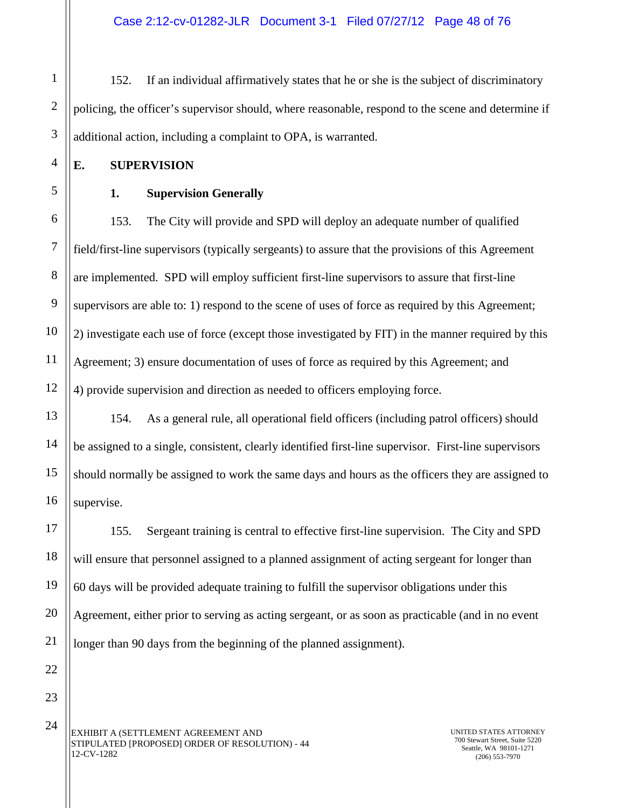Case 2:12-cv-01282-JLR Document 3-1 Filed 07/27/12 Page 48 of 76

1 2 3 152. If an individual affirmatively states that he or she is the subject of discriminatory policing, the officer's supervisor should, where reasonable, respond to the scene and determine if additional action, including a complaint to OPA, is warranted.

- **E. SUPERVISION**
- 

4

5

6

7

8

9

10

11

12

13

14

15

16

17

18

19

20

21

22

23

#### **1. Supervision Generally**

153. The City will provide and SPD will deploy an adequate number of qualified field/first-line supervisors (typically sergeants) to assure that the provisions of this Agreement are implemented. SPD will employ sufficient first-line supervisors to assure that first-line supervisors are able to: 1) respond to the scene of uses of force as required by this Agreement; 2) investigate each use of force (except those investigated by FIT) in the manner required by this Agreement; 3) ensure documentation of uses of force as required by this Agreement; and 4) provide supervision and direction as needed to officers employing force.

154. As a general rule, all operational field officers (including patrol officers) should be assigned to a single, consistent, clearly identified first-line supervisor. First-line supervisors should normally be assigned to work the same days and hours as the officers they are assigned to supervise.

155. Sergeant training is central to effective first-line supervision. The City and SPD will ensure that personnel assigned to a planned assignment of acting sergeant for longer than 60 days will be provided adequate training to fulfill the supervisor obligations under this Agreement, either prior to serving as acting sergeant, or as soon as practicable (and in no event longer than 90 days from the beginning of the planned assignment).

EXHIBIT A (SETTLEMENT AGREEMENT AND STIPULATED [PROPOSED] ORDER OF RESOLUTION) - 44 12-CV-1282 24

UNITED STATES ATTORNEY 700 Stewart Street, Suite 5220 Seattle, WA 98101-1271 (206) 553-7970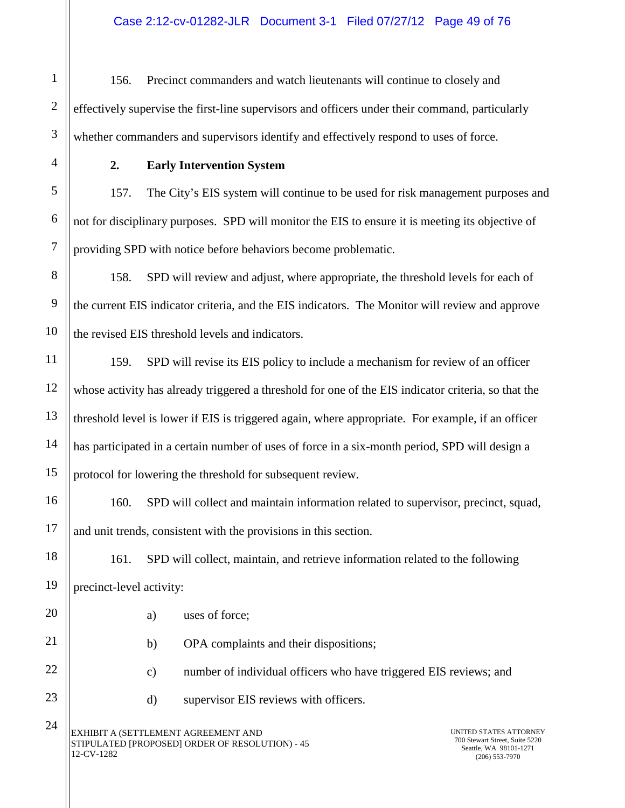156. Precinct commanders and watch lieutenants will continue to closely and effectively supervise the first-line supervisors and officers under their command, particularly whether commanders and supervisors identify and effectively respond to uses of force.

1

2

3

4

5

6

7

8

9

10

11

12

13

14

15

17

20

21

22

23

24

## **2. Early Intervention System**

157. The City's EIS system will continue to be used for risk management purposes and not for disciplinary purposes. SPD will monitor the EIS to ensure it is meeting its objective of providing SPD with notice before behaviors become problematic.

158. SPD will review and adjust, where appropriate, the threshold levels for each of the current EIS indicator criteria, and the EIS indicators. The Monitor will review and approve the revised EIS threshold levels and indicators.

159. SPD will revise its EIS policy to include a mechanism for review of an officer whose activity has already triggered a threshold for one of the EIS indicator criteria, so that the threshold level is lower if EIS is triggered again, where appropriate. For example, if an officer has participated in a certain number of uses of force in a six-month period, SPD will design a protocol for lowering the threshold for subsequent review.

16 160. SPD will collect and maintain information related to supervisor, precinct, squad, and unit trends, consistent with the provisions in this section.

18 19 161. SPD will collect, maintain, and retrieve information related to the following precinct-level activity:

- a) uses of force;
- b) OPA complaints and their dispositions;
- c) number of individual officers who have triggered EIS reviews; and
	- d) supervisor EIS reviews with officers.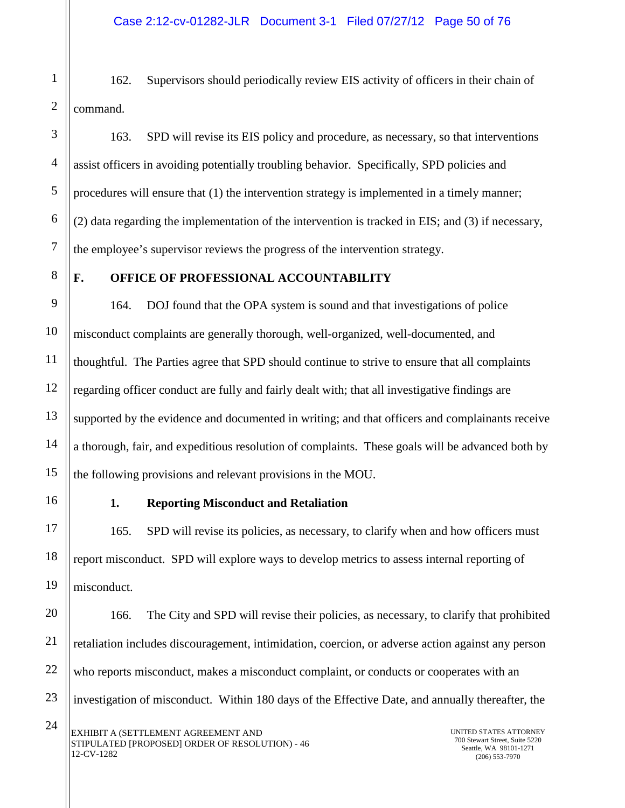1 162. Supervisors should periodically review EIS activity of officers in their chain of command.

163. SPD will revise its EIS policy and procedure, as necessary, so that interventions assist officers in avoiding potentially troubling behavior. Specifically, SPD policies and procedures will ensure that (1) the intervention strategy is implemented in a timely manner; (2) data regarding the implementation of the intervention is tracked in EIS; and (3) if necessary, the employee's supervisor reviews the progress of the intervention strategy.

### **F. OFFICE OF PROFESSIONAL ACCOUNTABILITY**

164. DOJ found that the OPA system is sound and that investigations of police misconduct complaints are generally thorough, well-organized, well-documented, and thoughtful. The Parties agree that SPD should continue to strive to ensure that all complaints regarding officer conduct are fully and fairly dealt with; that all investigative findings are supported by the evidence and documented in writing; and that officers and complainants receive a thorough, fair, and expeditious resolution of complaints. These goals will be advanced both by the following provisions and relevant provisions in the MOU.

#### **1. Reporting Misconduct and Retaliation**

165. SPD will revise its policies, as necessary, to clarify when and how officers must report misconduct. SPD will explore ways to develop metrics to assess internal reporting of misconduct.

166. The City and SPD will revise their policies, as necessary, to clarify that prohibited retaliation includes discouragement, intimidation, coercion, or adverse action against any person who reports misconduct, makes a misconduct complaint, or conducts or cooperates with an investigation of misconduct. Within 180 days of the Effective Date, and annually thereafter, the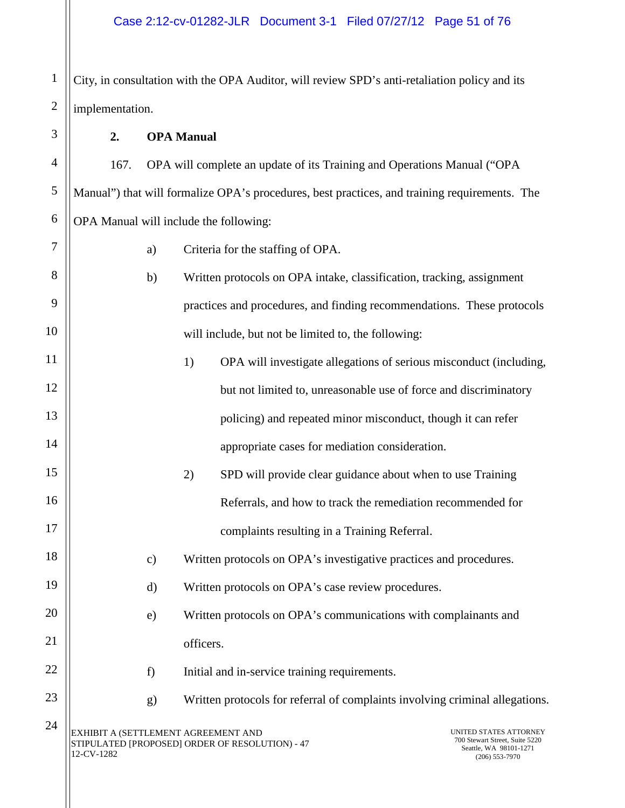City, in consultation with the OPA Auditor, will review SPD's anti-retaliation policy and its implementation.

#### **2. OPA Manual**

1

2

3

4

5

6

7

8

9

10

11

12

13

14

15

16

17

18

19

20

21

22

23

24

167. OPA will complete an update of its Training and Operations Manual ("OPA Manual") that will formalize OPA's procedures, best practices, and training requirements. The OPA Manual will include the following:

- a) Criteria for the staffing of OPA.
- b) Written protocols on OPA intake, classification, tracking, assignment practices and procedures, and finding recommendations. These protocols will include, but not be limited to, the following:
- 1) OPA will investigate allegations of serious misconduct (including, but not limited to, unreasonable use of force and discriminatory policing) and repeated minor misconduct, though it can refer appropriate cases for mediation consideration.
	- 2) SPD will provide clear guidance about when to use Training Referrals, and how to track the remediation recommended for complaints resulting in a Training Referral.
	- c) Written protocols on OPA's investigative practices and procedures.
	- d) Written protocols on OPA's case review procedures.
	- e) Written protocols on OPA's communications with complainants and officers.
		- f) Initial and in-service training requirements.
		- g) Written protocols for referral of complaints involving criminal allegations.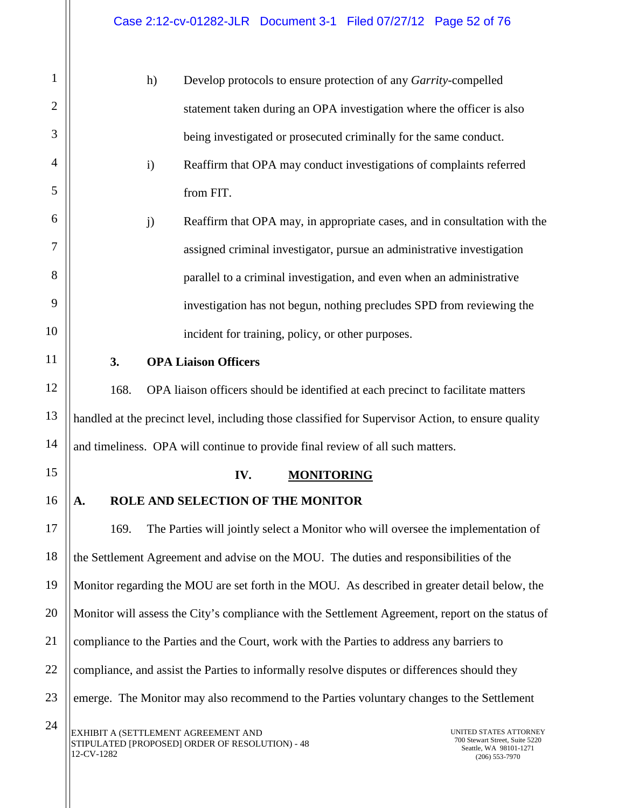| $\mathbf{1}$   |      | h)           | Develop protocols to ensure protection of any Garrity-compelled                                    |                                                                                              |
|----------------|------|--------------|----------------------------------------------------------------------------------------------------|----------------------------------------------------------------------------------------------|
| $\overline{2}$ |      |              | statement taken during an OPA investigation where the officer is also                              |                                                                                              |
| 3              |      |              | being investigated or prosecuted criminally for the same conduct.                                  |                                                                                              |
| 4              |      | $\mathbf{i}$ | Reaffirm that OPA may conduct investigations of complaints referred                                |                                                                                              |
| 5              |      |              | from FIT.                                                                                          |                                                                                              |
| 6              |      | j)           | Reaffirm that OPA may, in appropriate cases, and in consultation with the                          |                                                                                              |
| 7              |      |              | assigned criminal investigator, pursue an administrative investigation                             |                                                                                              |
| 8              |      |              | parallel to a criminal investigation, and even when an administrative                              |                                                                                              |
| 9              |      |              | investigation has not begun, nothing precludes SPD from reviewing the                              |                                                                                              |
| 10             |      |              | incident for training, policy, or other purposes.                                                  |                                                                                              |
| 11             | 3.   |              | <b>OPA Liaison Officers</b>                                                                        |                                                                                              |
| 12             | 168. |              | OPA liaison officers should be identified at each precinct to facilitate matters                   |                                                                                              |
| 13             |      |              | handled at the precinct level, including those classified for Supervisor Action, to ensure quality |                                                                                              |
| 14             |      |              | and timeliness. OPA will continue to provide final review of all such matters.                     |                                                                                              |
| 15             |      |              | IV.<br><b>MONITORING</b>                                                                           |                                                                                              |
| 16             | А.   |              | ROLE AND SELECTION OF THE MONITOR                                                                  |                                                                                              |
| 17             | 169. |              | The Parties will jointly select a Monitor who will oversee the implementation of                   |                                                                                              |
| 18             |      |              | the Settlement Agreement and advise on the MOU. The duties and responsibilities of the             |                                                                                              |
| 19             |      |              | Monitor regarding the MOU are set forth in the MOU. As described in greater detail below, the      |                                                                                              |
| 20             |      |              | Monitor will assess the City's compliance with the Settlement Agreement, report on the status of   |                                                                                              |
| 21             |      |              | compliance to the Parties and the Court, work with the Parties to address any barriers to          |                                                                                              |
| 22             |      |              | compliance, and assist the Parties to informally resolve disputes or differences should they       |                                                                                              |
| 23             |      |              | emerge. The Monitor may also recommend to the Parties voluntary changes to the Settlement          |                                                                                              |
| 24             |      |              | EXHIBIT A (SETTLEMENT AGREEMENT AND<br>STIPULATED [PROPOSED] ORDER OF RESOLUTION) - 48             | UNITED STATES ATTORNEY<br>700 Stewart Street, Suite 5220<br>$S_{\text{earth}}$ WA 98101-1271 |

Seattle, WA 98101-1271 (206) 553-7970

 $12$ -CV-1282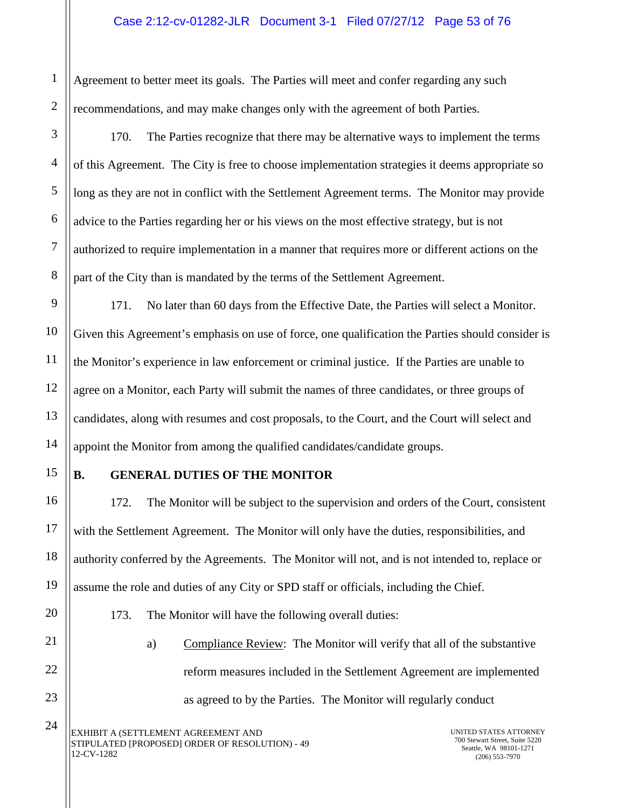Agreement to better meet its goals. The Parties will meet and confer regarding any such recommendations, and may make changes only with the agreement of both Parties.

170. The Parties recognize that there may be alternative ways to implement the terms of this Agreement. The City is free to choose implementation strategies it deems appropriate so long as they are not in conflict with the Settlement Agreement terms. The Monitor may provide advice to the Parties regarding her or his views on the most effective strategy, but is not authorized to require implementation in a manner that requires more or different actions on the part of the City than is mandated by the terms of the Settlement Agreement.

10 12 13 14 171. No later than 60 days from the Effective Date, the Parties will select a Monitor. Given this Agreement's emphasis on use of force, one qualification the Parties should consider is the Monitor's experience in law enforcement or criminal justice. If the Parties are unable to agree on a Monitor, each Party will submit the names of three candidates, or three groups of candidates, along with resumes and cost proposals, to the Court, and the Court will select and appoint the Monitor from among the qualified candidates/candidate groups.

15

16

17

18

19

20

21

22

23

24

1

2

3

4

5

6

7

8

9

11

## **B. GENERAL DUTIES OF THE MONITOR**

172. The Monitor will be subject to the supervision and orders of the Court, consistent with the Settlement Agreement. The Monitor will only have the duties, responsibilities, and authority conferred by the Agreements. The Monitor will not, and is not intended to, replace or assume the role and duties of any City or SPD staff or officials, including the Chief.

- 173. The Monitor will have the following overall duties:
	- a) Compliance Review: The Monitor will verify that all of the substantive reform measures included in the Settlement Agreement are implemented as agreed to by the Parties. The Monitor will regularly conduct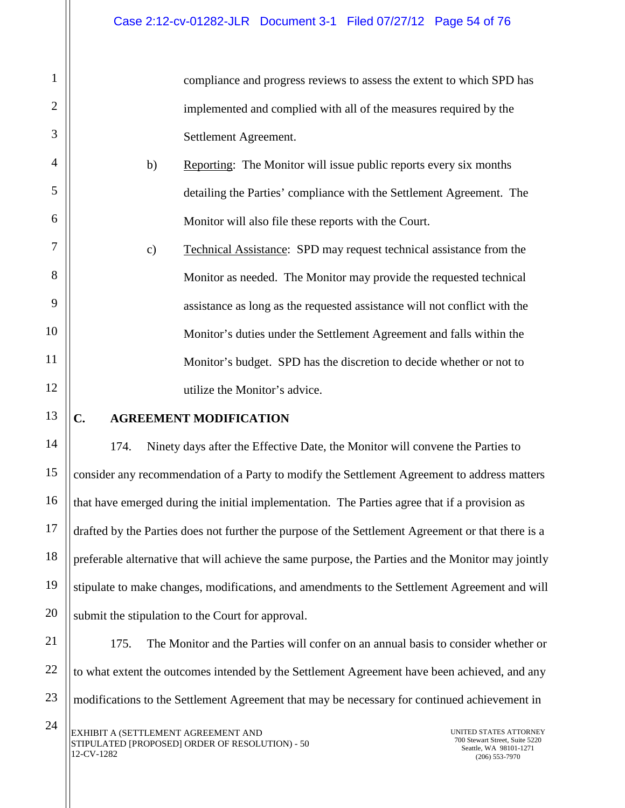compliance and progress reviews to assess the extent to which SPD has implemented and complied with all of the measures required by the Settlement Agreement.

- b) Reporting: The Monitor will issue public reports every six months detailing the Parties' compliance with the Settlement Agreement. The Monitor will also file these reports with the Court.
- c) Technical Assistance: SPD may request technical assistance from the Monitor as needed. The Monitor may provide the requested technical assistance as long as the requested assistance will not conflict with the Monitor's duties under the Settlement Agreement and falls within the Monitor's budget. SPD has the discretion to decide whether or not to utilize the Monitor's advice.

### 13

1

2

3

4

5

6

7

8

9

10

11

12

14

15

16

17

18

19

20

21

## **C. AGREEMENT MODIFICATION**

174. Ninety days after the Effective Date, the Monitor will convene the Parties to consider any recommendation of a Party to modify the Settlement Agreement to address matters that have emerged during the initial implementation. The Parties agree that if a provision as drafted by the Parties does not further the purpose of the Settlement Agreement or that there is a preferable alternative that will achieve the same purpose, the Parties and the Monitor may jointly stipulate to make changes, modifications, and amendments to the Settlement Agreement and will submit the stipulation to the Court for approval.

22 23 175. The Monitor and the Parties will confer on an annual basis to consider whether or to what extent the outcomes intended by the Settlement Agreement have been achieved, and any modifications to the Settlement Agreement that may be necessary for continued achievement in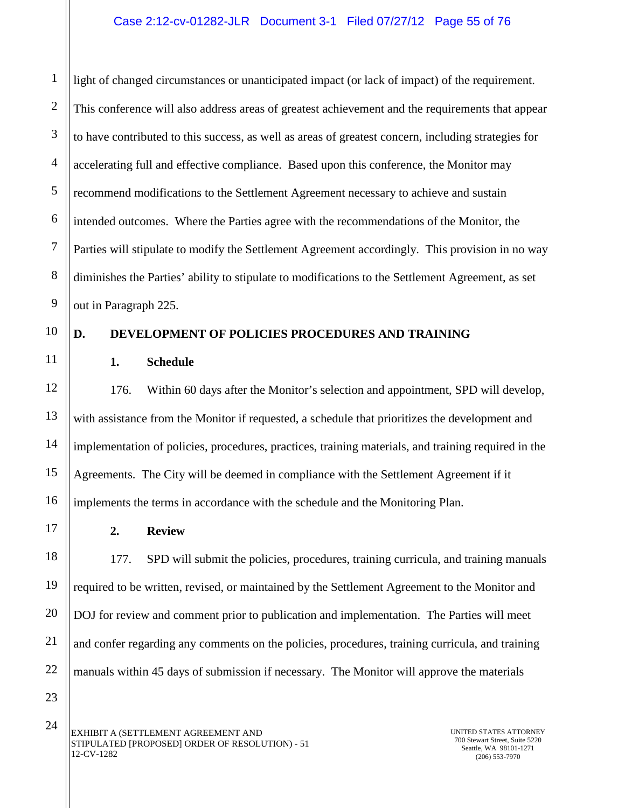4 5 6 7 8 light of changed circumstances or unanticipated impact (or lack of impact) of the requirement. This conference will also address areas of greatest achievement and the requirements that appear to have contributed to this success, as well as areas of greatest concern, including strategies for accelerating full and effective compliance. Based upon this conference, the Monitor may recommend modifications to the Settlement Agreement necessary to achieve and sustain intended outcomes. Where the Parties agree with the recommendations of the Monitor, the Parties will stipulate to modify the Settlement Agreement accordingly. This provision in no way diminishes the Parties' ability to stipulate to modifications to the Settlement Agreement, as set out in Paragraph 225.

# 10

11

12

13

14

15

16

17

18

19

20

21

22

9

1

2

3

# **D. DEVELOPMENT OF POLICIES PROCEDURES AND TRAINING**

**1. Schedule**

176. Within 60 days after the Monitor's selection and appointment, SPD will develop, with assistance from the Monitor if requested, a schedule that prioritizes the development and implementation of policies, procedures, practices, training materials, and training required in the Agreements. The City will be deemed in compliance with the Settlement Agreement if it implements the terms in accordance with the schedule and the Monitoring Plan.

**2. Review**

177. SPD will submit the policies, procedures, training curricula, and training manuals required to be written, revised, or maintained by the Settlement Agreement to the Monitor and DOJ for review and comment prior to publication and implementation. The Parties will meet and confer regarding any comments on the policies, procedures, training curricula, and training manuals within 45 days of submission if necessary. The Monitor will approve the materials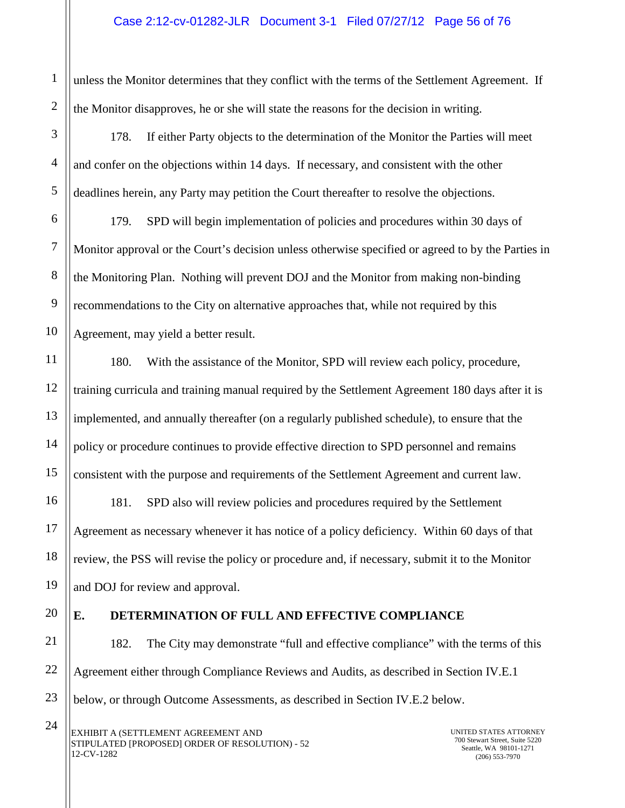unless the Monitor determines that they conflict with the terms of the Settlement Agreement. If the Monitor disapproves, he or she will state the reasons for the decision in writing.

178. If either Party objects to the determination of the Monitor the Parties will meet and confer on the objections within 14 days. If necessary, and consistent with the other deadlines herein, any Party may petition the Court thereafter to resolve the objections.

179. SPD will begin implementation of policies and procedures within 30 days of Monitor approval or the Court's decision unless otherwise specified or agreed to by the Parties in the Monitoring Plan. Nothing will prevent DOJ and the Monitor from making non-binding recommendations to the City on alternative approaches that, while not required by this Agreement, may yield a better result.

180. With the assistance of the Monitor, SPD will review each policy, procedure, training curricula and training manual required by the Settlement Agreement 180 days after it is implemented, and annually thereafter (on a regularly published schedule), to ensure that the policy or procedure continues to provide effective direction to SPD personnel and remains consistent with the purpose and requirements of the Settlement Agreement and current law.

181. SPD also will review policies and procedures required by the Settlement Agreement as necessary whenever it has notice of a policy deficiency. Within 60 days of that review, the PSS will revise the policy or procedure and, if necessary, submit it to the Monitor and DOJ for review and approval.

# **E. DETERMINATION OF FULL AND EFFECTIVE COMPLIANCE**

182. The City may demonstrate "full and effective compliance" with the terms of this Agreement either through Compliance Reviews and Audits, as described in Section IV.E.1 below, or through Outcome Assessments, as described in Section IV.E.2 below.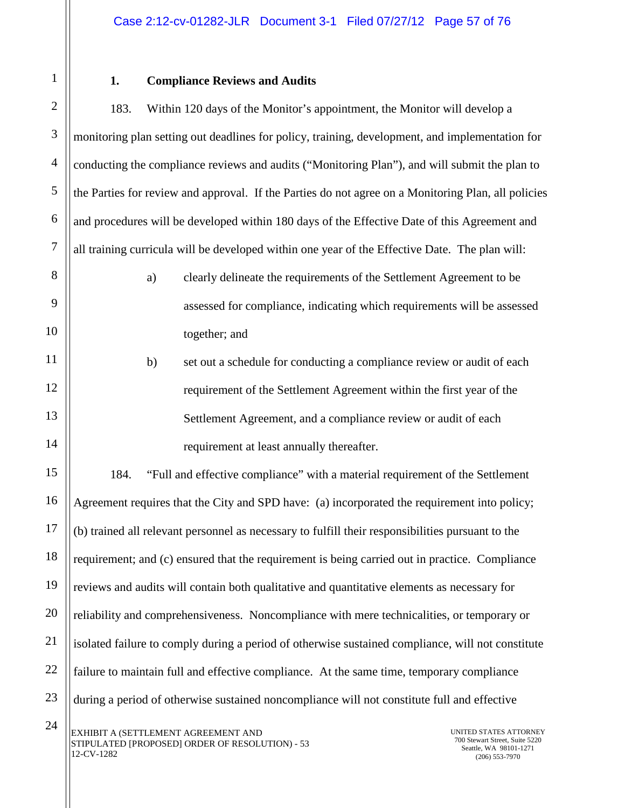1

2

3

4

5

6

7

8

9

10

11

12

13

14

15

16

17

18

19

20

21

22

23

## **1. Compliance Reviews and Audits**

183. Within 120 days of the Monitor's appointment, the Monitor will develop a monitoring plan setting out deadlines for policy, training, development, and implementation for conducting the compliance reviews and audits ("Monitoring Plan"), and will submit the plan to the Parties for review and approval. If the Parties do not agree on a Monitoring Plan, all policies and procedures will be developed within 180 days of the Effective Date of this Agreement and all training curricula will be developed within one year of the Effective Date. The plan will:

- a) clearly delineate the requirements of the Settlement Agreement to be assessed for compliance, indicating which requirements will be assessed together; and
- b) set out a schedule for conducting a compliance review or audit of each requirement of the Settlement Agreement within the first year of the Settlement Agreement, and a compliance review or audit of each requirement at least annually thereafter.

184. "Full and effective compliance" with a material requirement of the Settlement Agreement requires that the City and SPD have: (a) incorporated the requirement into policy; (b) trained all relevant personnel as necessary to fulfill their responsibilities pursuant to the requirement; and (c) ensured that the requirement is being carried out in practice. Compliance reviews and audits will contain both qualitative and quantitative elements as necessary for reliability and comprehensiveness. Noncompliance with mere technicalities, or temporary or isolated failure to comply during a period of otherwise sustained compliance, will not constitute failure to maintain full and effective compliance. At the same time, temporary compliance during a period of otherwise sustained noncompliance will not constitute full and effective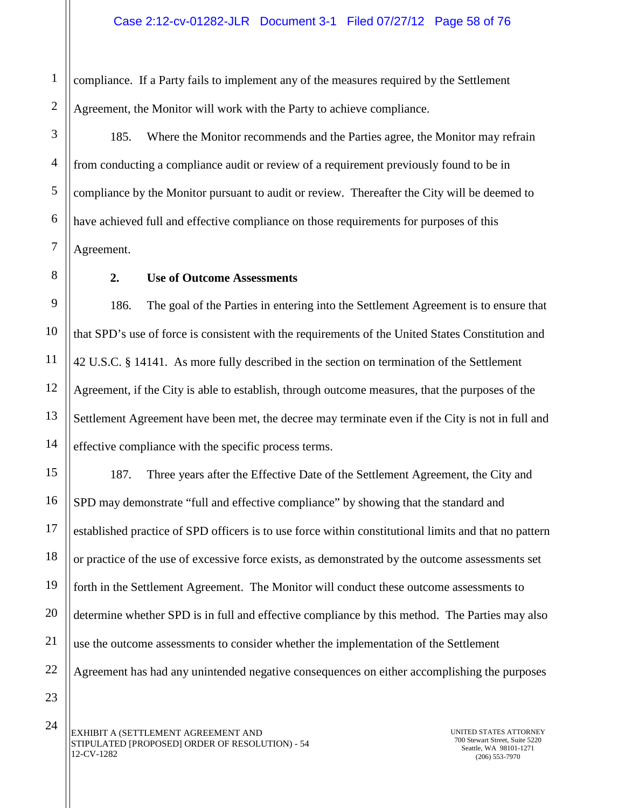1 2 compliance. If a Party fails to implement any of the measures required by the Settlement Agreement, the Monitor will work with the Party to achieve compliance.

185. Where the Monitor recommends and the Parties agree, the Monitor may refrain from conducting a compliance audit or review of a requirement previously found to be in compliance by the Monitor pursuant to audit or review. Thereafter the City will be deemed to have achieved full and effective compliance on those requirements for purposes of this Agreement.

3

4

5

6

7

8

9

10

11

12

13

14

15

16

17

18

19

20

21

22

### **2. Use of Outcome Assessments**

186. The goal of the Parties in entering into the Settlement Agreement is to ensure that that SPD's use of force is consistent with the requirements of the United States Constitution and 42 U.S.C. § 14141. As more fully described in the section on termination of the Settlement Agreement, if the City is able to establish, through outcome measures, that the purposes of the Settlement Agreement have been met, the decree may terminate even if the City is not in full and effective compliance with the specific process terms.

187. Three years after the Effective Date of the Settlement Agreement, the City and SPD may demonstrate "full and effective compliance" by showing that the standard and established practice of SPD officers is to use force within constitutional limits and that no pattern or practice of the use of excessive force exists, as demonstrated by the outcome assessments set forth in the Settlement Agreement. The Monitor will conduct these outcome assessments to determine whether SPD is in full and effective compliance by this method. The Parties may also use the outcome assessments to consider whether the implementation of the Settlement Agreement has had any unintended negative consequences on either accomplishing the purposes

23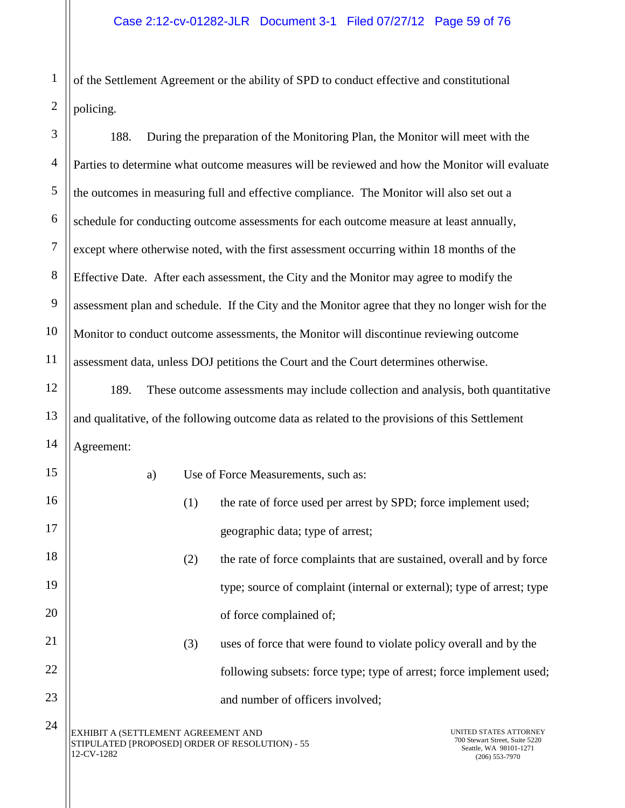of the Settlement Agreement or the ability of SPD to conduct effective and constitutional policing.

5 6 7 8 9 10 11 188. During the preparation of the Monitoring Plan, the Monitor will meet with the Parties to determine what outcome measures will be reviewed and how the Monitor will evaluate the outcomes in measuring full and effective compliance. The Monitor will also set out a schedule for conducting outcome assessments for each outcome measure at least annually, except where otherwise noted, with the first assessment occurring within 18 months of the Effective Date. After each assessment, the City and the Monitor may agree to modify the assessment plan and schedule. If the City and the Monitor agree that they no longer wish for the Monitor to conduct outcome assessments, the Monitor will discontinue reviewing outcome assessment data, unless DOJ petitions the Court and the Court determines otherwise.

189. These outcome assessments may include collection and analysis, both quantitative and qualitative, of the following outcome data as related to the provisions of this Settlement Agreement:

| 15 | a)                                                                                                   |     | Use of Force Measurements, such as:                                    |                                                                                                        |
|----|------------------------------------------------------------------------------------------------------|-----|------------------------------------------------------------------------|--------------------------------------------------------------------------------------------------------|
| 16 |                                                                                                      | (1) | the rate of force used per arrest by SPD; force implement used;        |                                                                                                        |
| 17 |                                                                                                      |     | geographic data; type of arrest;                                       |                                                                                                        |
| 18 |                                                                                                      | (2) | the rate of force complaints that are sustained, overall and by force  |                                                                                                        |
| 19 |                                                                                                      |     | type; source of complaint (internal or external); type of arrest; type |                                                                                                        |
| 20 |                                                                                                      |     | of force complained of;                                                |                                                                                                        |
| 21 |                                                                                                      | (3) | uses of force that were found to violate policy overall and by the     |                                                                                                        |
| 22 |                                                                                                      |     | following subsets: force type; type of arrest; force implement used;   |                                                                                                        |
| 23 |                                                                                                      |     | and number of officers involved;                                       |                                                                                                        |
| 24 | EXHIBIT A (SETTLEMENT AGREEMENT AND<br>STIPULATED [PROPOSED] ORDER OF RESOLUTION) - 55<br>12-CV-1282 |     |                                                                        | UNITED STATES ATTORNEY<br>700 Stewart Street, Suite 5220<br>Seattle, WA 98101-1271<br>$(206)$ 553-7970 |

12

13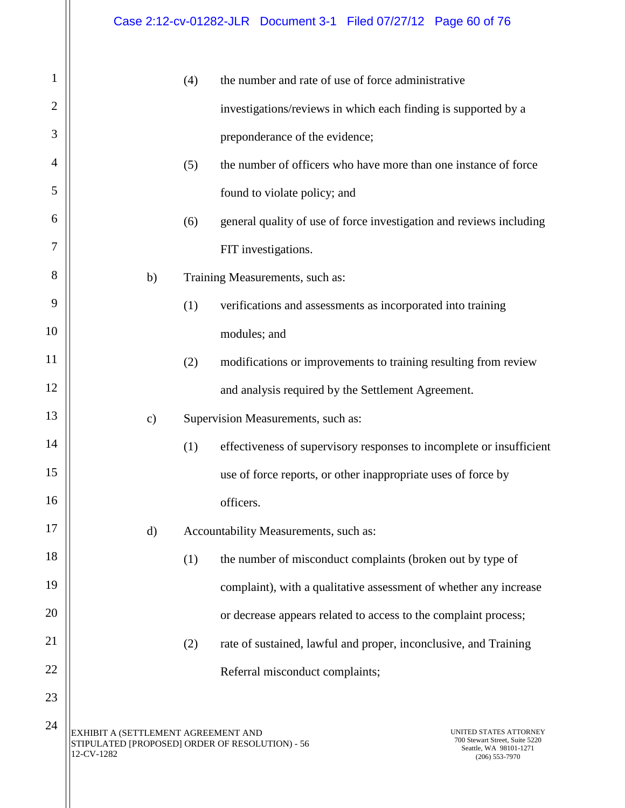| 1              |                                                                                                      | (4) | the number and rate of use of force administrative                                                     |  |
|----------------|------------------------------------------------------------------------------------------------------|-----|--------------------------------------------------------------------------------------------------------|--|
| $\overline{2}$ |                                                                                                      |     | investigations/reviews in which each finding is supported by a                                         |  |
| 3              |                                                                                                      |     | preponderance of the evidence;                                                                         |  |
| 4              |                                                                                                      | (5) | the number of officers who have more than one instance of force                                        |  |
| 5              |                                                                                                      |     | found to violate policy; and                                                                           |  |
| 6              |                                                                                                      | (6) | general quality of use of force investigation and reviews including                                    |  |
| 7              |                                                                                                      |     | FIT investigations.                                                                                    |  |
| 8              | b)                                                                                                   |     | Training Measurements, such as:                                                                        |  |
| 9              |                                                                                                      | (1) | verifications and assessments as incorporated into training                                            |  |
| 10             |                                                                                                      |     | modules; and                                                                                           |  |
| 11             |                                                                                                      | (2) | modifications or improvements to training resulting from review                                        |  |
| 12             |                                                                                                      |     | and analysis required by the Settlement Agreement.                                                     |  |
| 13             | $\mathbf{c})$                                                                                        |     | Supervision Measurements, such as:                                                                     |  |
| 14             |                                                                                                      | (1) | effectiveness of supervisory responses to incomplete or insufficient                                   |  |
| 15             |                                                                                                      |     | use of force reports, or other inappropriate uses of force by                                          |  |
| 16             |                                                                                                      |     | officers.                                                                                              |  |
| 17             | $\mathbf{d}$                                                                                         |     | Accountability Measurements, such as:                                                                  |  |
| 18             |                                                                                                      | (1) | the number of misconduct complaints (broken out by type of                                             |  |
| 19             |                                                                                                      |     | complaint), with a qualitative assessment of whether any increase                                      |  |
| 20             |                                                                                                      |     | or decrease appears related to access to the complaint process;                                        |  |
| 21             |                                                                                                      | (2) | rate of sustained, lawful and proper, inconclusive, and Training                                       |  |
| 22             |                                                                                                      |     | Referral misconduct complaints;                                                                        |  |
| 23             |                                                                                                      |     |                                                                                                        |  |
| 24             | EXHIBIT A (SETTLEMENT AGREEMENT AND<br>STIPULATED [PROPOSED] ORDER OF RESOLUTION) - 56<br>12-CV-1282 |     | UNITED STATES ATTORNEY<br>700 Stewart Street, Suite 5220<br>Seattle, WA 98101-1271<br>$(206)$ 553-7970 |  |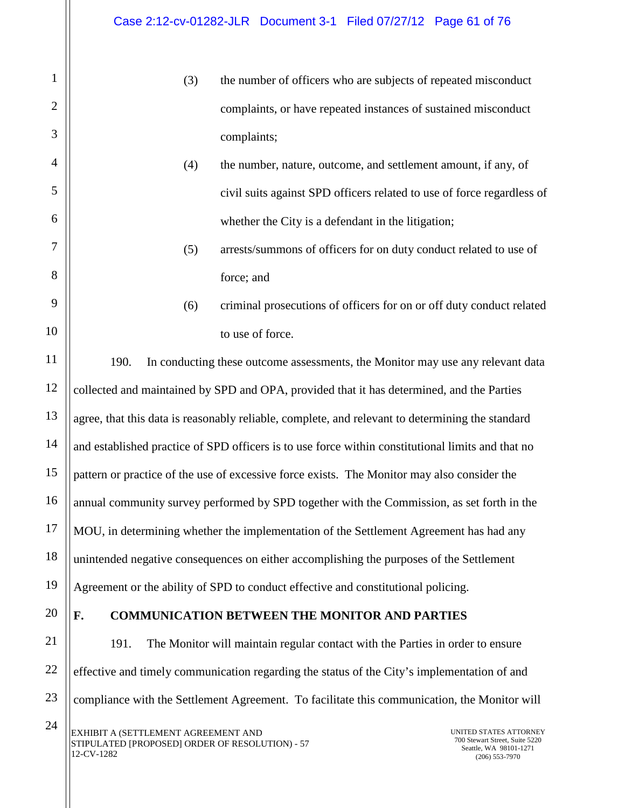- (3) the number of officers who are subjects of repeated misconduct complaints, or have repeated instances of sustained misconduct complaints;
- (4) the number, nature, outcome, and settlement amount, if any, of civil suits against SPD officers related to use of force regardless of whether the City is a defendant in the litigation;
- (5) arrests/summons of officers for on duty conduct related to use of force; and
- (6) criminal prosecutions of officers for on or off duty conduct related to use of force.

190. In conducting these outcome assessments, the Monitor may use any relevant data collected and maintained by SPD and OPA, provided that it has determined, and the Parties agree, that this data is reasonably reliable, complete, and relevant to determining the standard and established practice of SPD officers is to use force within constitutional limits and that no pattern or practice of the use of excessive force exists. The Monitor may also consider the annual community survey performed by SPD together with the Commission, as set forth in the MOU, in determining whether the implementation of the Settlement Agreement has had any unintended negative consequences on either accomplishing the purposes of the Settlement Agreement or the ability of SPD to conduct effective and constitutional policing.

20

1

2

3

4

5

6

7

8

9

10

11

12

13

14

15

16

17

18

19

21

22

23

## **F. COMMUNICATION BETWEEN THE MONITOR AND PARTIES**

191. The Monitor will maintain regular contact with the Parties in order to ensure effective and timely communication regarding the status of the City's implementation of and compliance with the Settlement Agreement. To facilitate this communication, the Monitor will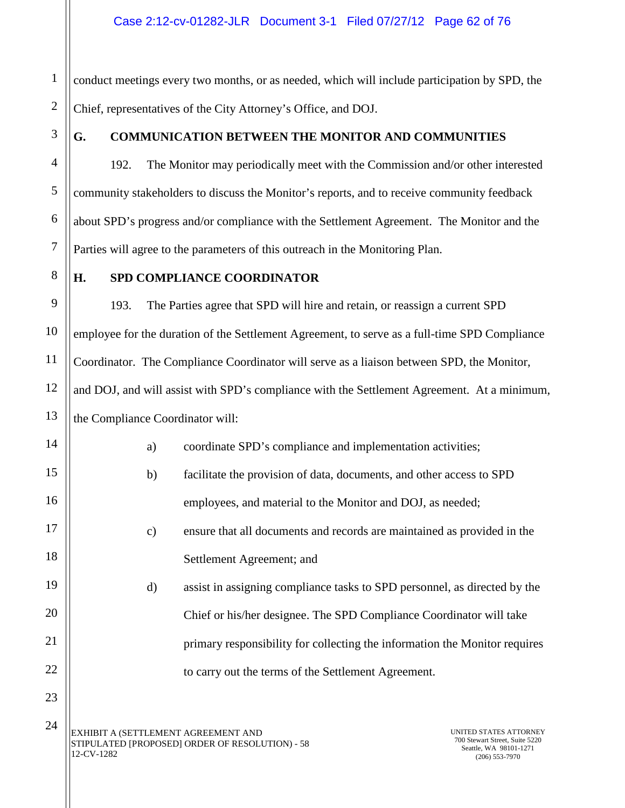1 2 conduct meetings every two months, or as needed, which will include participation by SPD, the Chief, representatives of the City Attorney's Office, and DOJ.

3

4

5

6

7

8

9

10

11

12

13

14

15

16

17

18

19

20

21

22

23

24

## **G. COMMUNICATION BETWEEN THE MONITOR AND COMMUNITIES**

192. The Monitor may periodically meet with the Commission and/or other interested community stakeholders to discuss the Monitor's reports, and to receive community feedback about SPD's progress and/or compliance with the Settlement Agreement. The Monitor and the Parties will agree to the parameters of this outreach in the Monitoring Plan.

### **H. SPD COMPLIANCE COORDINATOR**

193. The Parties agree that SPD will hire and retain, or reassign a current SPD employee for the duration of the Settlement Agreement, to serve as a full-time SPD Compliance Coordinator. The Compliance Coordinator will serve as a liaison between SPD, the Monitor, and DOJ, and will assist with SPD's compliance with the Settlement Agreement. At a minimum, the Compliance Coordinator will:

| a) | coordinate SPD's compliance and implementation activities;                 |
|----|----------------------------------------------------------------------------|
| b) | facilitate the provision of data, documents, and other access to SPD       |
|    | employees, and material to the Monitor and DOJ, as needed;                 |
| c) | ensure that all documents and records are maintained as provided in the    |
|    | Settlement Agreement; and                                                  |
| d) | assist in assigning compliance tasks to SPD personnel, as directed by the  |
|    | Chief or his/her designee. The SPD Compliance Coordinator will take        |
|    | primary responsibility for collecting the information the Monitor requires |
|    | to carry out the terms of the Settlement Agreement.                        |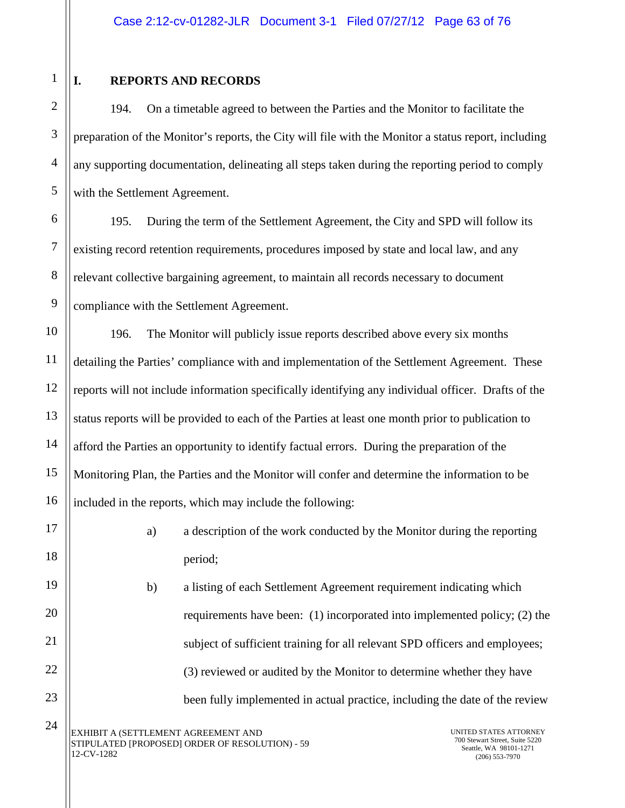1

2

3

4

5

6

7

8

9

10

11

12

13

14

15

16

17

18

19

20

21

22

23

24

## **I. REPORTS AND RECORDS**

194. On a timetable agreed to between the Parties and the Monitor to facilitate the preparation of the Monitor's reports, the City will file with the Monitor a status report, including any supporting documentation, delineating all steps taken during the reporting period to comply with the Settlement Agreement.

195. During the term of the Settlement Agreement, the City and SPD will follow its existing record retention requirements, procedures imposed by state and local law, and any relevant collective bargaining agreement, to maintain all records necessary to document compliance with the Settlement Agreement.

196. The Monitor will publicly issue reports described above every six months detailing the Parties' compliance with and implementation of the Settlement Agreement. These reports will not include information specifically identifying any individual officer. Drafts of the status reports will be provided to each of the Parties at least one month prior to publication to afford the Parties an opportunity to identify factual errors. During the preparation of the Monitoring Plan, the Parties and the Monitor will confer and determine the information to be included in the reports, which may include the following:

> a) a description of the work conducted by the Monitor during the reporting period;

b) a listing of each Settlement Agreement requirement indicating which requirements have been: (1) incorporated into implemented policy; (2) the subject of sufficient training for all relevant SPD officers and employees; (3) reviewed or audited by the Monitor to determine whether they have been fully implemented in actual practice, including the date of the review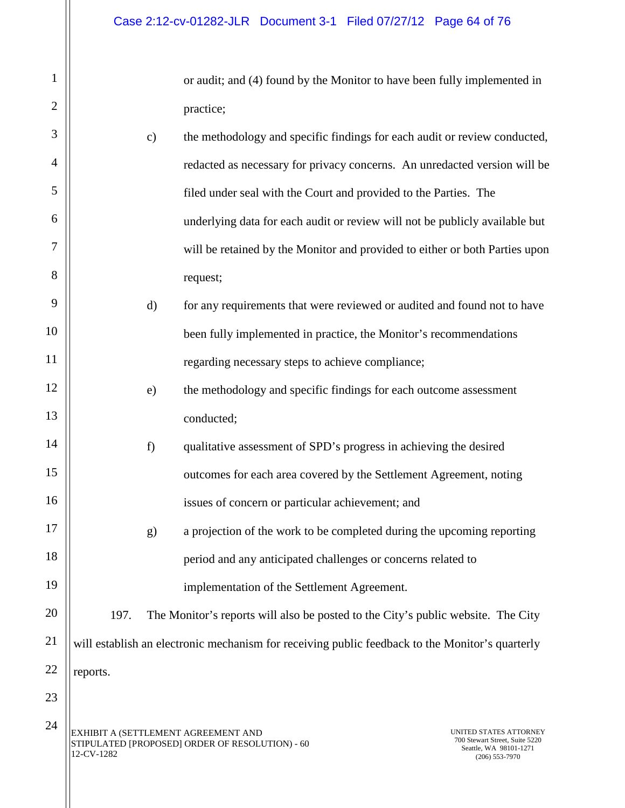|           | or audit; and (4) found by the Monitor to have been fully implemented in |
|-----------|--------------------------------------------------------------------------|
| practice; |                                                                          |

| 3  |          | $\mathbf{c})$ | the methodology and specific findings for each audit or review conducted,                       |
|----|----------|---------------|-------------------------------------------------------------------------------------------------|
| 4  |          |               | redacted as necessary for privacy concerns. An unredacted version will be                       |
| 5  |          |               | filed under seal with the Court and provided to the Parties. The                                |
| 6  |          |               | underlying data for each audit or review will not be publicly available but                     |
| 7  |          |               | will be retained by the Monitor and provided to either or both Parties upon                     |
| 8  |          |               | request;                                                                                        |
| 9  |          | d)            | for any requirements that were reviewed or audited and found not to have                        |
| 10 |          |               | been fully implemented in practice, the Monitor's recommendations                               |
| 11 |          |               | regarding necessary steps to achieve compliance;                                                |
| 12 |          | e)            | the methodology and specific findings for each outcome assessment                               |
| 13 |          |               | conducted;                                                                                      |
| 14 |          | f)            | qualitative assessment of SPD's progress in achieving the desired                               |
| 15 |          |               | outcomes for each area covered by the Settlement Agreement, noting                              |
| 16 |          |               | issues of concern or particular achievement; and                                                |
| 17 |          | g)            | a projection of the work to be completed during the upcoming reporting                          |
| 18 |          |               | period and any anticipated challenges or concerns related to                                    |
| 19 |          |               | implementation of the Settlement Agreement.                                                     |
| 20 | 197.     |               | The Monitor's reports will also be posted to the City's public website. The City                |
| 21 |          |               | will establish an electronic mechanism for receiving public feedback to the Monitor's quarterly |
| 22 | reports. |               |                                                                                                 |
| 23 |          |               |                                                                                                 |
| 24 |          |               |                                                                                                 |

1

2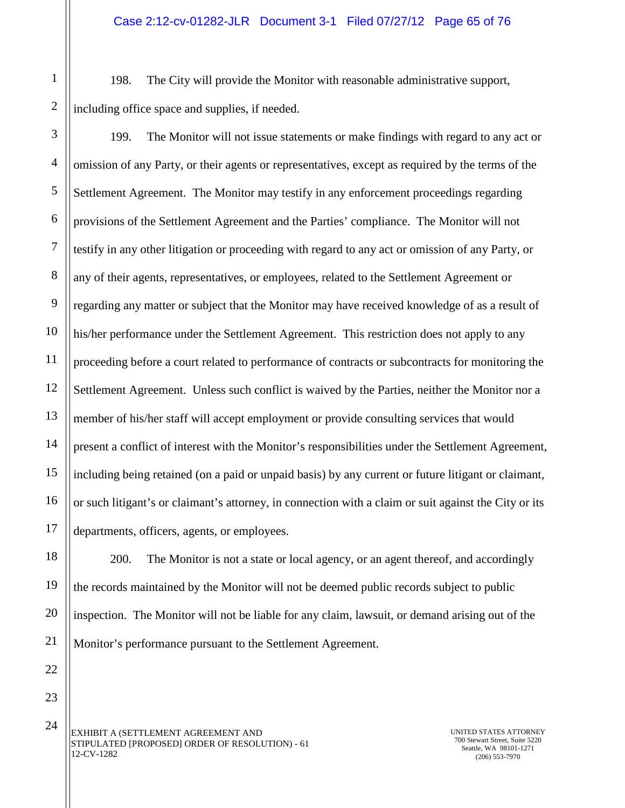198. The City will provide the Monitor with reasonable administrative support, including office space and supplies, if needed.

199. The Monitor will not issue statements or make findings with regard to any act or omission of any Party, or their agents or representatives, except as required by the terms of the Settlement Agreement. The Monitor may testify in any enforcement proceedings regarding provisions of the Settlement Agreement and the Parties' compliance. The Monitor will not testify in any other litigation or proceeding with regard to any act or omission of any Party, or any of their agents, representatives, or employees, related to the Settlement Agreement or regarding any matter or subject that the Monitor may have received knowledge of as a result of his/her performance under the Settlement Agreement. This restriction does not apply to any proceeding before a court related to performance of contracts or subcontracts for monitoring the Settlement Agreement. Unless such conflict is waived by the Parties, neither the Monitor nor a member of his/her staff will accept employment or provide consulting services that would present a conflict of interest with the Monitor's responsibilities under the Settlement Agreement, including being retained (on a paid or unpaid basis) by any current or future litigant or claimant, or such litigant's or claimant's attorney, in connection with a claim or suit against the City or its departments, officers, agents, or employees.

200. The Monitor is not a state or local agency, or an agent thereof, and accordingly the records maintained by the Monitor will not be deemed public records subject to public inspection. The Monitor will not be liable for any claim, lawsuit, or demand arising out of the Monitor's performance pursuant to the Settlement Agreement.

EXHIBIT A (SETTLEMENT AGREEMENT AND STIPULATED [PROPOSED] ORDER OF RESOLUTION) - 61 12-CV-1282

UNITED STATES ATTORNEY 700 Stewart Street, Suite 5220 Seattle, WA 98101-1271 (206) 553-7970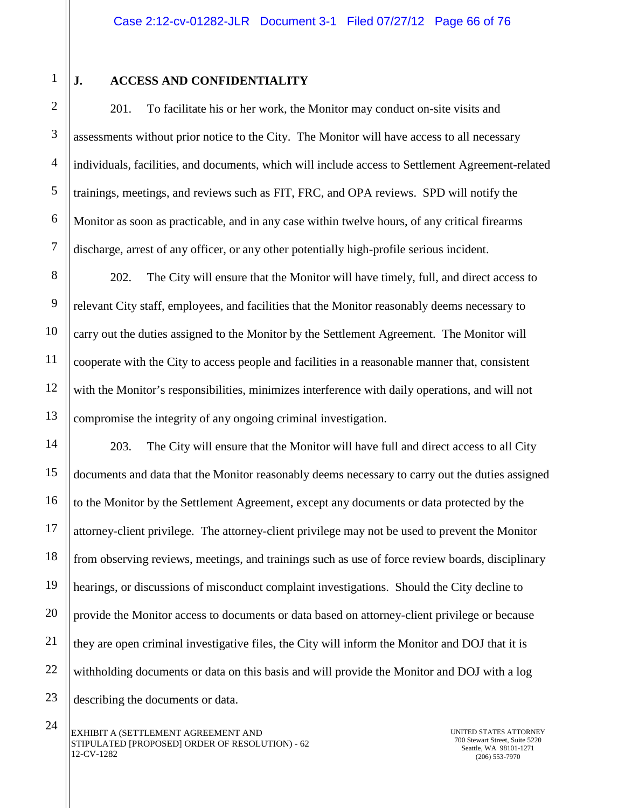1

2

3

## **J. ACCESS AND CONFIDENTIALITY**

201. To facilitate his or her work, the Monitor may conduct on-site visits and assessments without prior notice to the City. The Monitor will have access to all necessary individuals, facilities, and documents, which will include access to Settlement Agreement-related trainings, meetings, and reviews such as FIT, FRC, and OPA reviews. SPD will notify the Monitor as soon as practicable, and in any case within twelve hours, of any critical firearms discharge, arrest of any officer, or any other potentially high-profile serious incident.

202. The City will ensure that the Monitor will have timely, full, and direct access to relevant City staff, employees, and facilities that the Monitor reasonably deems necessary to carry out the duties assigned to the Monitor by the Settlement Agreement. The Monitor will cooperate with the City to access people and facilities in a reasonable manner that, consistent with the Monitor's responsibilities, minimizes interference with daily operations, and will not compromise the integrity of any ongoing criminal investigation.

203. The City will ensure that the Monitor will have full and direct access to all City documents and data that the Monitor reasonably deems necessary to carry out the duties assigned to the Monitor by the Settlement Agreement, except any documents or data protected by the attorney-client privilege. The attorney-client privilege may not be used to prevent the Monitor from observing reviews, meetings, and trainings such as use of force review boards, disciplinary hearings, or discussions of misconduct complaint investigations. Should the City decline to provide the Monitor access to documents or data based on attorney-client privilege or because they are open criminal investigative files, the City will inform the Monitor and DOJ that it is withholding documents or data on this basis and will provide the Monitor and DOJ with a log describing the documents or data.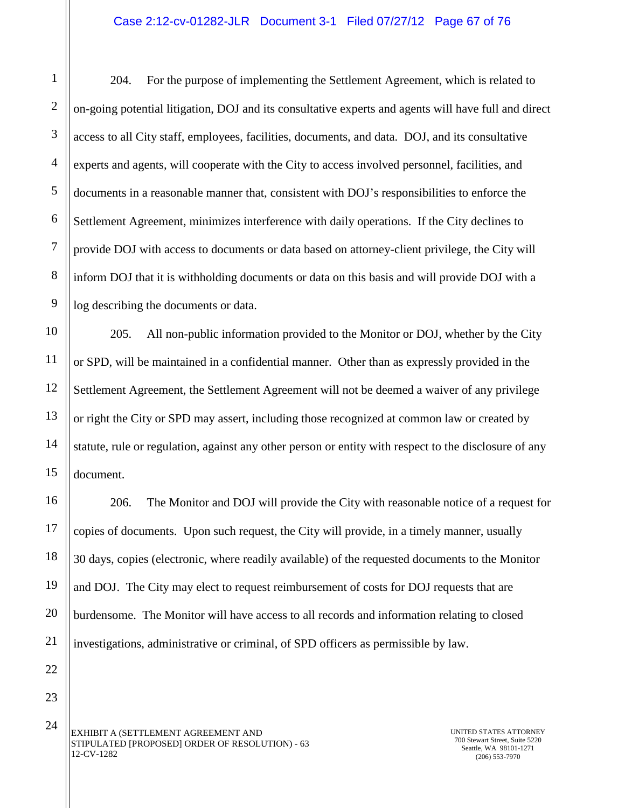1 2 3 4 5 6 7 8 9 204. For the purpose of implementing the Settlement Agreement, which is related to on-going potential litigation, DOJ and its consultative experts and agents will have full and direct access to all City staff, employees, facilities, documents, and data. DOJ, and its consultative experts and agents, will cooperate with the City to access involved personnel, facilities, and documents in a reasonable manner that, consistent with DOJ's responsibilities to enforce the Settlement Agreement, minimizes interference with daily operations. If the City declines to provide DOJ with access to documents or data based on attorney-client privilege, the City will inform DOJ that it is withholding documents or data on this basis and will provide DOJ with a log describing the documents or data.

205. All non-public information provided to the Monitor or DOJ, whether by the City or SPD, will be maintained in a confidential manner. Other than as expressly provided in the Settlement Agreement, the Settlement Agreement will not be deemed a waiver of any privilege or right the City or SPD may assert, including those recognized at common law or created by statute, rule or regulation, against any other person or entity with respect to the disclosure of any document.

206. The Monitor and DOJ will provide the City with reasonable notice of a request for copies of documents. Upon such request, the City will provide, in a timely manner, usually 30 days, copies (electronic, where readily available) of the requested documents to the Monitor and DOJ. The City may elect to request reimbursement of costs for DOJ requests that are burdensome. The Monitor will have access to all records and information relating to closed investigations, administrative or criminal, of SPD officers as permissible by law.

22 23

24

10

11

12

13

14

15

16

17

18

19

20

21

EXHIBIT A (SETTLEMENT AGREEMENT AND STIPULATED [PROPOSED] ORDER OF RESOLUTION) - 63 12-CV-1282

UNITED STATES ATTORNEY 700 Stewart Street, Suite 5220 Seattle, WA 98101-1271 (206) 553-7970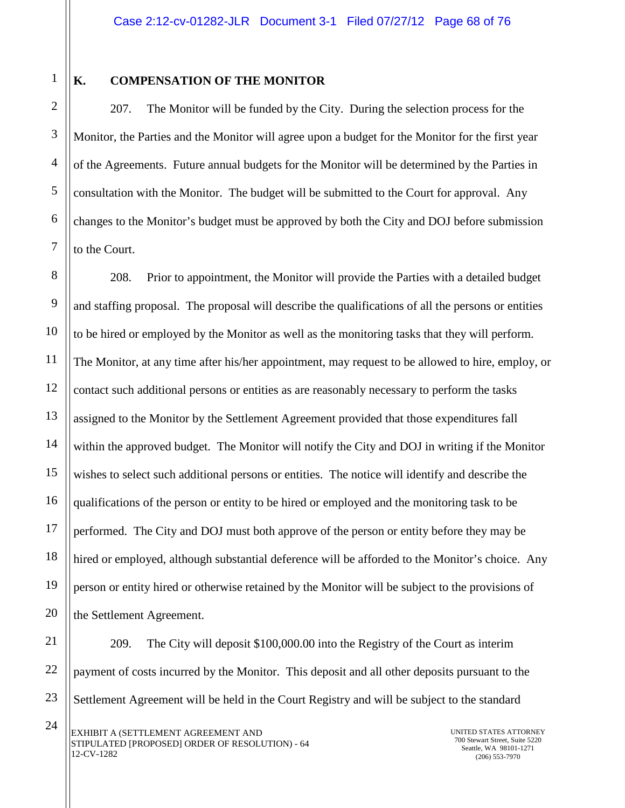1

2

3

4

5

6

7

9

11

17

21

## **K. COMPENSATION OF THE MONITOR**

207. The Monitor will be funded by the City. During the selection process for the Monitor, the Parties and the Monitor will agree upon a budget for the Monitor for the first year of the Agreements. Future annual budgets for the Monitor will be determined by the Parties in consultation with the Monitor. The budget will be submitted to the Court for approval. Any changes to the Monitor's budget must be approved by both the City and DOJ before submission to the Court.

8 10 12 13 14 15 16 18 19 20 208. Prior to appointment, the Monitor will provide the Parties with a detailed budget and staffing proposal. The proposal will describe the qualifications of all the persons or entities to be hired or employed by the Monitor as well as the monitoring tasks that they will perform. The Monitor, at any time after his/her appointment, may request to be allowed to hire, employ, or contact such additional persons or entities as are reasonably necessary to perform the tasks assigned to the Monitor by the Settlement Agreement provided that those expenditures fall within the approved budget. The Monitor will notify the City and DOJ in writing if the Monitor wishes to select such additional persons or entities. The notice will identify and describe the qualifications of the person or entity to be hired or employed and the monitoring task to be performed. The City and DOJ must both approve of the person or entity before they may be hired or employed, although substantial deference will be afforded to the Monitor's choice. Any person or entity hired or otherwise retained by the Monitor will be subject to the provisions of the Settlement Agreement.

22 23 209. The City will deposit \$100,000.00 into the Registry of the Court as interim payment of costs incurred by the Monitor. This deposit and all other deposits pursuant to the Settlement Agreement will be held in the Court Registry and will be subject to the standard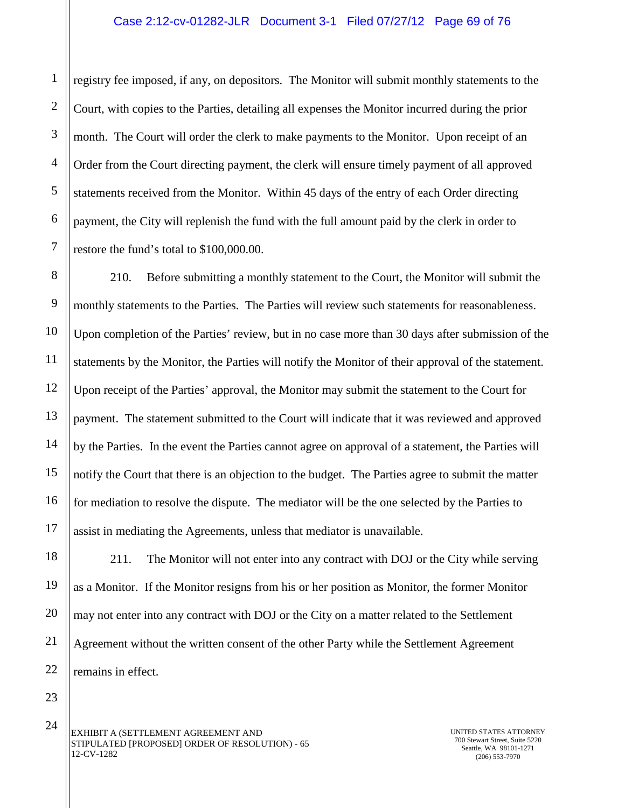registry fee imposed, if any, on depositors. The Monitor will submit monthly statements to the Court, with copies to the Parties, detailing all expenses the Monitor incurred during the prior month. The Court will order the clerk to make payments to the Monitor. Upon receipt of an Order from the Court directing payment, the clerk will ensure timely payment of all approved statements received from the Monitor. Within 45 days of the entry of each Order directing payment, the City will replenish the fund with the full amount paid by the clerk in order to restore the fund's total to \$100,000.00.

8 9 10 12 13 14 15 16 17 210. Before submitting a monthly statement to the Court, the Monitor will submit the monthly statements to the Parties. The Parties will review such statements for reasonableness. Upon completion of the Parties' review, but in no case more than 30 days after submission of the statements by the Monitor, the Parties will notify the Monitor of their approval of the statement. Upon receipt of the Parties' approval, the Monitor may submit the statement to the Court for payment. The statement submitted to the Court will indicate that it was reviewed and approved by the Parties. In the event the Parties cannot agree on approval of a statement, the Parties will notify the Court that there is an objection to the budget. The Parties agree to submit the matter for mediation to resolve the dispute. The mediator will be the one selected by the Parties to assist in mediating the Agreements, unless that mediator is unavailable.

211. The Monitor will not enter into any contract with DOJ or the City while serving as a Monitor. If the Monitor resigns from his or her position as Monitor, the former Monitor may not enter into any contract with DOJ or the City on a matter related to the Settlement Agreement without the written consent of the other Party while the Settlement Agreement remains in effect.

23 24

18

19

20

21

22

1

2

3

4

5

6

7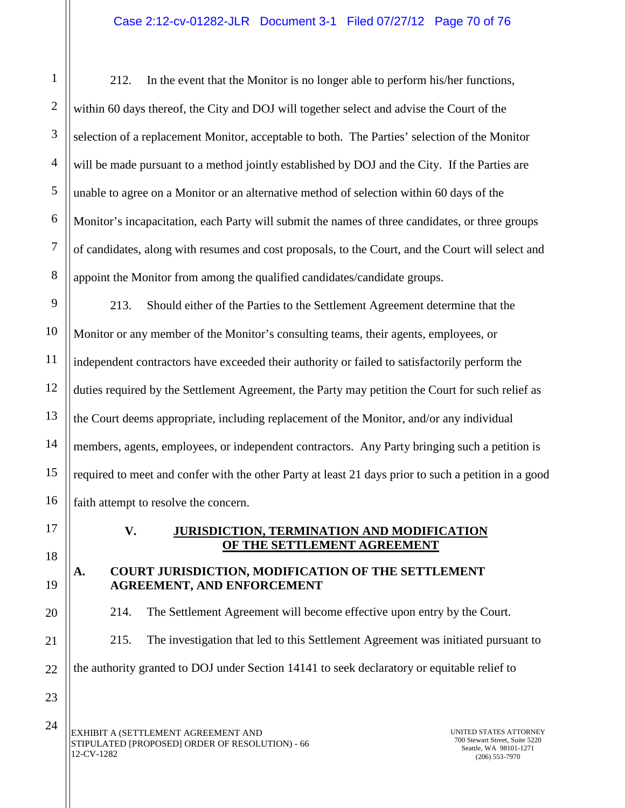212. In the event that the Monitor is no longer able to perform his/her functions, within 60 days thereof, the City and DOJ will together select and advise the Court of the selection of a replacement Monitor, acceptable to both. The Parties' selection of the Monitor will be made pursuant to a method jointly established by DOJ and the City. If the Parties are unable to agree on a Monitor or an alternative method of selection within 60 days of the Monitor's incapacitation, each Party will submit the names of three candidates, or three groups of candidates, along with resumes and cost proposals, to the Court, and the Court will select and appoint the Monitor from among the qualified candidates/candidate groups.

9 10 11 12 13 14 15 16 213. Should either of the Parties to the Settlement Agreement determine that the Monitor or any member of the Monitor's consulting teams, their agents, employees, or independent contractors have exceeded their authority or failed to satisfactorily perform the duties required by the Settlement Agreement, the Party may petition the Court for such relief as the Court deems appropriate, including replacement of the Monitor, and/or any individual members, agents, employees, or independent contractors. Any Party bringing such a petition is required to meet and confer with the other Party at least 21 days prior to such a petition in a good faith attempt to resolve the concern.

17

18

19

20

21

22

1

2

3

4

5

6

7

8

### **V. JURISDICTION, TERMINATION AND MODIFICATION OF THE SETTLEMENT AGREEMENT**

## **A. COURT JURISDICTION, MODIFICATION OF THE SETTLEMENT AGREEMENT, AND ENFORCEMENT**

214. The Settlement Agreement will become effective upon entry by the Court. 215. The investigation that led to this Settlement Agreement was initiated pursuant to

the authority granted to DOJ under Section 14141 to seek declaratory or equitable relief to

23

EXHIBIT A (SETTLEMENT AGREEMENT AND STIPULATED [PROPOSED] ORDER OF RESOLUTION) - 66 12-CV-1282 24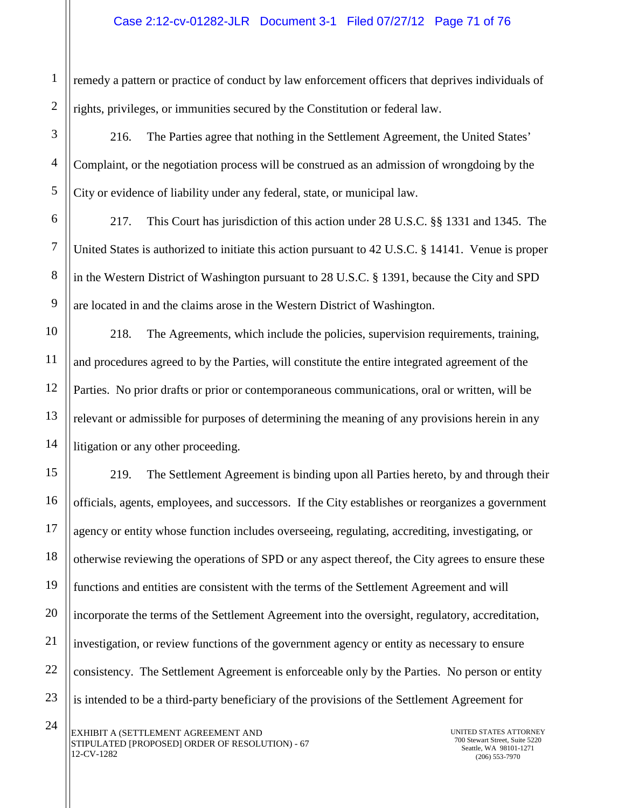remedy a pattern or practice of conduct by law enforcement officers that deprives individuals of rights, privileges, or immunities secured by the Constitution or federal law.

216. The Parties agree that nothing in the Settlement Agreement, the United States' Complaint, or the negotiation process will be construed as an admission of wrongdoing by the City or evidence of liability under any federal, state, or municipal law.

217. This Court has jurisdiction of this action under 28 U.S.C. §§ 1331 and 1345. The United States is authorized to initiate this action pursuant to 42 U.S.C. § 14141. Venue is proper in the Western District of Washington pursuant to 28 U.S.C. § 1391, because the City and SPD are located in and the claims arose in the Western District of Washington.

218. The Agreements, which include the policies, supervision requirements, training, and procedures agreed to by the Parties, will constitute the entire integrated agreement of the Parties. No prior drafts or prior or contemporaneous communications, oral or written, will be relevant or admissible for purposes of determining the meaning of any provisions herein in any litigation or any other proceeding.

219. The Settlement Agreement is binding upon all Parties hereto, by and through their officials, agents, employees, and successors. If the City establishes or reorganizes a government agency or entity whose function includes overseeing, regulating, accrediting, investigating, or otherwise reviewing the operations of SPD or any aspect thereof, the City agrees to ensure these functions and entities are consistent with the terms of the Settlement Agreement and will incorporate the terms of the Settlement Agreement into the oversight, regulatory, accreditation, investigation, or review functions of the government agency or entity as necessary to ensure consistency. The Settlement Agreement is enforceable only by the Parties. No person or entity is intended to be a third-party beneficiary of the provisions of the Settlement Agreement for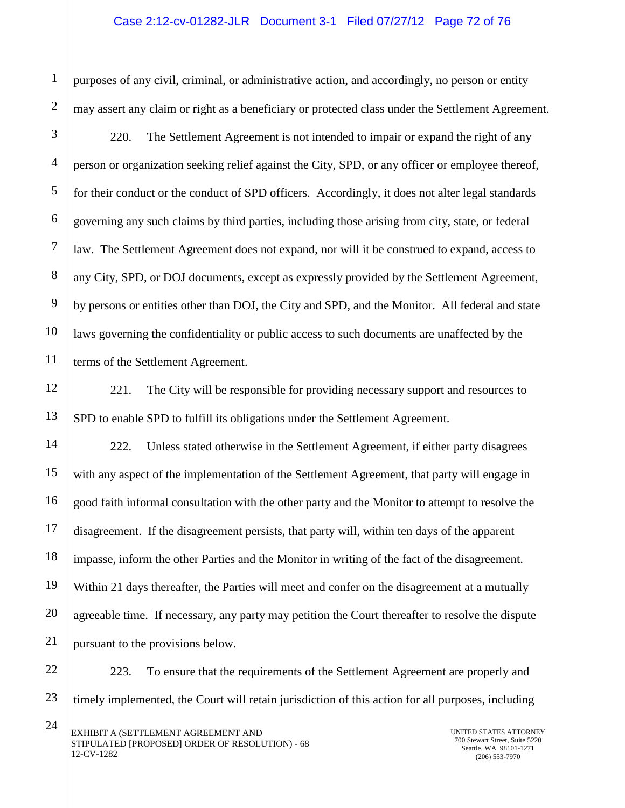purposes of any civil, criminal, or administrative action, and accordingly, no person or entity may assert any claim or right as a beneficiary or protected class under the Settlement Agreement.

220. The Settlement Agreement is not intended to impair or expand the right of any person or organization seeking relief against the City, SPD, or any officer or employee thereof, for their conduct or the conduct of SPD officers. Accordingly, it does not alter legal standards governing any such claims by third parties, including those arising from city, state, or federal law. The Settlement Agreement does not expand, nor will it be construed to expand, access to any City, SPD, or DOJ documents, except as expressly provided by the Settlement Agreement, by persons or entities other than DOJ, the City and SPD, and the Monitor. All federal and state laws governing the confidentiality or public access to such documents are unaffected by the terms of the Settlement Agreement.

221. The City will be responsible for providing necessary support and resources to SPD to enable SPD to fulfill its obligations under the Settlement Agreement.

222. Unless stated otherwise in the Settlement Agreement, if either party disagrees with any aspect of the implementation of the Settlement Agreement, that party will engage in good faith informal consultation with the other party and the Monitor to attempt to resolve the disagreement. If the disagreement persists, that party will, within ten days of the apparent impasse, inform the other Parties and the Monitor in writing of the fact of the disagreement. Within 21 days thereafter, the Parties will meet and confer on the disagreement at a mutually agreeable time. If necessary, any party may petition the Court thereafter to resolve the dispute pursuant to the provisions below.

223. To ensure that the requirements of the Settlement Agreement are properly and timely implemented, the Court will retain jurisdiction of this action for all purposes, including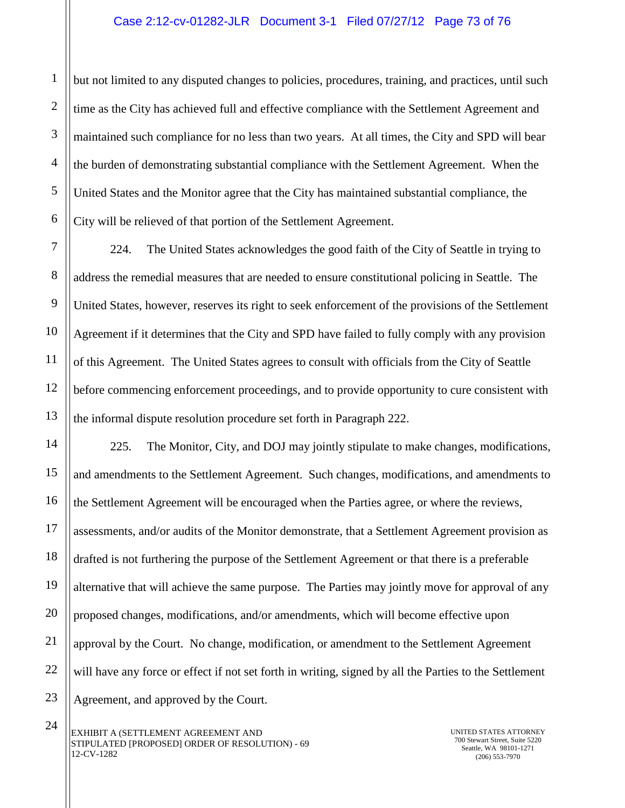but not limited to any disputed changes to policies, procedures, training, and practices, until such time as the City has achieved full and effective compliance with the Settlement Agreement and maintained such compliance for no less than two years. At all times, the City and SPD will bear the burden of demonstrating substantial compliance with the Settlement Agreement. When the United States and the Monitor agree that the City has maintained substantial compliance, the City will be relieved of that portion of the Settlement Agreement.

224. The United States acknowledges the good faith of the City of Seattle in trying to address the remedial measures that are needed to ensure constitutional policing in Seattle. The United States, however, reserves its right to seek enforcement of the provisions of the Settlement Agreement if it determines that the City and SPD have failed to fully comply with any provision of this Agreement. The United States agrees to consult with officials from the City of Seattle before commencing enforcement proceedings, and to provide opportunity to cure consistent with the informal dispute resolution procedure set forth in Paragraph 222.

225. The Monitor, City, and DOJ may jointly stipulate to make changes, modifications, and amendments to the Settlement Agreement. Such changes, modifications, and amendments to the Settlement Agreement will be encouraged when the Parties agree, or where the reviews, assessments, and/or audits of the Monitor demonstrate, that a Settlement Agreement provision as drafted is not furthering the purpose of the Settlement Agreement or that there is a preferable alternative that will achieve the same purpose. The Parties may jointly move for approval of any proposed changes, modifications, and/or amendments, which will become effective upon approval by the Court. No change, modification, or amendment to the Settlement Agreement will have any force or effect if not set forth in writing, signed by all the Parties to the Settlement Agreement, and approved by the Court.

24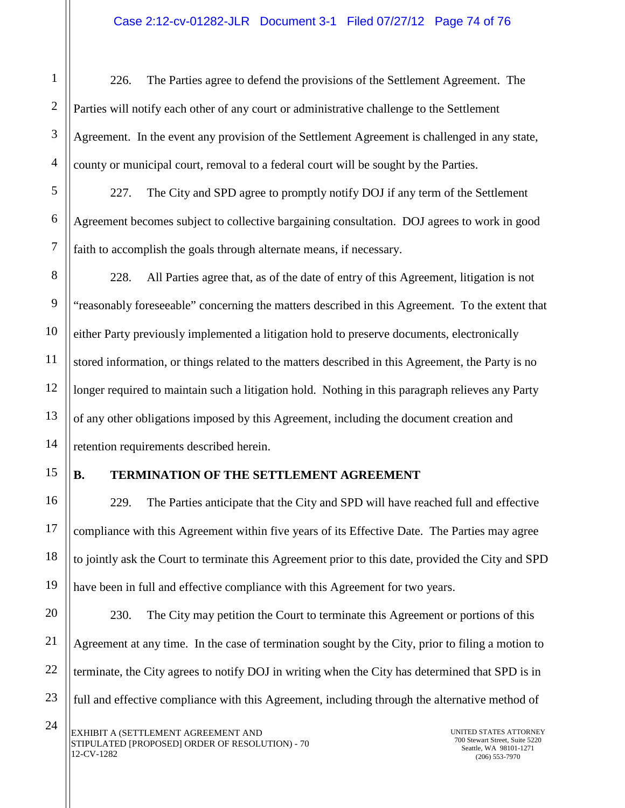226. The Parties agree to defend the provisions of the Settlement Agreement. The Parties will notify each other of any court or administrative challenge to the Settlement Agreement. In the event any provision of the Settlement Agreement is challenged in any state, county or municipal court, removal to a federal court will be sought by the Parties.

227. The City and SPD agree to promptly notify DOJ if any term of the Settlement Agreement becomes subject to collective bargaining consultation. DOJ agrees to work in good faith to accomplish the goals through alternate means, if necessary.

228. All Parties agree that, as of the date of entry of this Agreement, litigation is not "reasonably foreseeable" concerning the matters described in this Agreement. To the extent that either Party previously implemented a litigation hold to preserve documents, electronically stored information, or things related to the matters described in this Agreement, the Party is no longer required to maintain such a litigation hold. Nothing in this paragraph relieves any Party of any other obligations imposed by this Agreement, including the document creation and retention requirements described herein.

## **B. TERMINATION OF THE SETTLEMENT AGREEMENT**

229. The Parties anticipate that the City and SPD will have reached full and effective compliance with this Agreement within five years of its Effective Date. The Parties may agree to jointly ask the Court to terminate this Agreement prior to this date, provided the City and SPD have been in full and effective compliance with this Agreement for two years.

23 230. The City may petition the Court to terminate this Agreement or portions of this Agreement at any time. In the case of termination sought by the City, prior to filing a motion to terminate, the City agrees to notify DOJ in writing when the City has determined that SPD is in full and effective compliance with this Agreement, including through the alternative method of

1

2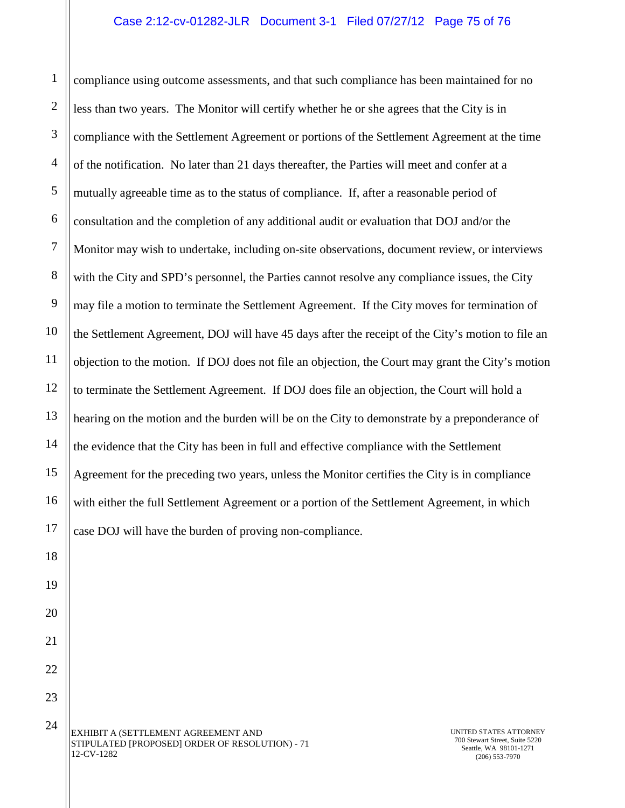## Case 2:12-cv-01282-JLR Document 3-1 Filed 07/27/12 Page 75 of 76

1 2 3 4 5 6 7 8 9 10 11 12 13 14 15 16 17 compliance using outcome assessments, and that such compliance has been maintained for no less than two years. The Monitor will certify whether he or she agrees that the City is in compliance with the Settlement Agreement or portions of the Settlement Agreement at the time of the notification. No later than 21 days thereafter, the Parties will meet and confer at a mutually agreeable time as to the status of compliance. If, after a reasonable period of consultation and the completion of any additional audit or evaluation that DOJ and/or the Monitor may wish to undertake, including on-site observations, document review, or interviews with the City and SPD's personnel, the Parties cannot resolve any compliance issues, the City may file a motion to terminate the Settlement Agreement. If the City moves for termination of the Settlement Agreement, DOJ will have 45 days after the receipt of the City's motion to file an objection to the motion. If DOJ does not file an objection, the Court may grant the City's motion to terminate the Settlement Agreement. If DOJ does file an objection, the Court will hold a hearing on the motion and the burden will be on the City to demonstrate by a preponderance of the evidence that the City has been in full and effective compliance with the Settlement Agreement for the preceding two years, unless the Monitor certifies the City is in compliance with either the full Settlement Agreement or a portion of the Settlement Agreement, in which case DOJ will have the burden of proving non-compliance.

EXHIBIT A (SETTLEMENT AGREEMENT AND STIPULATED [PROPOSED] ORDER OF RESOLUTION) - 71 12-CV-1282

18

19

20

21

22

23

24

UNITED STATES ATTORNEY 700 Stewart Street, Suite 5220 Seattle, WA 98101-1271 (206) 553-7970